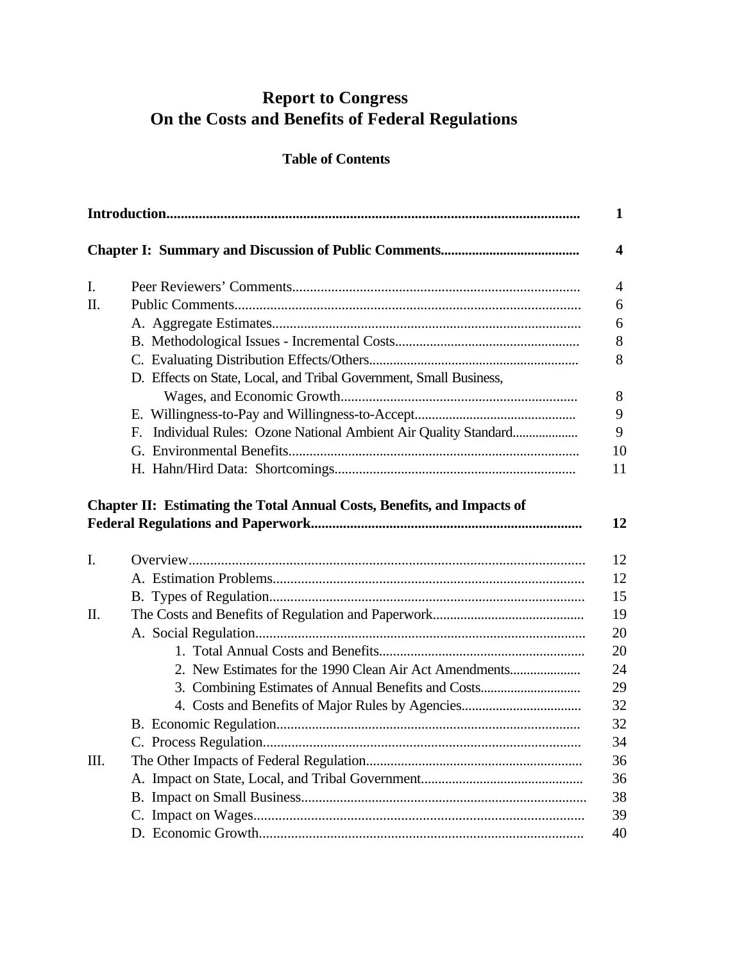# **Report to Congress On the Costs and Benefits of Federal Regulations**

## **Table of Contents**

| 1              |                                                                    |                         |  |
|----------------|--------------------------------------------------------------------|-------------------------|--|
|                |                                                                    | $\overline{\mathbf{4}}$ |  |
| $\mathbf{I}$ . |                                                                    | 4                       |  |
| Π.             |                                                                    | 6                       |  |
|                |                                                                    | 6                       |  |
|                |                                                                    | 8                       |  |
|                |                                                                    | 8                       |  |
|                | D. Effects on State, Local, and Tribal Government, Small Business, |                         |  |
|                |                                                                    | 8                       |  |
|                |                                                                    | 9                       |  |
|                |                                                                    | 9                       |  |
|                |                                                                    | 10                      |  |
|                |                                                                    | 11                      |  |
| $I_{\cdot}$    |                                                                    | 12                      |  |
|                |                                                                    | 12                      |  |
|                |                                                                    | 15                      |  |
| П.             |                                                                    | 19                      |  |
|                |                                                                    | 20                      |  |
|                |                                                                    | 20                      |  |
|                | 2. New Estimates for the 1990 Clean Air Act Amendments             | 24                      |  |
|                |                                                                    | 29                      |  |
|                |                                                                    | 32                      |  |
|                |                                                                    | 32                      |  |
|                |                                                                    | 34                      |  |
| III.           |                                                                    | 36                      |  |
|                |                                                                    | 36                      |  |
|                |                                                                    | 38                      |  |
|                |                                                                    | 39                      |  |
|                |                                                                    | 40                      |  |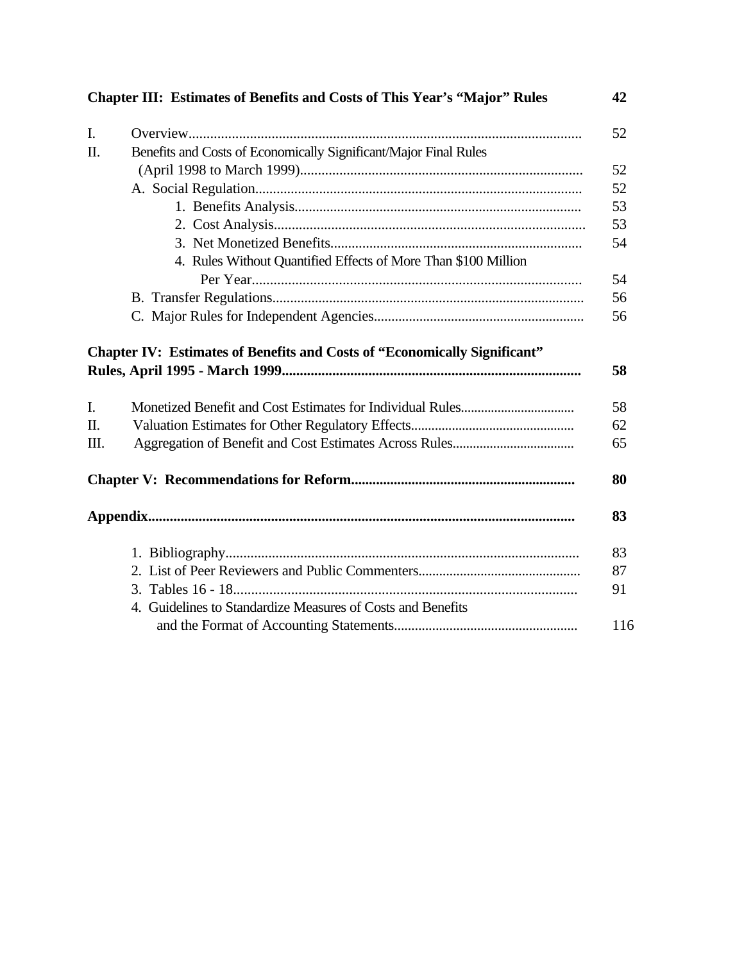| <b>Chapter III: Estimates of Benefits and Costs of This Year's "Major" Rules</b> |                                                                                  |     |
|----------------------------------------------------------------------------------|----------------------------------------------------------------------------------|-----|
| I.                                                                               |                                                                                  | 52  |
| Π.                                                                               | Benefits and Costs of Economically Significant/Major Final Rules                 |     |
|                                                                                  |                                                                                  | 52  |
|                                                                                  |                                                                                  | 52  |
|                                                                                  |                                                                                  | 53  |
|                                                                                  |                                                                                  | 53  |
|                                                                                  |                                                                                  | 54  |
|                                                                                  | 4. Rules Without Quantified Effects of More Than \$100 Million                   |     |
|                                                                                  |                                                                                  | 54  |
|                                                                                  |                                                                                  | 56  |
|                                                                                  |                                                                                  | 56  |
|                                                                                  | <b>Chapter IV: Estimates of Benefits and Costs of "Economically Significant"</b> | 58  |
| $\mathbf{I}$ .                                                                   |                                                                                  | 58  |
| II.                                                                              |                                                                                  | 62  |
| Ш.                                                                               |                                                                                  | 65  |
|                                                                                  |                                                                                  | 80  |
|                                                                                  |                                                                                  | 83  |
|                                                                                  |                                                                                  | 83  |
|                                                                                  |                                                                                  | 87  |
|                                                                                  |                                                                                  | 91  |
|                                                                                  | 4. Guidelines to Standardize Measures of Costs and Benefits                      |     |
|                                                                                  |                                                                                  | 116 |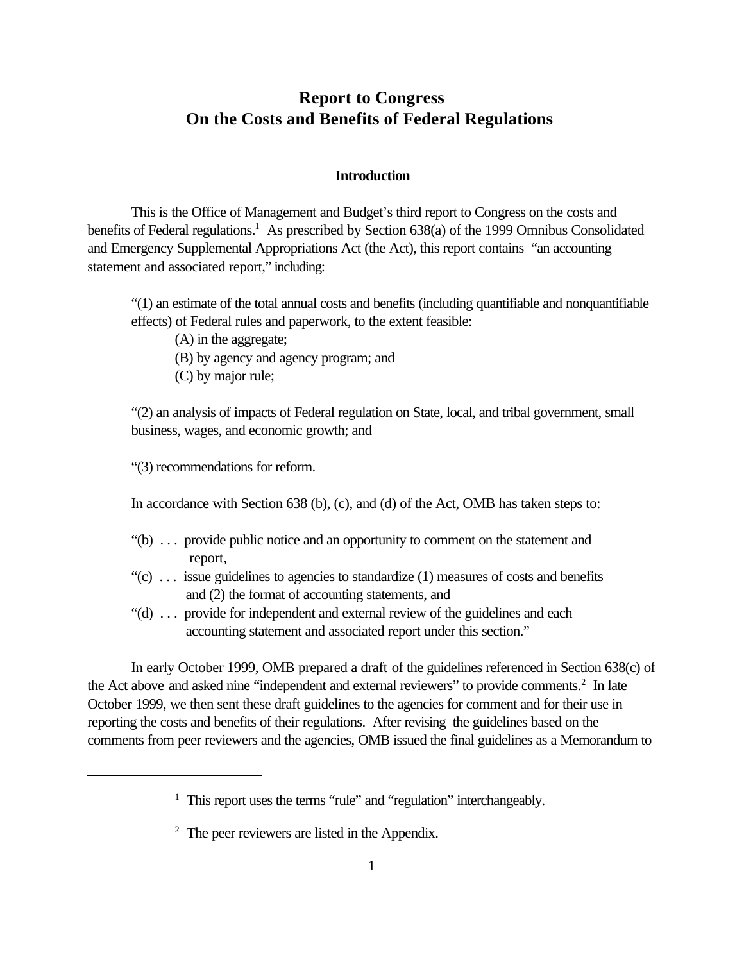## **Report to Congress On the Costs and Benefits of Federal Regulations**

#### **Introduction**

This is the Office of Management and Budget's third report to Congress on the costs and benefits of Federal regulations.<sup>1</sup> As prescribed by Section  $638(a)$  of the 1999 Omnibus Consolidated and Emergency Supplemental Appropriations Act (the Act), this report contains "an accounting statement and associated report," including:

"(1) an estimate of the total annual costs and benefits (including quantifiable and nonquantifiable effects) of Federal rules and paperwork, to the extent feasible:

- (A) in the aggregate;
- (B) by agency and agency program; and
- (C) by major rule;

"(2) an analysis of impacts of Federal regulation on State, local, and tribal government, small business, wages, and economic growth; and

"(3) recommendations for reform.

In accordance with Section 638 (b), (c), and (d) of the Act, OMB has taken steps to:

- "(b) . . . provide public notice and an opportunity to comment on the statement and report,
- "(c) . . . issue guidelines to agencies to standardize (1) measures of costs and benefits and (2) the format of accounting statements, and
- "(d) . . . provide for independent and external review of the guidelines and each accounting statement and associated report under this section."

In early October 1999, OMB prepared a draft of the guidelines referenced in Section 638(c) of the Act above and asked nine "independent and external reviewers" to provide comments.<sup>2</sup> In late October 1999, we then sent these draft guidelines to the agencies for comment and for their use in reporting the costs and benefits of their regulations. After revising the guidelines based on the comments from peer reviewers and the agencies, OMB issued the final guidelines as a Memorandum to

<sup>&</sup>lt;sup>1</sup> This report uses the terms "rule" and "regulation" interchangeably.

<sup>2</sup> The peer reviewers are listed in the Appendix.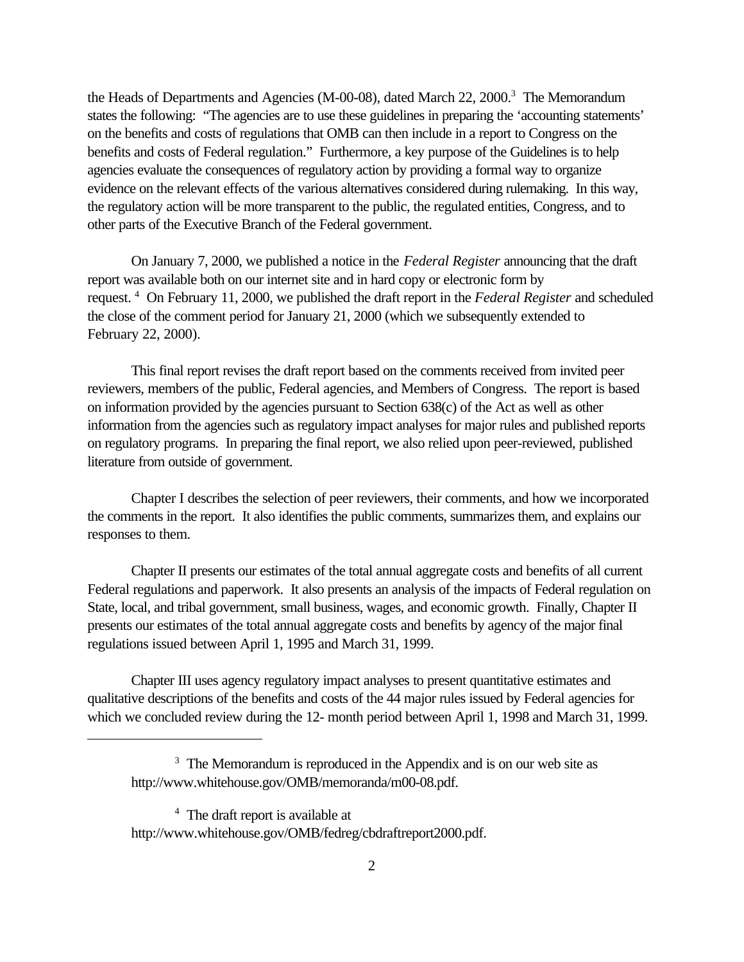the Heads of Departments and Agencies (M-00-08), dated March 22, 2000.<sup>3</sup> The Memorandum states the following: "The agencies are to use these guidelines in preparing the 'accounting statements' on the benefits and costs of regulations that OMB can then include in a report to Congress on the benefits and costs of Federal regulation." Furthermore, a key purpose of the Guidelines is to help agencies evaluate the consequences of regulatory action by providing a formal way to organize evidence on the relevant effects of the various alternatives considered during rulemaking. In this way, the regulatory action will be more transparent to the public, the regulated entities, Congress, and to other parts of the Executive Branch of the Federal government.

On January 7, 2000, we published a notice in the *Federal Register* announcing that the draft report was available both on our internet site and in hard copy or electronic form by request. 4 On February 11, 2000, we published the draft report in the *Federal Register* and scheduled the close of the comment period for January 21, 2000 (which we subsequently extended to February 22, 2000).

This final report revises the draft report based on the comments received from invited peer reviewers, members of the public, Federal agencies, and Members of Congress. The report is based on information provided by the agencies pursuant to Section 638(c) of the Act as well as other information from the agencies such as regulatory impact analyses for major rules and published reports on regulatory programs. In preparing the final report, we also relied upon peer-reviewed, published literature from outside of government.

Chapter I describes the selection of peer reviewers, their comments, and how we incorporated the comments in the report. It also identifies the public comments, summarizes them, and explains our responses to them.

Chapter II presents our estimates of the total annual aggregate costs and benefits of all current Federal regulations and paperwork. It also presents an analysis of the impacts of Federal regulation on State, local, and tribal government, small business, wages, and economic growth. Finally, Chapter II presents our estimates of the total annual aggregate costs and benefits by agency of the major final regulations issued between April 1, 1995 and March 31, 1999.

Chapter III uses agency regulatory impact analyses to present quantitative estimates and qualitative descriptions of the benefits and costs of the 44 major rules issued by Federal agencies for which we concluded review during the 12- month period between April 1, 1998 and March 31, 1999.

<sup>&</sup>lt;sup>3</sup> The Memorandum is reproduced in the Appendix and is on our web site as http://www.whitehouse.gov/OMB/memoranda/m00-08.pdf.

<sup>4</sup> The draft report is available at http://www.whitehouse.gov/OMB/fedreg/cbdraftreport2000.pdf.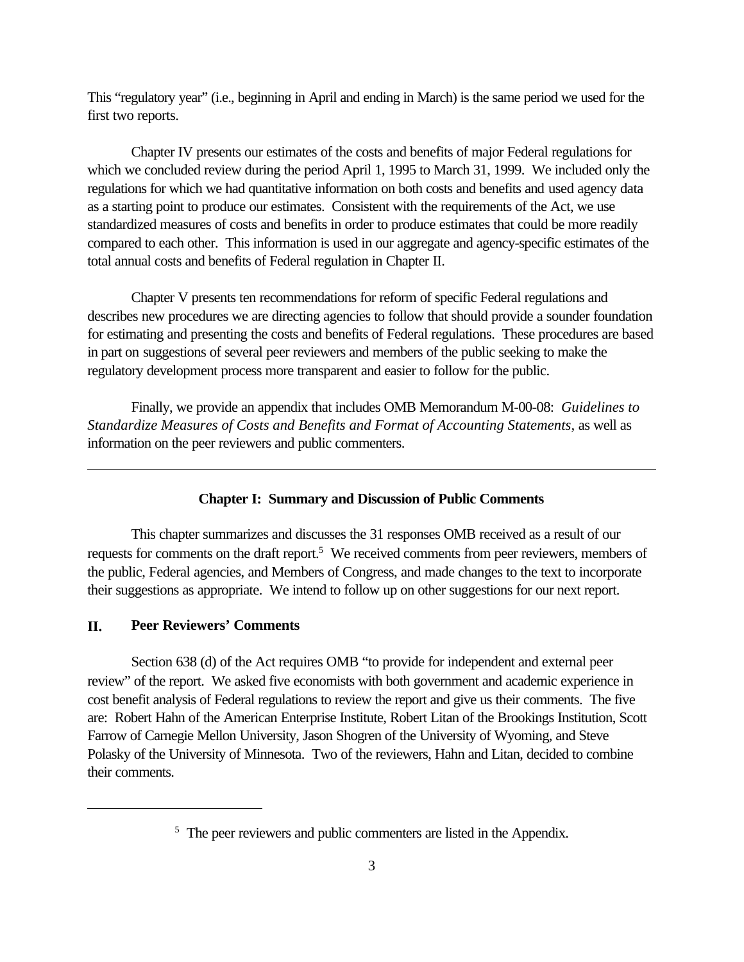This "regulatory year" (i.e., beginning in April and ending in March) is the same period we used for the first two reports.

Chapter IV presents our estimates of the costs and benefits of major Federal regulations for which we concluded review during the period April 1, 1995 to March 31, 1999. We included only the regulations for which we had quantitative information on both costs and benefits and used agency data as a starting point to produce our estimates. Consistent with the requirements of the Act, we use standardized measures of costs and benefits in order to produce estimates that could be more readily compared to each other. This information is used in our aggregate and agency-specific estimates of the total annual costs and benefits of Federal regulation in Chapter II.

Chapter V presents ten recommendations for reform of specific Federal regulations and describes new procedures we are directing agencies to follow that should provide a sounder foundation for estimating and presenting the costs and benefits of Federal regulations. These procedures are based in part on suggestions of several peer reviewers and members of the public seeking to make the regulatory development process more transparent and easier to follow for the public.

Finally, we provide an appendix that includes OMB Memorandum M-00-08: *Guidelines to Standardize Measures of Costs and Benefits and Format of Accounting Statements,* as well as information on the peer reviewers and public commenters.

#### **Chapter I: Summary and Discussion of Public Comments**

This chapter summarizes and discusses the 31 responses OMB received as a result of our requests for comments on the draft report.<sup>5</sup> We received comments from peer reviewers, members of the public, Federal agencies, and Members of Congress, and made changes to the text to incorporate their suggestions as appropriate. We intend to follow up on other suggestions for our next report.

#### **II. Peer Reviewers' Comments**

Section 638 (d) of the Act requires OMB "to provide for independent and external peer review" of the report. We asked five economists with both government and academic experience in cost benefit analysis of Federal regulations to review the report and give us their comments. The five are: Robert Hahn of the American Enterprise Institute, Robert Litan of the Brookings Institution, Scott Farrow of Carnegie Mellon University, Jason Shogren of the University of Wyoming, and Steve Polasky of the University of Minnesota. Two of the reviewers, Hahn and Litan, decided to combine their comments.

<sup>&</sup>lt;sup>5</sup> The peer reviewers and public commenters are listed in the Appendix.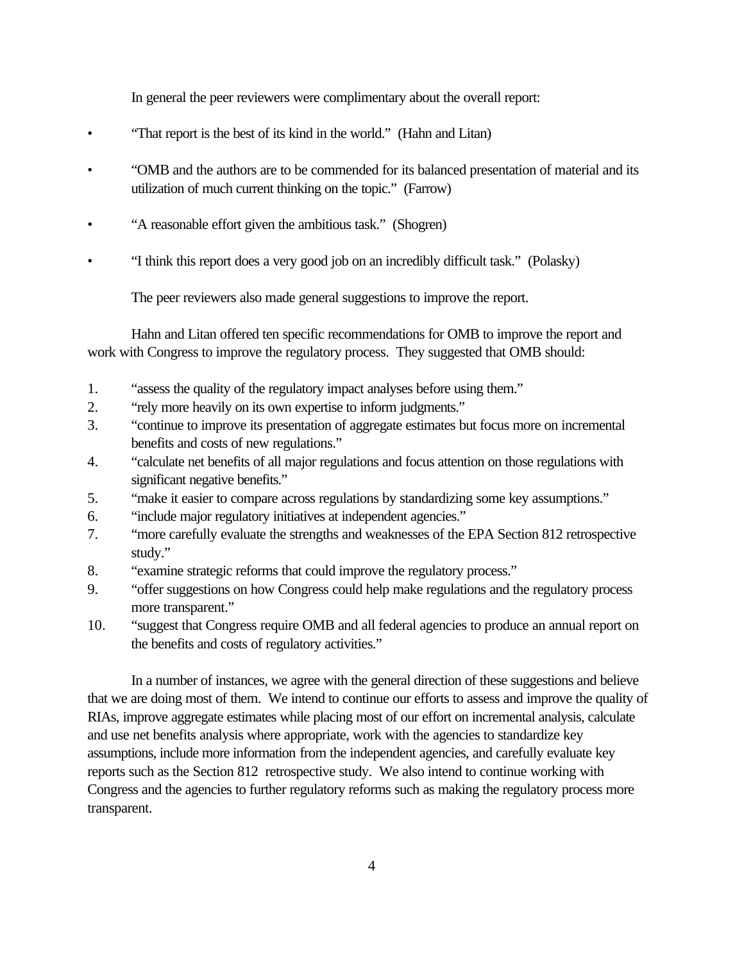In general the peer reviewers were complimentary about the overall report:

- "That report is the best of its kind in the world." (Hahn and Litan)
- "OMB and the authors are to be commended for its balanced presentation of material and its utilization of much current thinking on the topic." (Farrow)
- "A reasonable effort given the ambitious task." (Shogren)
- "I think this report does a very good job on an incredibly difficult task." (Polasky)

The peer reviewers also made general suggestions to improve the report.

Hahn and Litan offered ten specific recommendations for OMB to improve the report and work with Congress to improve the regulatory process. They suggested that OMB should:

- 1. "assess the quality of the regulatory impact analyses before using them."
- 2. "rely more heavily on its own expertise to inform judgments."
- 3. "continue to improve its presentation of aggregate estimates but focus more on incremental benefits and costs of new regulations."
- 4. "calculate net benefits of all major regulations and focus attention on those regulations with significant negative benefits."
- 5. "make it easier to compare across regulations by standardizing some key assumptions."
- 6. "include major regulatory initiatives at independent agencies."
- 7. "more carefully evaluate the strengths and weaknesses of the EPA Section 812 retrospective study."
- 8. "examine strategic reforms that could improve the regulatory process."
- 9. "offer suggestions on how Congress could help make regulations and the regulatory process more transparent."
- 10. "suggest that Congress require OMB and all federal agencies to produce an annual report on the benefits and costs of regulatory activities."

In a number of instances, we agree with the general direction of these suggestions and believe that we are doing most of them. We intend to continue our efforts to assess and improve the quality of RIAs, improve aggregate estimates while placing most of our effort on incremental analysis, calculate and use net benefits analysis where appropriate, work with the agencies to standardize key assumptions, include more information from the independent agencies, and carefully evaluate key reports such as the Section 812 retrospective study. We also intend to continue working with Congress and the agencies to further regulatory reforms such as making the regulatory process more transparent.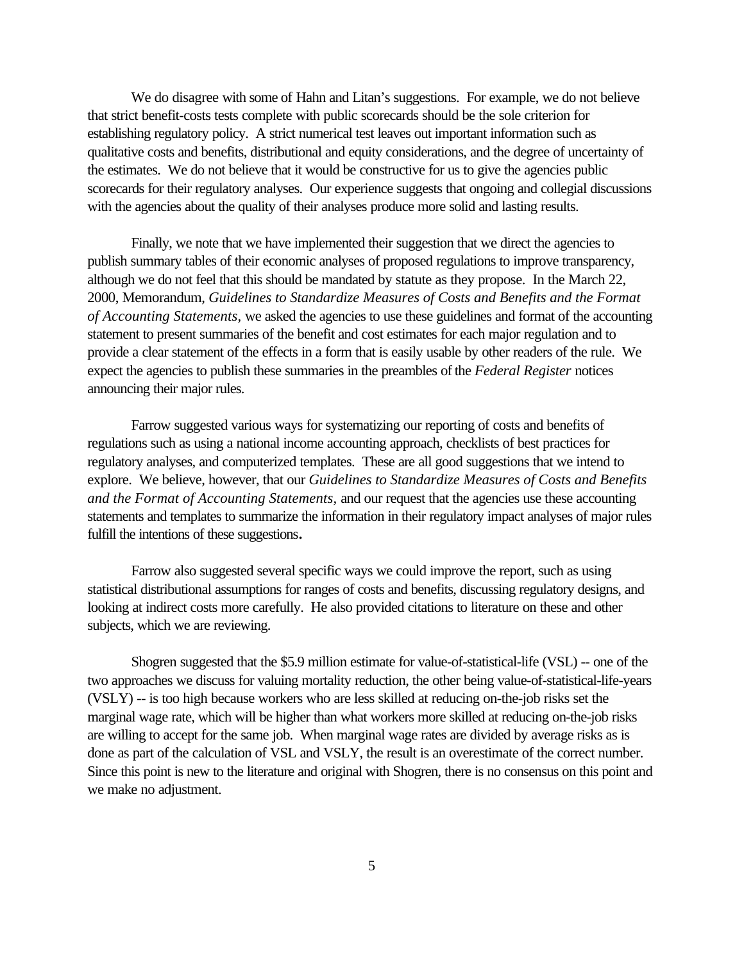We do disagree with some of Hahn and Litan's suggestions. For example, we do not believe that strict benefit-costs tests complete with public scorecards should be the sole criterion for establishing regulatory policy. A strict numerical test leaves out important information such as qualitative costs and benefits, distributional and equity considerations, and the degree of uncertainty of the estimates. We do not believe that it would be constructive for us to give the agencies public scorecards for their regulatory analyses. Our experience suggests that ongoing and collegial discussions with the agencies about the quality of their analyses produce more solid and lasting results.

Finally, we note that we have implemented their suggestion that we direct the agencies to publish summary tables of their economic analyses of proposed regulations to improve transparency, although we do not feel that this should be mandated by statute as they propose. In the March 22, 2000, Memorandum, *Guidelines to Standardize Measures of Costs and Benefits and the Format of Accounting Statements,* we asked the agencies to use these guidelines and format of the accounting statement to present summaries of the benefit and cost estimates for each major regulation and to provide a clear statement of the effects in a form that is easily usable by other readers of the rule. We expect the agencies to publish these summaries in the preambles of the *Federal Register* notices announcing their major rules.

Farrow suggested various ways for systematizing our reporting of costs and benefits of regulations such as using a national income accounting approach, checklists of best practices for regulatory analyses, and computerized templates. These are all good suggestions that we intend to explore. We believe, however, that our *Guidelines to Standardize Measures of Costs and Benefits and the Format of Accounting Statements,* and our request that the agencies use these accounting statements and templates to summarize the information in their regulatory impact analyses of major rules fulfill the intentions of these suggestions**.** 

Farrow also suggested several specific ways we could improve the report, such as using statistical distributional assumptions for ranges of costs and benefits, discussing regulatory designs, and looking at indirect costs more carefully. He also provided citations to literature on these and other subjects, which we are reviewing.

Shogren suggested that the \$5.9 million estimate for value-of-statistical-life (VSL) -- one of the two approaches we discuss for valuing mortality reduction, the other being value-of-statistical-life-years (VSLY) -- is too high because workers who are less skilled at reducing on-the-job risks set the marginal wage rate, which will be higher than what workers more skilled at reducing on-the-job risks are willing to accept for the same job. When marginal wage rates are divided by average risks as is done as part of the calculation of VSL and VSLY, the result is an overestimate of the correct number. Since this point is new to the literature and original with Shogren, there is no consensus on this point and we make no adjustment.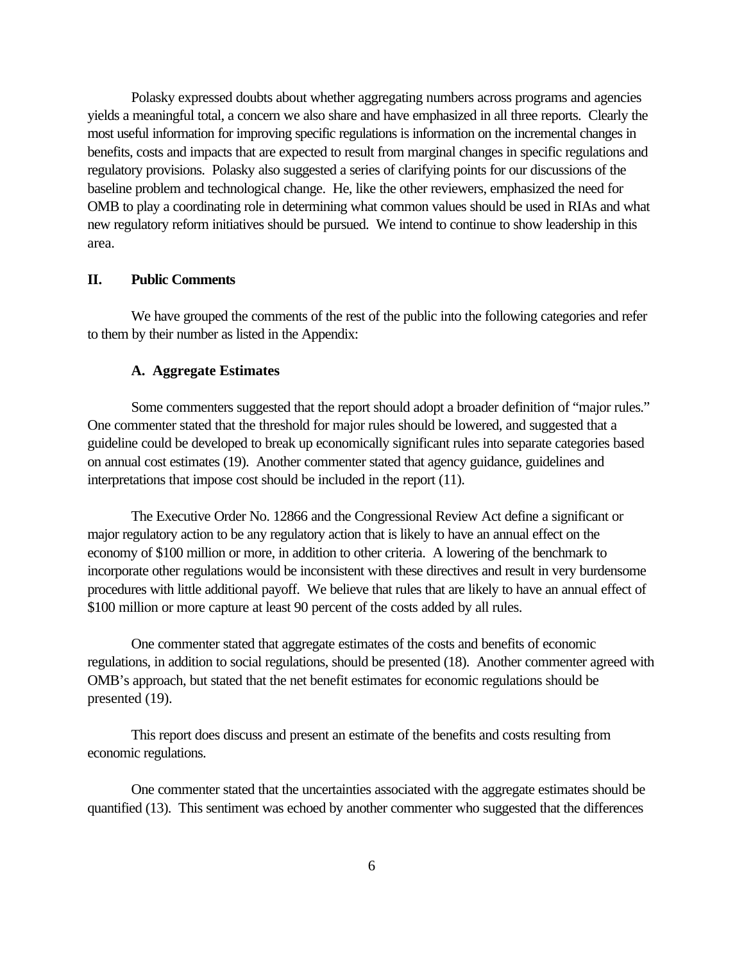Polasky expressed doubts about whether aggregating numbers across programs and agencies yields a meaningful total, a concern we also share and have emphasized in all three reports. Clearly the most useful information for improving specific regulations is information on the incremental changes in benefits, costs and impacts that are expected to result from marginal changes in specific regulations and regulatory provisions. Polasky also suggested a series of clarifying points for our discussions of the baseline problem and technological change. He, like the other reviewers, emphasized the need for OMB to play a coordinating role in determining what common values should be used in RIAs and what new regulatory reform initiatives should be pursued. We intend to continue to show leadership in this area.

#### **II. Public Comments**

We have grouped the comments of the rest of the public into the following categories and refer to them by their number as listed in the Appendix:

#### **A. Aggregate Estimates**

Some commenters suggested that the report should adopt a broader definition of "major rules." One commenter stated that the threshold for major rules should be lowered, and suggested that a guideline could be developed to break up economically significant rules into separate categories based on annual cost estimates (19). Another commenter stated that agency guidance, guidelines and interpretations that impose cost should be included in the report (11).

The Executive Order No. 12866 and the Congressional Review Act define a significant or major regulatory action to be any regulatory action that is likely to have an annual effect on the economy of \$100 million or more, in addition to other criteria. A lowering of the benchmark to incorporate other regulations would be inconsistent with these directives and result in very burdensome procedures with little additional payoff. We believe that rules that are likely to have an annual effect of \$100 million or more capture at least 90 percent of the costs added by all rules.

One commenter stated that aggregate estimates of the costs and benefits of economic regulations, in addition to social regulations, should be presented (18). Another commenter agreed with OMB's approach, but stated that the net benefit estimates for economic regulations should be presented (19).

This report does discuss and present an estimate of the benefits and costs resulting from economic regulations.

One commenter stated that the uncertainties associated with the aggregate estimates should be quantified (13). This sentiment was echoed by another commenter who suggested that the differences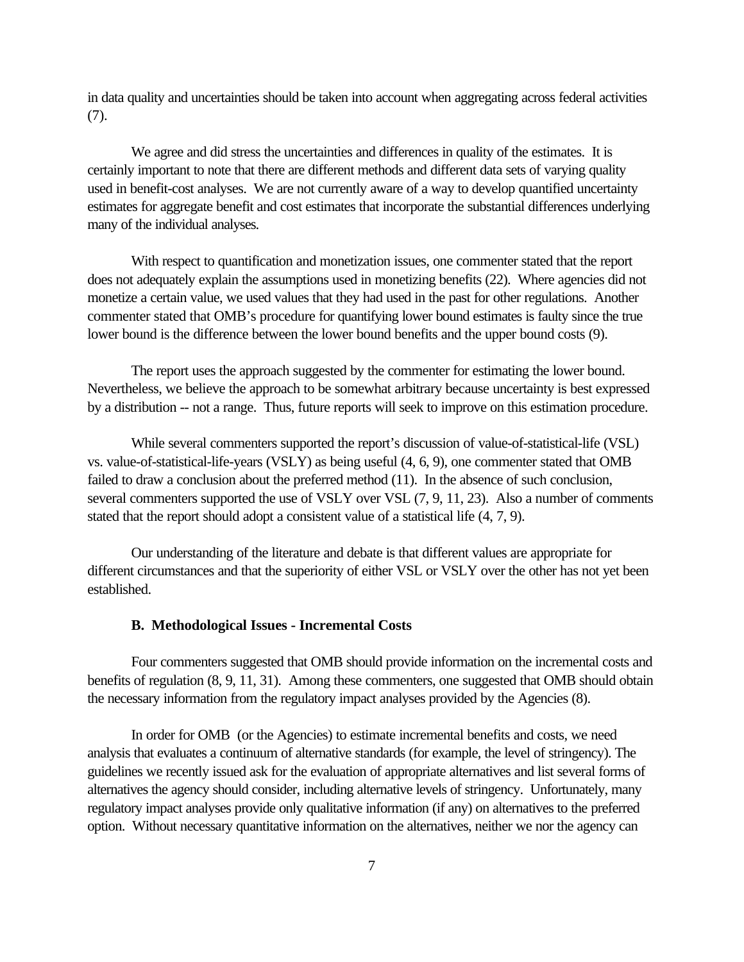in data quality and uncertainties should be taken into account when aggregating across federal activities (7).

We agree and did stress the uncertainties and differences in quality of the estimates. It is certainly important to note that there are different methods and different data sets of varying quality used in benefit-cost analyses. We are not currently aware of a way to develop quantified uncertainty estimates for aggregate benefit and cost estimates that incorporate the substantial differences underlying many of the individual analyses.

With respect to quantification and monetization issues, one commenter stated that the report does not adequately explain the assumptions used in monetizing benefits (22). Where agencies did not monetize a certain value, we used values that they had used in the past for other regulations. Another commenter stated that OMB's procedure for quantifying lower bound estimates is faulty since the true lower bound is the difference between the lower bound benefits and the upper bound costs (9).

The report uses the approach suggested by the commenter for estimating the lower bound. Nevertheless, we believe the approach to be somewhat arbitrary because uncertainty is best expressed by a distribution -- not a range. Thus, future reports will seek to improve on this estimation procedure.

While several commenters supported the report's discussion of value-of-statistical-life (VSL) vs. value-of-statistical-life-years (VSLY) as being useful (4, 6, 9), one commenter stated that OMB failed to draw a conclusion about the preferred method (11). In the absence of such conclusion, several commenters supported the use of VSLY over VSL  $(7, 9, 11, 23)$ . Also a number of comments stated that the report should adopt a consistent value of a statistical life (4, 7, 9).

Our understanding of the literature and debate is that different values are appropriate for different circumstances and that the superiority of either VSL or VSLY over the other has not yet been established.

#### **B. Methodological Issues - Incremental Costs**

Four commenters suggested that OMB should provide information on the incremental costs and benefits of regulation (8, 9, 11, 31). Among these commenters, one suggested that OMB should obtain the necessary information from the regulatory impact analyses provided by the Agencies (8).

In order for OMB (or the Agencies) to estimate incremental benefits and costs, we need analysis that evaluates a continuum of alternative standards (for example, the level of stringency). The guidelines we recently issued ask for the evaluation of appropriate alternatives and list several forms of alternatives the agency should consider, including alternative levels of stringency. Unfortunately, many regulatory impact analyses provide only qualitative information (if any) on alternatives to the preferred option. Without necessary quantitative information on the alternatives, neither we nor the agency can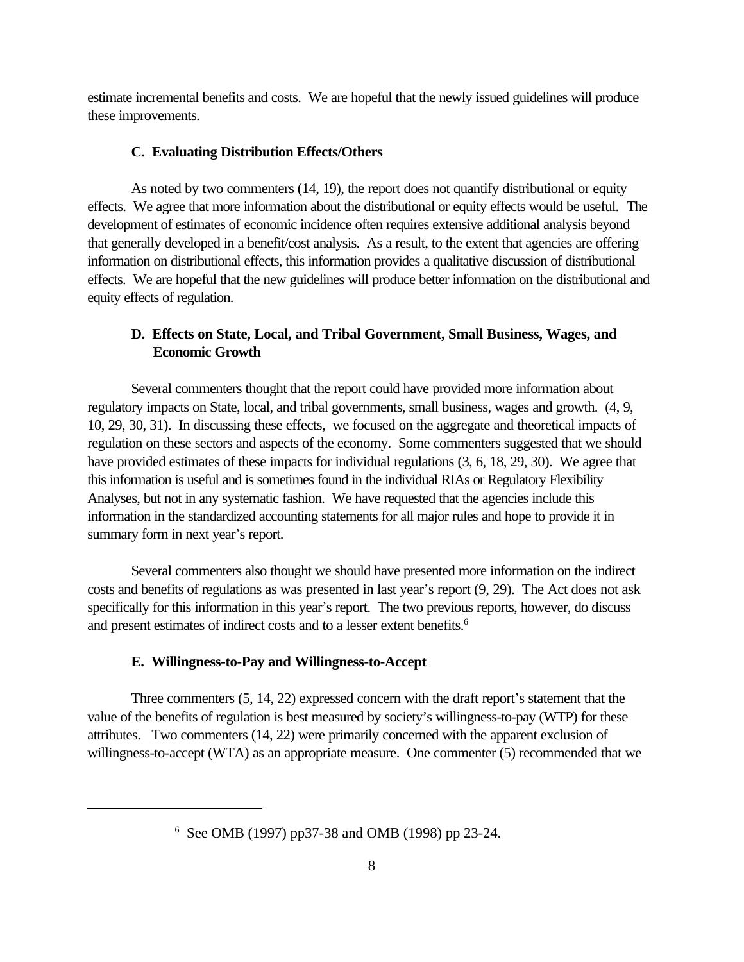estimate incremental benefits and costs. We are hopeful that the newly issued guidelines will produce these improvements.

#### **C. Evaluating Distribution Effects/Others**

As noted by two commenters (14, 19), the report does not quantify distributional or equity effects. We agree that more information about the distributional or equity effects would be useful. The development of estimates of economic incidence often requires extensive additional analysis beyond that generally developed in a benefit/cost analysis. As a result, to the extent that agencies are offering information on distributional effects, this information provides a qualitative discussion of distributional effects. We are hopeful that the new guidelines will produce better information on the distributional and equity effects of regulation.

## **D. Effects on State, Local, and Tribal Government, Small Business, Wages, and Economic Growth**

Several commenters thought that the report could have provided more information about regulatory impacts on State, local, and tribal governments, small business, wages and growth. (4, 9, 10, 29, 30, 31). In discussing these effects, we focused on the aggregate and theoretical impacts of regulation on these sectors and aspects of the economy. Some commenters suggested that we should have provided estimates of these impacts for individual regulations (3, 6, 18, 29, 30). We agree that this information is useful and is sometimes found in the individual RIAs or Regulatory Flexibility Analyses, but not in any systematic fashion. We have requested that the agencies include this information in the standardized accounting statements for all major rules and hope to provide it in summary form in next year's report.

Several commenters also thought we should have presented more information on the indirect costs and benefits of regulations as was presented in last year's report (9, 29). The Act does not ask specifically for this information in this year's report. The two previous reports, however, do discuss and present estimates of indirect costs and to a lesser extent benefits.<sup>6</sup>

## **E. Willingness-to-Pay and Willingness-to-Accept**

Three commenters (5, 14, 22) expressed concern with the draft report's statement that the value of the benefits of regulation is best measured by society's willingness-to-pay (WTP) for these attributes. Two commenters (14, 22) were primarily concerned with the apparent exclusion of willingness-to-accept (WTA) as an appropriate measure. One commenter (5) recommended that we

<sup>6</sup> See OMB (1997) pp37-38 and OMB (1998) pp 23-24.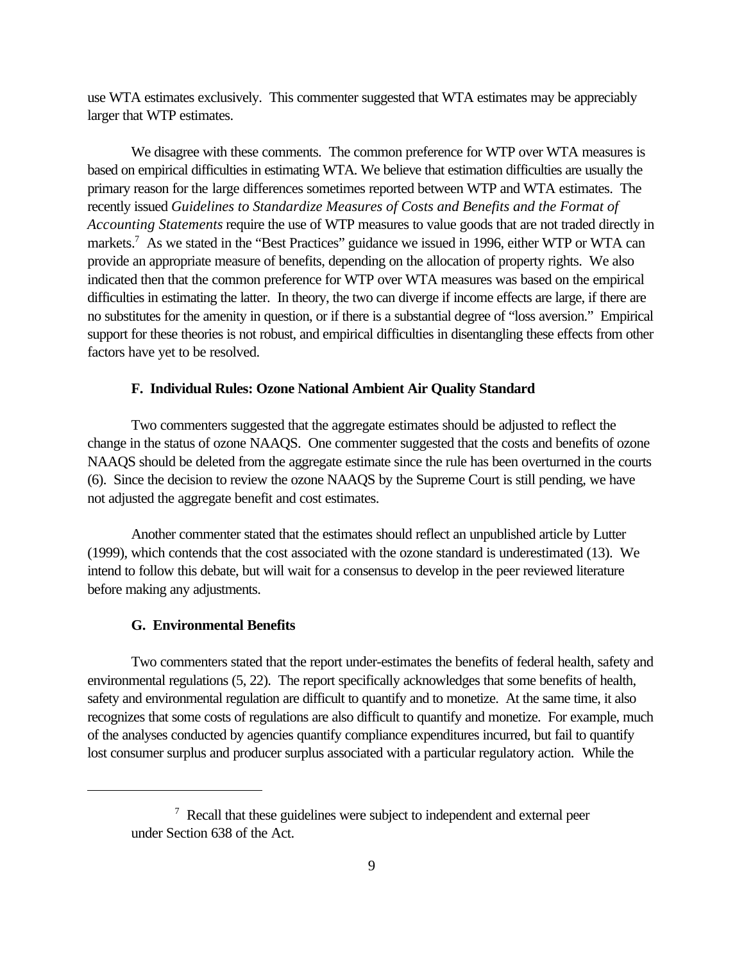use WTA estimates exclusively. This commenter suggested that WTA estimates may be appreciably larger that WTP estimates.

We disagree with these comments. The common preference for WTP over WTA measures is based on empirical difficulties in estimating WTA. We believe that estimation difficulties are usually the primary reason for the large differences sometimes reported between WTP and WTA estimates. The recently issued *Guidelines to Standardize Measures of Costs and Benefits and the Format of Accounting Statements* require the use of WTP measures to value goods that are not traded directly in markets.<sup>7</sup> As we stated in the "Best Practices" guidance we issued in 1996, either WTP or WTA can provide an appropriate measure of benefits, depending on the allocation of property rights. We also indicated then that the common preference for WTP over WTA measures was based on the empirical difficulties in estimating the latter. In theory, the two can diverge if income effects are large, if there are no substitutes for the amenity in question, or if there is a substantial degree of "loss aversion." Empirical support for these theories is not robust, and empirical difficulties in disentangling these effects from other factors have yet to be resolved.

#### **F. Individual Rules: Ozone National Ambient Air Quality Standard**

Two commenters suggested that the aggregate estimates should be adjusted to reflect the change in the status of ozone NAAQS. One commenter suggested that the costs and benefits of ozone NAAQS should be deleted from the aggregate estimate since the rule has been overturned in the courts (6). Since the decision to review the ozone NAAQS by the Supreme Court is still pending, we have not adjusted the aggregate benefit and cost estimates.

Another commenter stated that the estimates should reflect an unpublished article by Lutter (1999), which contends that the cost associated with the ozone standard is underestimated (13). We intend to follow this debate, but will wait for a consensus to develop in the peer reviewed literature before making any adjustments.

#### **G. Environmental Benefits**

Two commenters stated that the report under-estimates the benefits of federal health, safety and environmental regulations (5, 22). The report specifically acknowledges that some benefits of health, safety and environmental regulation are difficult to quantify and to monetize. At the same time, it also recognizes that some costs of regulations are also difficult to quantify and monetize. For example, much of the analyses conducted by agencies quantify compliance expenditures incurred, but fail to quantify lost consumer surplus and producer surplus associated with a particular regulatory action. While the

<sup>7</sup> Recall that these guidelines were subject to independent and external peer under Section 638 of the Act.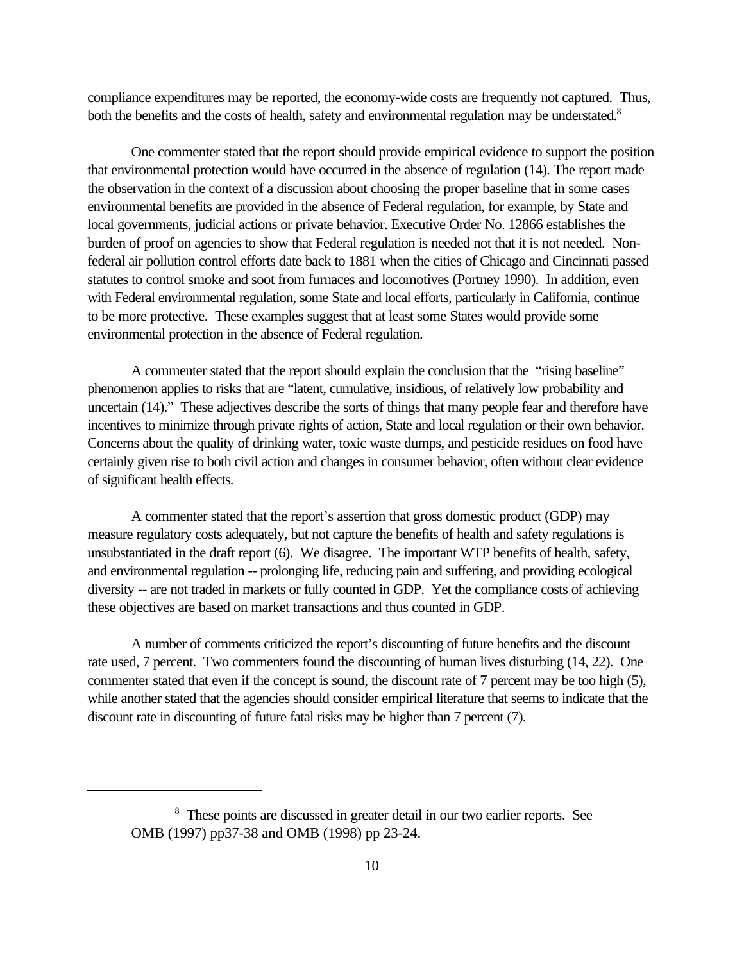compliance expenditures may be reported, the economy-wide costs are frequently not captured. Thus, both the benefits and the costs of health, safety and environmental regulation may be understated.<sup>8</sup>

One commenter stated that the report should provide empirical evidence to support the position that environmental protection would have occurred in the absence of regulation (14). The report made the observation in the context of a discussion about choosing the proper baseline that in some cases environmental benefits are provided in the absence of Federal regulation, for example, by State and local governments, judicial actions or private behavior. Executive Order No. 12866 establishes the burden of proof on agencies to show that Federal regulation is needed not that it is not needed. Nonfederal air pollution control efforts date back to 1881 when the cities of Chicago and Cincinnati passed statutes to control smoke and soot from furnaces and locomotives (Portney 1990). In addition, even with Federal environmental regulation, some State and local efforts, particularly in California, continue to be more protective. These examples suggest that at least some States would provide some environmental protection in the absence of Federal regulation.

A commenter stated that the report should explain the conclusion that the "rising baseline" phenomenon applies to risks that are "latent, cumulative, insidious, of relatively low probability and uncertain (14)." These adjectives describe the sorts of things that many people fear and therefore have incentives to minimize through private rights of action, State and local regulation or their own behavior. Concerns about the quality of drinking water, toxic waste dumps, and pesticide residues on food have certainly given rise to both civil action and changes in consumer behavior, often without clear evidence of significant health effects.

A commenter stated that the report's assertion that gross domestic product (GDP) may measure regulatory costs adequately, but not capture the benefits of health and safety regulations is unsubstantiated in the draft report (6). We disagree. The important WTP benefits of health, safety, and environmental regulation -- prolonging life, reducing pain and suffering, and providing ecological diversity -- are not traded in markets or fully counted in GDP. Yet the compliance costs of achieving these objectives are based on market transactions and thus counted in GDP.

A number of comments criticized the report's discounting of future benefits and the discount rate used, 7 percent. Two commenters found the discounting of human lives disturbing (14, 22). One commenter stated that even if the concept is sound, the discount rate of 7 percent may be too high (5), while another stated that the agencies should consider empirical literature that seems to indicate that the discount rate in discounting of future fatal risks may be higher than 7 percent (7).

<sup>&</sup>lt;sup>8</sup> These points are discussed in greater detail in our two earlier reports. See OMB (1997) pp37-38 and OMB (1998) pp 23-24.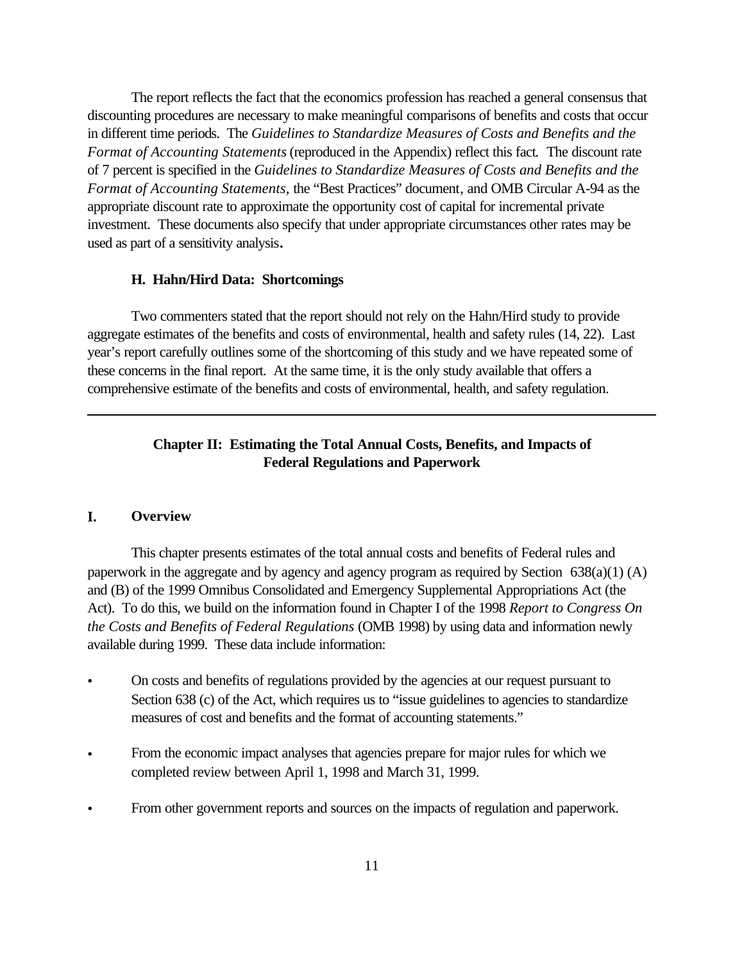The report reflects the fact that the economics profession has reached a general consensus that discounting procedures are necessary to make meaningful comparisons of benefits and costs that occur in different time periods. The *Guidelines to Standardize Measures of Costs and Benefits and the Format of Accounting Statements* (reproduced in the Appendix) reflect this fact*.* The discount rate of 7 percent is specified in the *Guidelines to Standardize Measures of Costs and Benefits and the Format of Accounting Statements,* the "Best Practices" document*,* and OMB Circular A-94 as the appropriate discount rate to approximate the opportunity cost of capital for incremental private investment. These documents also specify that under appropriate circumstances other rates may be used as part of a sensitivity analysis**.** 

## **H. Hahn/Hird Data: Shortcomings**

Two commenters stated that the report should not rely on the Hahn/Hird study to provide aggregate estimates of the benefits and costs of environmental, health and safety rules (14, 22). Last year's report carefully outlines some of the shortcoming of this study and we have repeated some of these concerns in the final report. At the same time, it is the only study available that offers a comprehensive estimate of the benefits and costs of environmental, health, and safety regulation.

## **Chapter II: Estimating the Total Annual Costs, Benefits, and Impacts of Federal Regulations and Paperwork**

#### **I. Overview**

This chapter presents estimates of the total annual costs and benefits of Federal rules and paperwork in the aggregate and by agency and agency program as required by Section  $638(a)(1)$  (A) and (B) of the 1999 Omnibus Consolidated and Emergency Supplemental Appropriations Act (the Act). To do this, we build on the information found in Chapter I of the 1998 *Report to Congress On the Costs and Benefits of Federal Regulations* (OMB 1998) by using data and information newly available during 1999. These data include information:

- On costs and benefits of regulations provided by the agencies at our request pursuant to Section 638 (c) of the Act, which requires us to "issue guidelines to agencies to standardize measures of cost and benefits and the format of accounting statements."
- From the economic impact analyses that agencies prepare for major rules for which we completed review between April 1, 1998 and March 31, 1999.
- From other government reports and sources on the impacts of regulation and paperwork.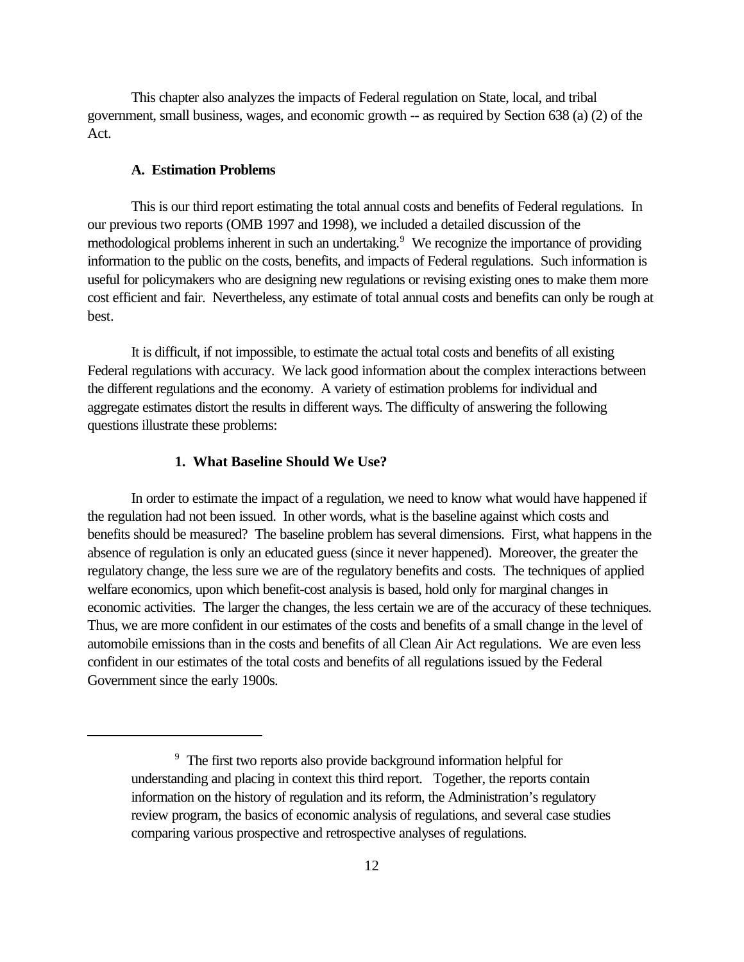This chapter also analyzes the impacts of Federal regulation on State, local, and tribal government, small business, wages, and economic growth -- as required by Section 638 (a) (2) of the Act.

#### **A. Estimation Problems**

This is our third report estimating the total annual costs and benefits of Federal regulations. In our previous two reports (OMB 1997 and 1998), we included a detailed discussion of the methodological problems inherent in such an undertaking.<sup>9</sup> We recognize the importance of providing information to the public on the costs, benefits, and impacts of Federal regulations. Such information is useful for policymakers who are designing new regulations or revising existing ones to make them more cost efficient and fair. Nevertheless, any estimate of total annual costs and benefits can only be rough at best.

It is difficult, if not impossible, to estimate the actual total costs and benefits of all existing Federal regulations with accuracy. We lack good information about the complex interactions between the different regulations and the economy. A variety of estimation problems for individual and aggregate estimates distort the results in different ways. The difficulty of answering the following questions illustrate these problems:

#### **1. What Baseline Should We Use?**

In order to estimate the impact of a regulation, we need to know what would have happened if the regulation had not been issued. In other words, what is the baseline against which costs and benefits should be measured? The baseline problem has several dimensions. First, what happens in the absence of regulation is only an educated guess (since it never happened). Moreover, the greater the regulatory change, the less sure we are of the regulatory benefits and costs. The techniques of applied welfare economics, upon which benefit-cost analysis is based, hold only for marginal changes in economic activities. The larger the changes, the less certain we are of the accuracy of these techniques. Thus, we are more confident in our estimates of the costs and benefits of a small change in the level of automobile emissions than in the costs and benefits of all Clean Air Act regulations. We are even less confident in our estimates of the total costs and benefits of all regulations issued by the Federal Government since the early 1900s.

<sup>9</sup> The first two reports also provide background information helpful for understanding and placing in context this third report. Together, the reports contain information on the history of regulation and its reform, the Administration's regulatory review program, the basics of economic analysis of regulations, and several case studies comparing various prospective and retrospective analyses of regulations.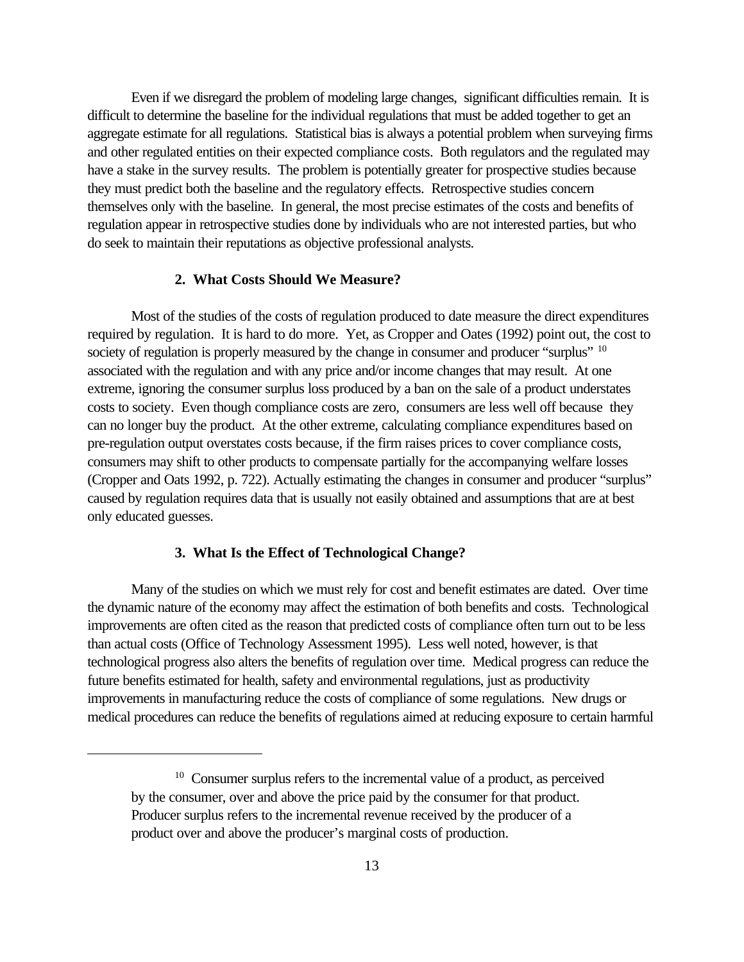Even if we disregard the problem of modeling large changes, significant difficulties remain. It is difficult to determine the baseline for the individual regulations that must be added together to get an aggregate estimate for all regulations. Statistical bias is always a potential problem when surveying firms and other regulated entities on their expected compliance costs. Both regulators and the regulated may have a stake in the survey results. The problem is potentially greater for prospective studies because they must predict both the baseline and the regulatory effects. Retrospective studies concern themselves only with the baseline. In general, the most precise estimates of the costs and benefits of regulation appear in retrospective studies done by individuals who are not interested parties, but who do seek to maintain their reputations as objective professional analysts.

## **2. What Costs Should We Measure?**

Most of the studies of the costs of regulation produced to date measure the direct expenditures required by regulation. It is hard to do more. Yet, as Cropper and Oates (1992) point out, the cost to society of regulation is properly measured by the change in consumer and producer "surplus" <sup>10</sup> associated with the regulation and with any price and/or income changes that may result. At one extreme, ignoring the consumer surplus loss produced by a ban on the sale of a product understates costs to society. Even though compliance costs are zero, consumers are less well off because they can no longer buy the product. At the other extreme, calculating compliance expenditures based on pre-regulation output overstates costs because, if the firm raises prices to cover compliance costs, consumers may shift to other products to compensate partially for the accompanying welfare losses (Cropper and Oats 1992, p. 722). Actually estimating the changes in consumer and producer "surplus" caused by regulation requires data that is usually not easily obtained and assumptions that are at best only educated guesses.

#### **3. What Is the Effect of Technological Change?**

Many of the studies on which we must rely for cost and benefit estimates are dated. Over time the dynamic nature of the economy may affect the estimation of both benefits and costs. Technological improvements are often cited as the reason that predicted costs of compliance often turn out to be less than actual costs (Office of Technology Assessment 1995). Less well noted, however, is that technological progress also alters the benefits of regulation over time. Medical progress can reduce the future benefits estimated for health, safety and environmental regulations, just as productivity improvements in manufacturing reduce the costs of compliance of some regulations. New drugs or medical procedures can reduce the benefits of regulations aimed at reducing exposure to certain harmful

 $10$  Consumer surplus refers to the incremental value of a product, as perceived by the consumer, over and above the price paid by the consumer for that product. Producer surplus refers to the incremental revenue received by the producer of a product over and above the producer's marginal costs of production.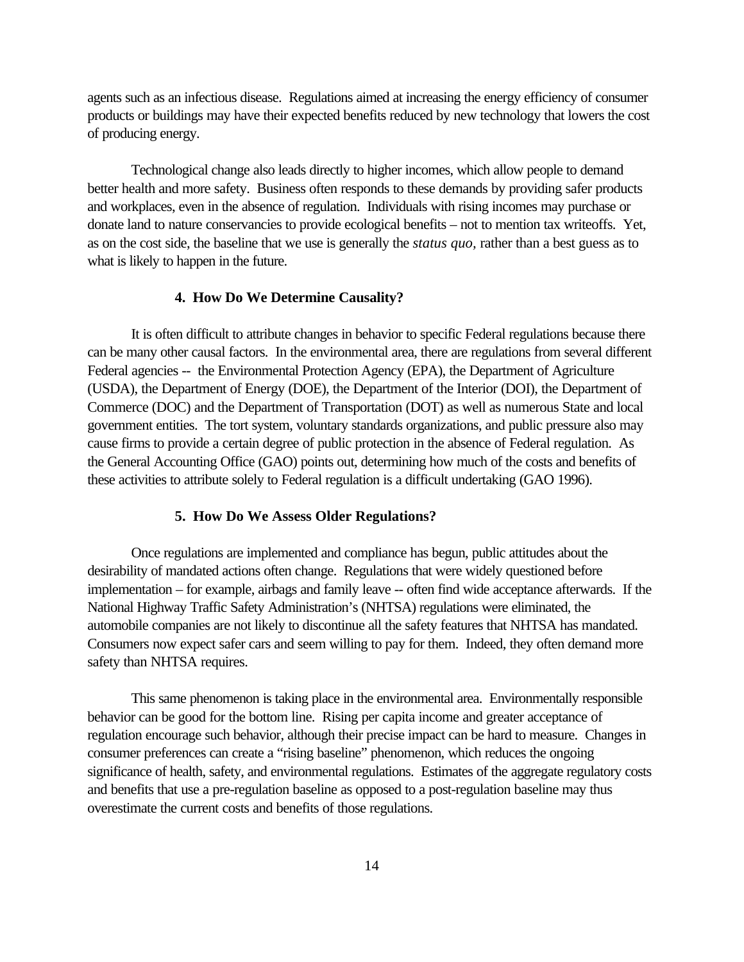agents such as an infectious disease. Regulations aimed at increasing the energy efficiency of consumer products or buildings may have their expected benefits reduced by new technology that lowers the cost of producing energy.

Technological change also leads directly to higher incomes, which allow people to demand better health and more safety. Business often responds to these demands by providing safer products and workplaces, even in the absence of regulation. Individuals with rising incomes may purchase or donate land to nature conservancies to provide ecological benefits – not to mention tax writeoffs. Yet, as on the cost side, the baseline that we use is generally the *status quo,* rather than a best guess as to what is likely to happen in the future.

#### **4. How Do We Determine Causality?**

It is often difficult to attribute changes in behavior to specific Federal regulations because there can be many other causal factors. In the environmental area, there are regulations from several different Federal agencies -- the Environmental Protection Agency (EPA), the Department of Agriculture (USDA), the Department of Energy (DOE), the Department of the Interior (DOI), the Department of Commerce (DOC) and the Department of Transportation (DOT) as well as numerous State and local government entities. The tort system, voluntary standards organizations, and public pressure also may cause firms to provide a certain degree of public protection in the absence of Federal regulation. As the General Accounting Office (GAO) points out, determining how much of the costs and benefits of these activities to attribute solely to Federal regulation is a difficult undertaking (GAO 1996).

#### **5. How Do We Assess Older Regulations?**

Once regulations are implemented and compliance has begun, public attitudes about the desirability of mandated actions often change. Regulations that were widely questioned before implementation – for example, airbags and family leave -- often find wide acceptance afterwards. If the National Highway Traffic Safety Administration's (NHTSA) regulations were eliminated, the automobile companies are not likely to discontinue all the safety features that NHTSA has mandated. Consumers now expect safer cars and seem willing to pay for them. Indeed, they often demand more safety than NHTSA requires.

This same phenomenon is taking place in the environmental area. Environmentally responsible behavior can be good for the bottom line. Rising per capita income and greater acceptance of regulation encourage such behavior, although their precise impact can be hard to measure. Changes in consumer preferences can create a "rising baseline" phenomenon, which reduces the ongoing significance of health, safety, and environmental regulations. Estimates of the aggregate regulatory costs and benefits that use a pre-regulation baseline as opposed to a post-regulation baseline may thus overestimate the current costs and benefits of those regulations.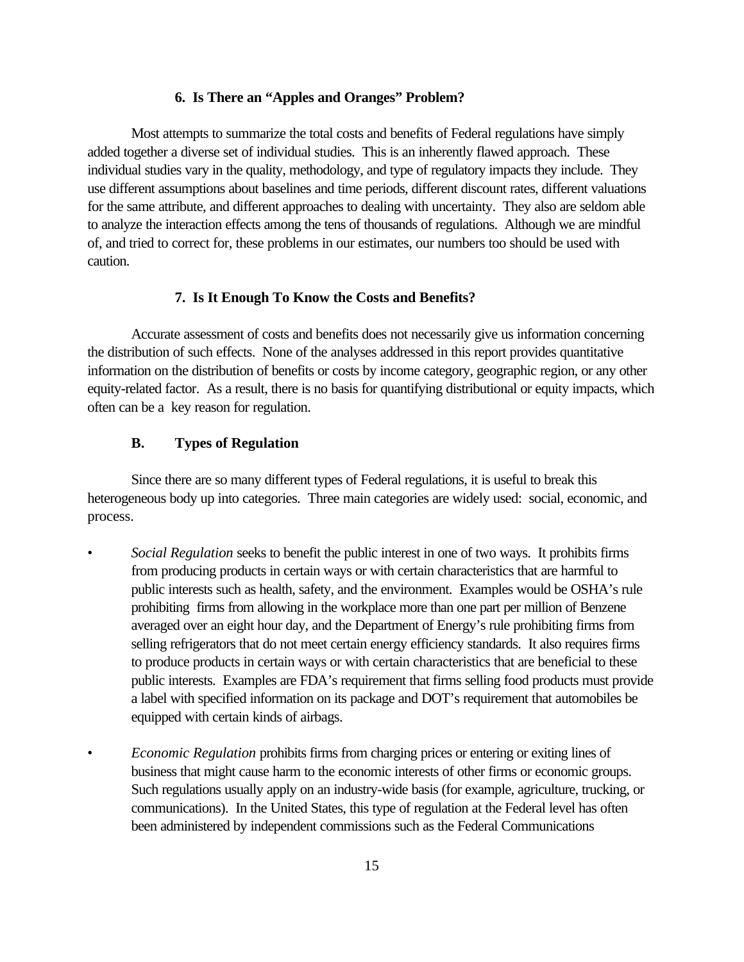## **6. Is There an "Apples and Oranges" Problem?**

Most attempts to summarize the total costs and benefits of Federal regulations have simply added together a diverse set of individual studies. This is an inherently flawed approach. These individual studies vary in the quality, methodology, and type of regulatory impacts they include. They use different assumptions about baselines and time periods, different discount rates, different valuations for the same attribute, and different approaches to dealing with uncertainty. They also are seldom able to analyze the interaction effects among the tens of thousands of regulations. Although we are mindful of, and tried to correct for, these problems in our estimates, our numbers too should be used with caution.

#### **7. Is It Enough To Know the Costs and Benefits?**

Accurate assessment of costs and benefits does not necessarily give us information concerning the distribution of such effects. None of the analyses addressed in this report provides quantitative information on the distribution of benefits or costs by income category, geographic region, or any other equity-related factor. As a result, there is no basis for quantifying distributional or equity impacts, which often can be a key reason for regulation.

## **B. Types of Regulation**

Since there are so many different types of Federal regulations, it is useful to break this heterogeneous body up into categories. Three main categories are widely used: social, economic, and process.

- *Social Regulation* seeks to benefit the public interest in one of two ways. It prohibits firms from producing products in certain ways or with certain characteristics that are harmful to public interests such as health, safety, and the environment. Examples would be OSHA's rule prohibiting firms from allowing in the workplace more than one part per million of Benzene averaged over an eight hour day, and the Department of Energy's rule prohibiting firms from selling refrigerators that do not meet certain energy efficiency standards. It also requires firms to produce products in certain ways or with certain characteristics that are beneficial to these public interests. Examples are FDA's requirement that firms selling food products must provide a label with specified information on its package and DOT's requirement that automobiles be equipped with certain kinds of airbags.
- *Economic Regulation* prohibits firms from charging prices or entering or exiting lines of business that might cause harm to the economic interests of other firms or economic groups. Such regulations usually apply on an industry-wide basis (for example, agriculture, trucking, or communications). In the United States, this type of regulation at the Federal level has often been administered by independent commissions such as the Federal Communications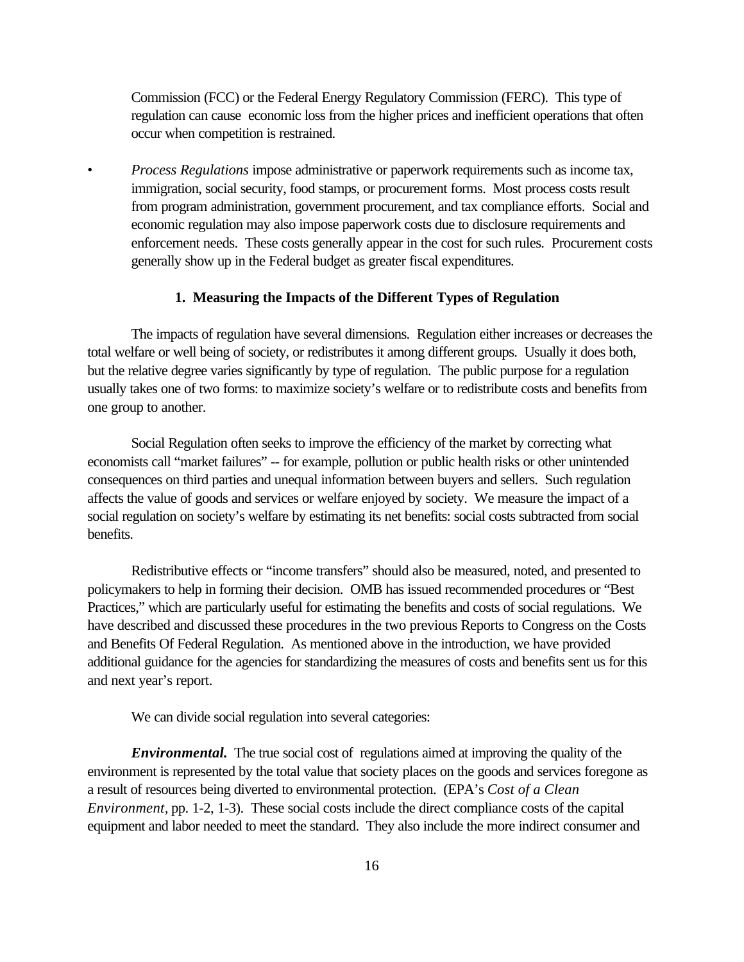Commission (FCC) or the Federal Energy Regulatory Commission (FERC). This type of regulation can cause economic loss from the higher prices and inefficient operations that often occur when competition is restrained.

• *Process Regulations* impose administrative or paperwork requirements such as income tax, immigration, social security, food stamps, or procurement forms. Most process costs result from program administration, government procurement, and tax compliance efforts. Social and economic regulation may also impose paperwork costs due to disclosure requirements and enforcement needs. These costs generally appear in the cost for such rules. Procurement costs generally show up in the Federal budget as greater fiscal expenditures.

## **1. Measuring the Impacts of the Different Types of Regulation**

The impacts of regulation have several dimensions. Regulation either increases or decreases the total welfare or well being of society, or redistributes it among different groups. Usually it does both, but the relative degree varies significantly by type of regulation. The public purpose for a regulation usually takes one of two forms: to maximize society's welfare or to redistribute costs and benefits from one group to another.

Social Regulation often seeks to improve the efficiency of the market by correcting what economists call "market failures" -- for example, pollution or public health risks or other unintended consequences on third parties and unequal information between buyers and sellers. Such regulation affects the value of goods and services or welfare enjoyed by society. We measure the impact of a social regulation on society's welfare by estimating its net benefits: social costs subtracted from social benefits.

Redistributive effects or "income transfers" should also be measured, noted, and presented to policymakers to help in forming their decision. OMB has issued recommended procedures or "Best Practices," which are particularly useful for estimating the benefits and costs of social regulations. We have described and discussed these procedures in the two previous Reports to Congress on the Costs and Benefits Of Federal Regulation. As mentioned above in the introduction, we have provided additional guidance for the agencies for standardizing the measures of costs and benefits sent us for this and next year's report.

We can divide social regulation into several categories:

*Environmental.* The true social cost of regulations aimed at improving the quality of the environment is represented by the total value that society places on the goods and services foregone as a result of resources being diverted to environmental protection. (EPA's *Cost of a Clean Environment,* pp. 1-2, 1-3). These social costs include the direct compliance costs of the capital equipment and labor needed to meet the standard. They also include the more indirect consumer and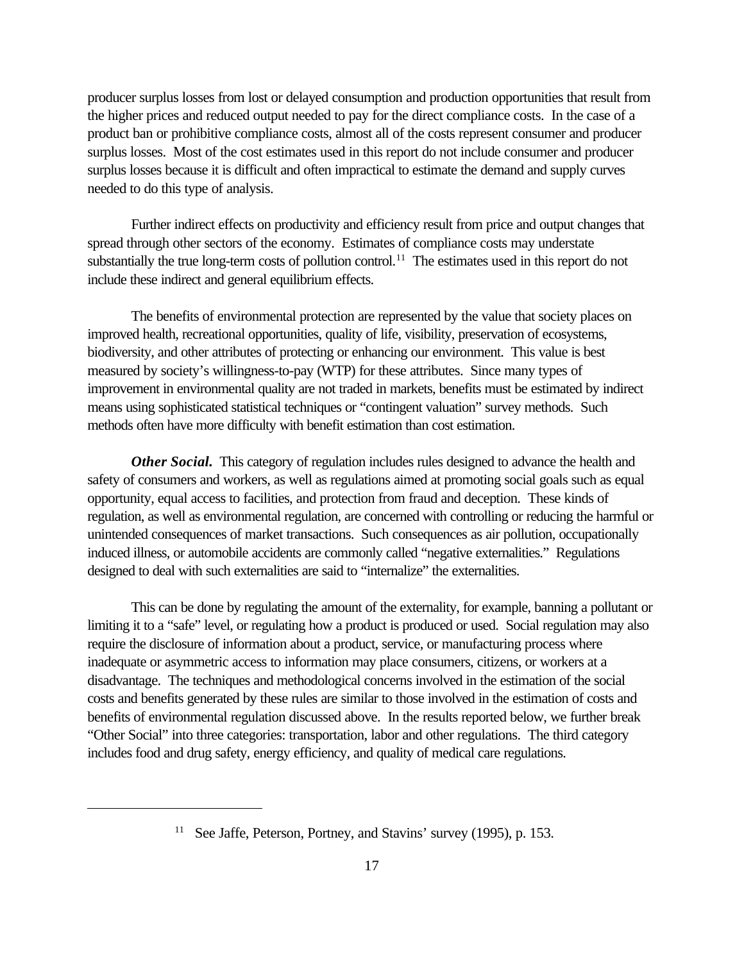producer surplus losses from lost or delayed consumption and production opportunities that result from the higher prices and reduced output needed to pay for the direct compliance costs. In the case of a product ban or prohibitive compliance costs, almost all of the costs represent consumer and producer surplus losses. Most of the cost estimates used in this report do not include consumer and producer surplus losses because it is difficult and often impractical to estimate the demand and supply curves needed to do this type of analysis.

Further indirect effects on productivity and efficiency result from price and output changes that spread through other sectors of the economy. Estimates of compliance costs may understate substantially the true long-term costs of pollution control.<sup>11</sup> The estimates used in this report do not include these indirect and general equilibrium effects.

The benefits of environmental protection are represented by the value that society places on improved health, recreational opportunities, quality of life, visibility, preservation of ecosystems, biodiversity, and other attributes of protecting or enhancing our environment. This value is best measured by society's willingness-to-pay (WTP) for these attributes. Since many types of improvement in environmental quality are not traded in markets, benefits must be estimated by indirect means using sophisticated statistical techniques or "contingent valuation" survey methods. Such methods often have more difficulty with benefit estimation than cost estimation.

*Other Social.* This category of regulation includes rules designed to advance the health and safety of consumers and workers, as well as regulations aimed at promoting social goals such as equal opportunity, equal access to facilities, and protection from fraud and deception. These kinds of regulation, as well as environmental regulation, are concerned with controlling or reducing the harmful or unintended consequences of market transactions. Such consequences as air pollution, occupationally induced illness, or automobile accidents are commonly called "negative externalities." Regulations designed to deal with such externalities are said to "internalize" the externalities.

This can be done by regulating the amount of the externality, for example, banning a pollutant or limiting it to a "safe" level, or regulating how a product is produced or used. Social regulation may also require the disclosure of information about a product, service, or manufacturing process where inadequate or asymmetric access to information may place consumers, citizens, or workers at a disadvantage. The techniques and methodological concerns involved in the estimation of the social costs and benefits generated by these rules are similar to those involved in the estimation of costs and benefits of environmental regulation discussed above. In the results reported below, we further break "Other Social" into three categories: transportation, labor and other regulations. The third category includes food and drug safety, energy efficiency, and quality of medical care regulations.

<sup>&</sup>lt;sup>11</sup> See Jaffe, Peterson, Portney, and Stavins' survey (1995), p. 153.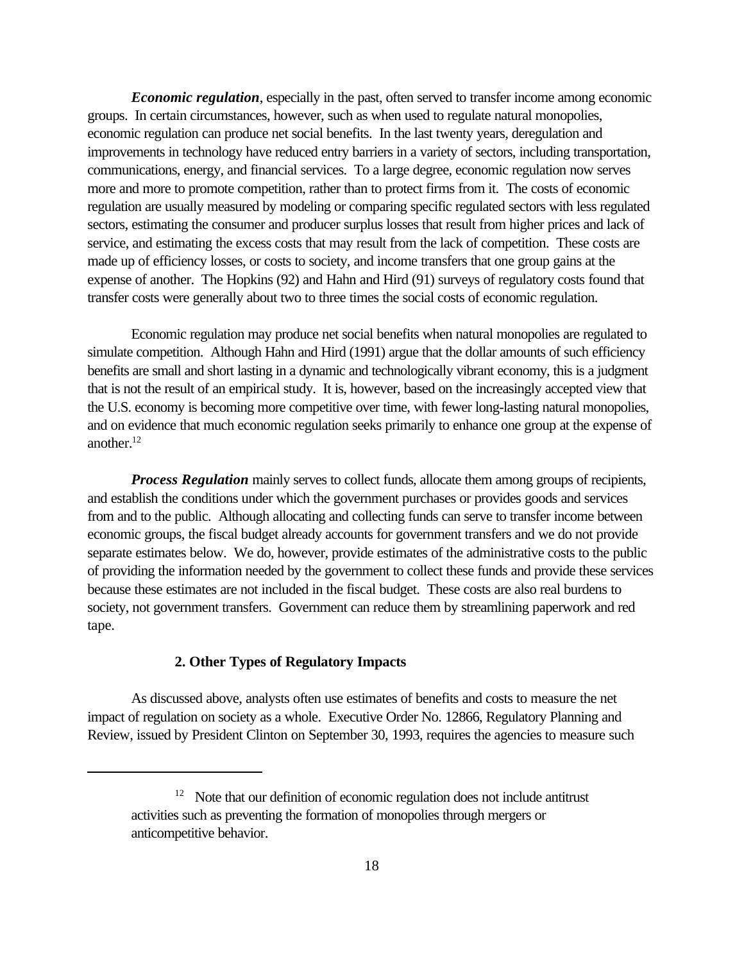*Economic regulation*, especially in the past, often served to transfer income among economic groups. In certain circumstances, however, such as when used to regulate natural monopolies, economic regulation can produce net social benefits. In the last twenty years, deregulation and improvements in technology have reduced entry barriers in a variety of sectors, including transportation, communications, energy, and financial services. To a large degree, economic regulation now serves more and more to promote competition, rather than to protect firms from it. The costs of economic regulation are usually measured by modeling or comparing specific regulated sectors with less regulated sectors, estimating the consumer and producer surplus losses that result from higher prices and lack of service, and estimating the excess costs that may result from the lack of competition. These costs are made up of efficiency losses, or costs to society, and income transfers that one group gains at the expense of another. The Hopkins (92) and Hahn and Hird (91) surveys of regulatory costs found that transfer costs were generally about two to three times the social costs of economic regulation.

Economic regulation may produce net social benefits when natural monopolies are regulated to simulate competition. Although Hahn and Hird (1991) argue that the dollar amounts of such efficiency benefits are small and short lasting in a dynamic and technologically vibrant economy, this is a judgment that is not the result of an empirical study. It is, however, based on the increasingly accepted view that the U.S. economy is becoming more competitive over time, with fewer long-lasting natural monopolies, and on evidence that much economic regulation seeks primarily to enhance one group at the expense of another.12

**Process Regulation** mainly serves to collect funds, allocate them among groups of recipients, and establish the conditions under which the government purchases or provides goods and services from and to the public. Although allocating and collecting funds can serve to transfer income between economic groups, the fiscal budget already accounts for government transfers and we do not provide separate estimates below. We do, however, provide estimates of the administrative costs to the public of providing the information needed by the government to collect these funds and provide these services because these estimates are not included in the fiscal budget. These costs are also real burdens to society, not government transfers. Government can reduce them by streamlining paperwork and red tape.

## **2. Other Types of Regulatory Impacts**

As discussed above, analysts often use estimates of benefits and costs to measure the net impact of regulation on society as a whole. Executive Order No. 12866, Regulatory Planning and Review, issued by President Clinton on September 30, 1993, requires the agencies to measure such

 $12$  Note that our definition of economic regulation does not include antitrust activities such as preventing the formation of monopolies through mergers or anticompetitive behavior.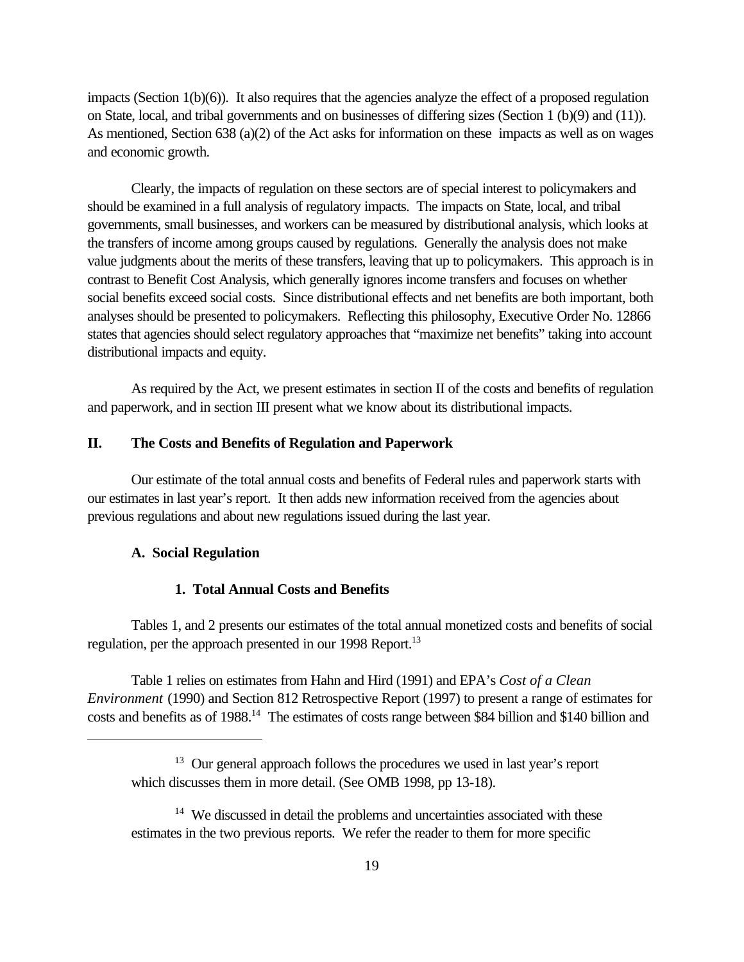impacts (Section 1(b)(6)). It also requires that the agencies analyze the effect of a proposed regulation on State, local, and tribal governments and on businesses of differing sizes (Section 1 (b)(9) and (11)). As mentioned, Section 638 (a)(2) of the Act asks for information on these impacts as well as on wages and economic growth.

Clearly, the impacts of regulation on these sectors are of special interest to policymakers and should be examined in a full analysis of regulatory impacts. The impacts on State, local, and tribal governments, small businesses, and workers can be measured by distributional analysis, which looks at the transfers of income among groups caused by regulations. Generally the analysis does not make value judgments about the merits of these transfers, leaving that up to policymakers. This approach is in contrast to Benefit Cost Analysis, which generally ignores income transfers and focuses on whether social benefits exceed social costs. Since distributional effects and net benefits are both important, both analyses should be presented to policymakers. Reflecting this philosophy, Executive Order No. 12866 states that agencies should select regulatory approaches that "maximize net benefits" taking into account distributional impacts and equity.

As required by the Act, we present estimates in section II of the costs and benefits of regulation and paperwork, and in section III present what we know about its distributional impacts.

## **II. The Costs and Benefits of Regulation and Paperwork**

Our estimate of the total annual costs and benefits of Federal rules and paperwork starts with our estimates in last year's report. It then adds new information received from the agencies about previous regulations and about new regulations issued during the last year.

#### **A. Social Regulation**

## **1. Total Annual Costs and Benefits**

Tables 1, and 2 presents our estimates of the total annual monetized costs and benefits of social regulation, per the approach presented in our 1998 Report.<sup>13</sup>

Table 1 relies on estimates from Hahn and Hird (1991) and EPA's *Cost of a Clean Environment* (1990) and Section 812 Retrospective Report (1997) to present a range of estimates for costs and benefits as of 1988.<sup>14</sup> The estimates of costs range between \$84 billion and \$140 billion and

<sup>&</sup>lt;sup>13</sup> Our general approach follows the procedures we used in last year's report which discusses them in more detail. (See OMB 1998, pp 13-18).

<sup>&</sup>lt;sup>14</sup> We discussed in detail the problems and uncertainties associated with these estimates in the two previous reports. We refer the reader to them for more specific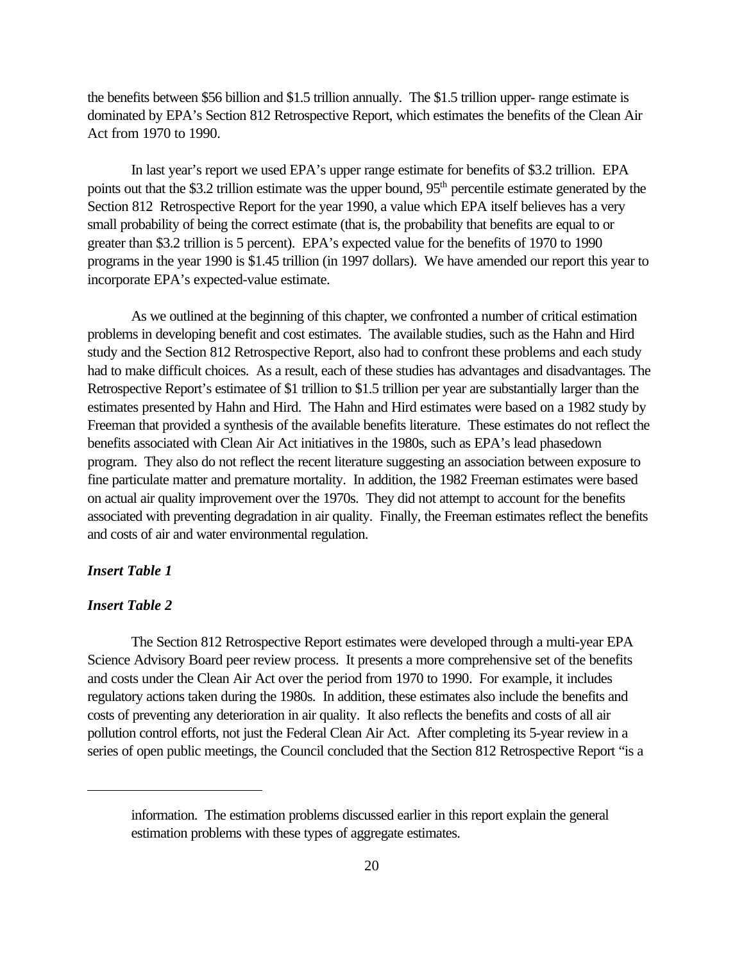the benefits between \$56 billion and \$1.5 trillion annually. The \$1.5 trillion upper- range estimate is dominated by EPA's Section 812 Retrospective Report, which estimates the benefits of the Clean Air Act from 1970 to 1990.

In last year's report we used EPA's upper range estimate for benefits of \$3.2 trillion. EPA points out that the \$3.2 trillion estimate was the upper bound, 95<sup>th</sup> percentile estimate generated by the Section 812 Retrospective Report for the year 1990, a value which EPA itself believes has a very small probability of being the correct estimate (that is, the probability that benefits are equal to or greater than \$3.2 trillion is 5 percent). EPA's expected value for the benefits of 1970 to 1990 programs in the year 1990 is \$1.45 trillion (in 1997 dollars). We have amended our report this year to incorporate EPA's expected-value estimate.

As we outlined at the beginning of this chapter, we confronted a number of critical estimation problems in developing benefit and cost estimates. The available studies, such as the Hahn and Hird study and the Section 812 Retrospective Report, also had to confront these problems and each study had to make difficult choices. As a result, each of these studies has advantages and disadvantages. The Retrospective Report's estimatee of \$1 trillion to \$1.5 trillion per year are substantially larger than the estimates presented by Hahn and Hird. The Hahn and Hird estimates were based on a 1982 study by Freeman that provided a synthesis of the available benefits literature. These estimates do not reflect the benefits associated with Clean Air Act initiatives in the 1980s, such as EPA's lead phasedown program. They also do not reflect the recent literature suggesting an association between exposure to fine particulate matter and premature mortality. In addition, the 1982 Freeman estimates were based on actual air quality improvement over the 1970s. They did not attempt to account for the benefits associated with preventing degradation in air quality. Finally, the Freeman estimates reflect the benefits and costs of air and water environmental regulation.

## *Insert Table 1*

#### *Insert Table 2*

The Section 812 Retrospective Report estimates were developed through a multi-year EPA Science Advisory Board peer review process. It presents a more comprehensive set of the benefits and costs under the Clean Air Act over the period from 1970 to 1990. For example, it includes regulatory actions taken during the 1980s. In addition, these estimates also include the benefits and costs of preventing any deterioration in air quality. It also reflects the benefits and costs of all air pollution control efforts, not just the Federal Clean Air Act. After completing its 5-year review in a series of open public meetings, the Council concluded that the Section 812 Retrospective Report "is a

information. The estimation problems discussed earlier in this report explain the general estimation problems with these types of aggregate estimates.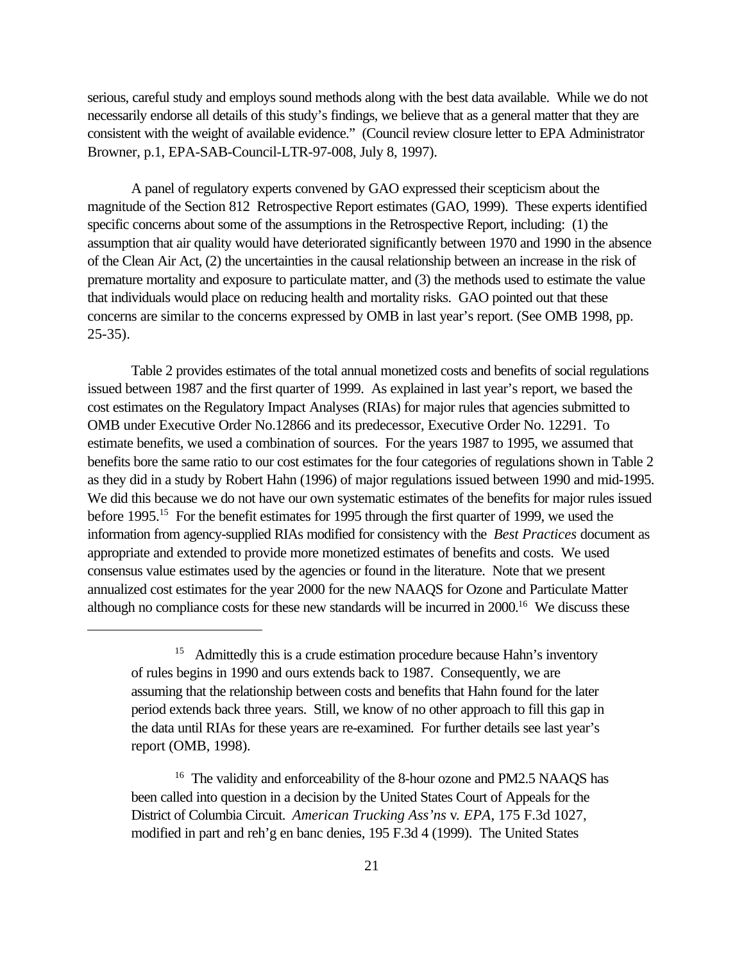serious, careful study and employs sound methods along with the best data available. While we do not necessarily endorse all details of this study's findings, we believe that as a general matter that they are consistent with the weight of available evidence." (Council review closure letter to EPA Administrator Browner, p.1, EPA-SAB-Council-LTR-97-008, July 8, 1997).

A panel of regulatory experts convened by GAO expressed their scepticism about the magnitude of the Section 812 Retrospective Report estimates (GAO, 1999). These experts identified specific concerns about some of the assumptions in the Retrospective Report, including: (1) the assumption that air quality would have deteriorated significantly between 1970 and 1990 in the absence of the Clean Air Act, (2) the uncertainties in the causal relationship between an increase in the risk of premature mortality and exposure to particulate matter, and (3) the methods used to estimate the value that individuals would place on reducing health and mortality risks. GAO pointed out that these concerns are similar to the concerns expressed by OMB in last year's report. (See OMB 1998, pp. 25-35).

Table 2 provides estimates of the total annual monetized costs and benefits of social regulations issued between 1987 and the first quarter of 1999. As explained in last year's report, we based the cost estimates on the Regulatory Impact Analyses (RIAs) for major rules that agencies submitted to OMB under Executive Order No.12866 and its predecessor, Executive Order No. 12291. To estimate benefits, we used a combination of sources. For the years 1987 to 1995, we assumed that benefits bore the same ratio to our cost estimates for the four categories of regulations shown in Table 2 as they did in a study by Robert Hahn (1996) of major regulations issued between 1990 and mid-1995. We did this because we do not have our own systematic estimates of the benefits for major rules issued before 1995.15 For the benefit estimates for 1995 through the first quarter of 1999, we used the information from agency-supplied RIAs modified for consistency with the *Best Practices* document as appropriate and extended to provide more monetized estimates of benefits and costs. We used consensus value estimates used by the agencies or found in the literature. Note that we present annualized cost estimates for the year 2000 for the new NAAQS for Ozone and Particulate Matter although no compliance costs for these new standards will be incurred in 2000.<sup>16</sup> We discuss these

<sup>&</sup>lt;sup>15</sup> Admittedly this is a crude estimation procedure because Hahn's inventory of rules begins in 1990 and ours extends back to 1987. Consequently, we are assuming that the relationship between costs and benefits that Hahn found for the later period extends back three years. Still, we know of no other approach to fill this gap in the data until RIAs for these years are re-examined. For further details see last year's report (OMB, 1998).

<sup>&</sup>lt;sup>16</sup> The validity and enforceability of the 8-hour ozone and PM2.5 NAAQS has been called into question in a decision by the United States Court of Appeals for the District of Columbia Circuit. *American Trucking Ass'ns* v*. EPA*, 175 F.3d 1027, modified in part and reh'g en banc denies, 195 F.3d 4 (1999). The United States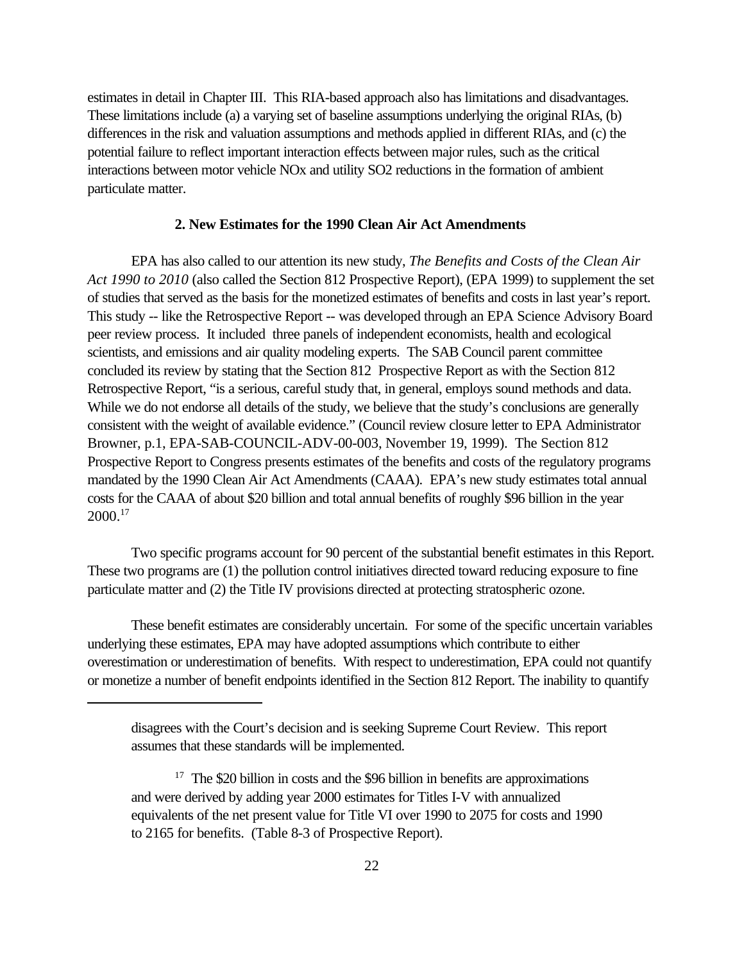estimates in detail in Chapter III. This RIA-based approach also has limitations and disadvantages. These limitations include (a) a varying set of baseline assumptions underlying the original RIAs, (b) differences in the risk and valuation assumptions and methods applied in different RIAs, and (c) the potential failure to reflect important interaction effects between major rules, such as the critical interactions between motor vehicle NOx and utility SO2 reductions in the formation of ambient particulate matter.

#### **2. New Estimates for the 1990 Clean Air Act Amendments**

EPA has also called to our attention its new study, *The Benefits and Costs of the Clean Air Act 1990 to 2010* (also called the Section 812 Prospective Report), (EPA 1999) to supplement the set of studies that served as the basis for the monetized estimates of benefits and costs in last year's report. This study -- like the Retrospective Report -- was developed through an EPA Science Advisory Board peer review process. It included three panels of independent economists, health and ecological scientists, and emissions and air quality modeling experts. The SAB Council parent committee concluded its review by stating that the Section 812 Prospective Report as with the Section 812 Retrospective Report, "is a serious, careful study that, in general, employs sound methods and data. While we do not endorse all details of the study, we believe that the study's conclusions are generally consistent with the weight of available evidence." (Council review closure letter to EPA Administrator Browner, p.1, EPA-SAB-COUNCIL-ADV-00-003, November 19, 1999). The Section 812 Prospective Report to Congress presents estimates of the benefits and costs of the regulatory programs mandated by the 1990 Clean Air Act Amendments (CAAA). EPA's new study estimates total annual costs for the CAAA of about \$20 billion and total annual benefits of roughly \$96 billion in the year 2000.17

Two specific programs account for 90 percent of the substantial benefit estimates in this Report. These two programs are (1) the pollution control initiatives directed toward reducing exposure to fine particulate matter and (2) the Title IV provisions directed at protecting stratospheric ozone.

These benefit estimates are considerably uncertain. For some of the specific uncertain variables underlying these estimates, EPA may have adopted assumptions which contribute to either overestimation or underestimation of benefits. With respect to underestimation, EPA could not quantify or monetize a number of benefit endpoints identified in the Section 812 Report. The inability to quantify

disagrees with the Court's decision and is seeking Supreme Court Review. This report assumes that these standards will be implemented.

<sup>&</sup>lt;sup>17</sup> The \$20 billion in costs and the \$96 billion in benefits are approximations and were derived by adding year 2000 estimates for Titles I-V with annualized equivalents of the net present value for Title VI over 1990 to 2075 for costs and 1990 to 2165 for benefits. (Table 8-3 of Prospective Report).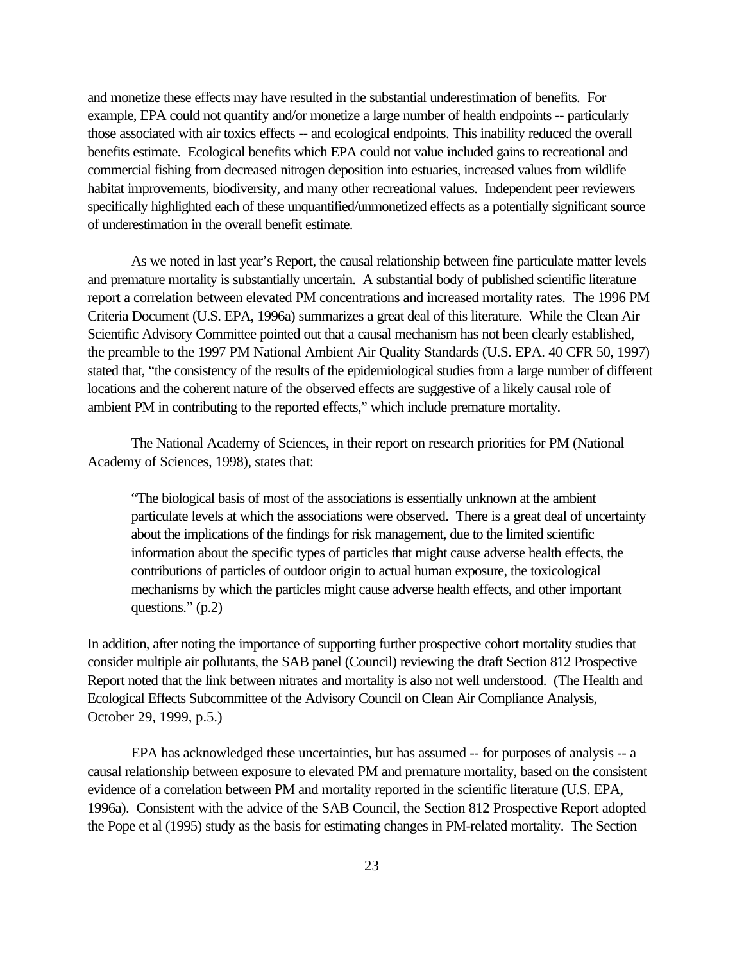and monetize these effects may have resulted in the substantial underestimation of benefits. For example, EPA could not quantify and/or monetize a large number of health endpoints -- particularly those associated with air toxics effects -- and ecological endpoints. This inability reduced the overall benefits estimate. Ecological benefits which EPA could not value included gains to recreational and commercial fishing from decreased nitrogen deposition into estuaries, increased values from wildlife habitat improvements, biodiversity, and many other recreational values. Independent peer reviewers specifically highlighted each of these unquantified/unmonetized effects as a potentially significant source of underestimation in the overall benefit estimate.

As we noted in last year's Report, the causal relationship between fine particulate matter levels and premature mortality is substantially uncertain. A substantial body of published scientific literature report a correlation between elevated PM concentrations and increased mortality rates. The 1996 PM Criteria Document (U.S. EPA, 1996a) summarizes a great deal of this literature. While the Clean Air Scientific Advisory Committee pointed out that a causal mechanism has not been clearly established, the preamble to the 1997 PM National Ambient Air Quality Standards (U.S. EPA. 40 CFR 50, 1997) stated that, "the consistency of the results of the epidemiological studies from a large number of different locations and the coherent nature of the observed effects are suggestive of a likely causal role of ambient PM in contributing to the reported effects," which include premature mortality.

The National Academy of Sciences, in their report on research priorities for PM (National Academy of Sciences, 1998), states that:

"The biological basis of most of the associations is essentially unknown at the ambient particulate levels at which the associations were observed. There is a great deal of uncertainty about the implications of the findings for risk management, due to the limited scientific information about the specific types of particles that might cause adverse health effects, the contributions of particles of outdoor origin to actual human exposure, the toxicological mechanisms by which the particles might cause adverse health effects, and other important questions." (p.2)

In addition, after noting the importance of supporting further prospective cohort mortality studies that consider multiple air pollutants, the SAB panel (Council) reviewing the draft Section 812 Prospective Report noted that the link between nitrates and mortality is also not well understood. (The Health and Ecological Effects Subcommittee of the Advisory Council on Clean Air Compliance Analysis, October 29, 1999, p.5.)

EPA has acknowledged these uncertainties, but has assumed -- for purposes of analysis -- a causal relationship between exposure to elevated PM and premature mortality, based on the consistent evidence of a correlation between PM and mortality reported in the scientific literature (U.S. EPA, 1996a). Consistent with the advice of the SAB Council, the Section 812 Prospective Report adopted the Pope et al (1995) study as the basis for estimating changes in PM-related mortality. The Section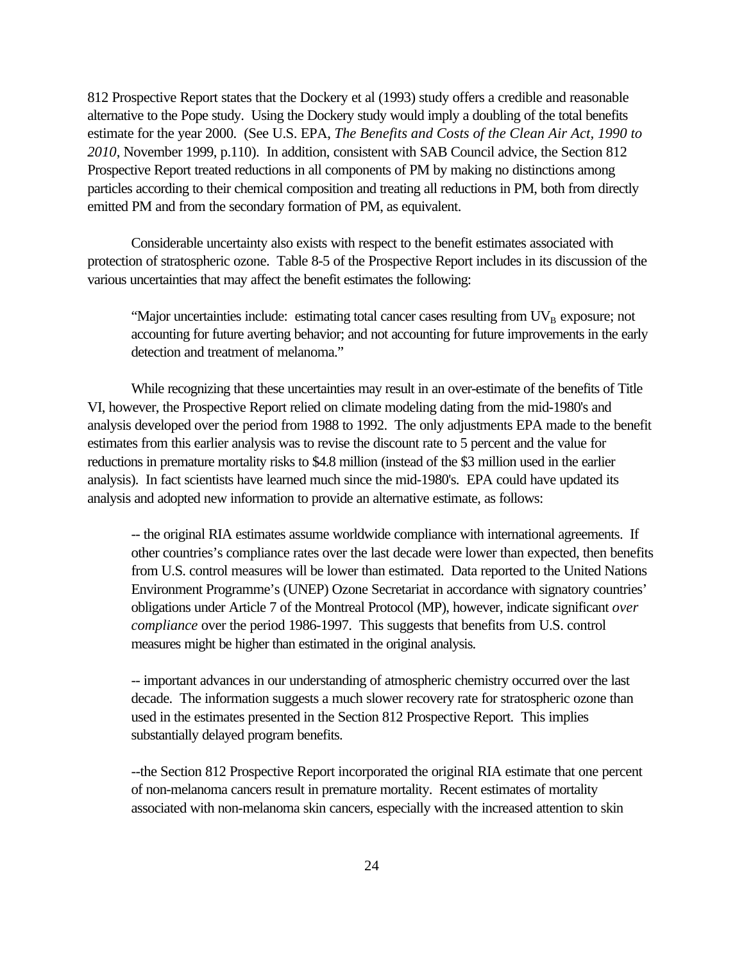812 Prospective Report states that the Dockery et al (1993) study offers a credible and reasonable alternative to the Pope study. Using the Dockery study would imply a doubling of the total benefits estimate for the year 2000. (See U.S. EPA, *The Benefits and Costs of the Clean Air Act, 1990 to 2010*, November 1999, p.110). In addition, consistent with SAB Council advice, the Section 812 Prospective Report treated reductions in all components of PM by making no distinctions among particles according to their chemical composition and treating all reductions in PM, both from directly emitted PM and from the secondary formation of PM, as equivalent.

Considerable uncertainty also exists with respect to the benefit estimates associated with protection of stratospheric ozone. Table 8-5 of the Prospective Report includes in its discussion of the various uncertainties that may affect the benefit estimates the following:

"Major uncertainties include: estimating total cancer cases resulting from  $UV_B$  exposure; not accounting for future averting behavior; and not accounting for future improvements in the early detection and treatment of melanoma."

While recognizing that these uncertainties may result in an over-estimate of the benefits of Title VI, however, the Prospective Report relied on climate modeling dating from the mid-1980's and analysis developed over the period from 1988 to 1992. The only adjustments EPA made to the benefit estimates from this earlier analysis was to revise the discount rate to 5 percent and the value for reductions in premature mortality risks to \$4.8 million (instead of the \$3 million used in the earlier analysis). In fact scientists have learned much since the mid-1980's. EPA could have updated its analysis and adopted new information to provide an alternative estimate, as follows:

-- the original RIA estimates assume worldwide compliance with international agreements. If other countries's compliance rates over the last decade were lower than expected, then benefits from U.S. control measures will be lower than estimated. Data reported to the United Nations Environment Programme's (UNEP) Ozone Secretariat in accordance with signatory countries' obligations under Article 7 of the Montreal Protocol (MP), however, indicate significant *over compliance* over the period 1986-1997. This suggests that benefits from U.S. control measures might be higher than estimated in the original analysis.

-- important advances in our understanding of atmospheric chemistry occurred over the last decade. The information suggests a much slower recovery rate for stratospheric ozone than used in the estimates presented in the Section 812 Prospective Report. This implies substantially delayed program benefits.

--the Section 812 Prospective Report incorporated the original RIA estimate that one percent of non-melanoma cancers result in premature mortality. Recent estimates of mortality associated with non-melanoma skin cancers, especially with the increased attention to skin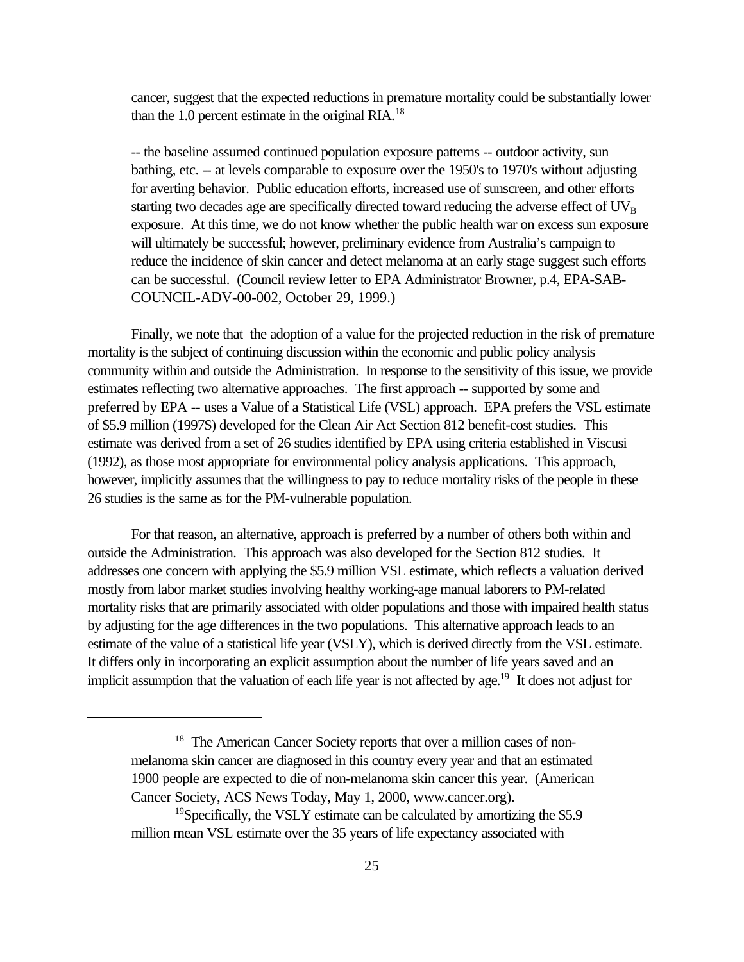cancer, suggest that the expected reductions in premature mortality could be substantially lower than the 1.0 percent estimate in the original RIA. $^{18}$ 

-- the baseline assumed continued population exposure patterns -- outdoor activity, sun bathing, etc. -- at levels comparable to exposure over the 1950's to 1970's without adjusting for averting behavior. Public education efforts, increased use of sunscreen, and other efforts starting two decades age are specifically directed toward reducing the adverse effect of  $UV_B$ exposure. At this time, we do not know whether the public health war on excess sun exposure will ultimately be successful; however, preliminary evidence from Australia's campaign to reduce the incidence of skin cancer and detect melanoma at an early stage suggest such efforts can be successful. (Council review letter to EPA Administrator Browner, p.4, EPA-SAB-COUNCIL-ADV-00-002, October 29, 1999.)

Finally, we note that the adoption of a value for the projected reduction in the risk of premature mortality is the subject of continuing discussion within the economic and public policy analysis community within and outside the Administration. In response to the sensitivity of this issue, we provide estimates reflecting two alternative approaches. The first approach -- supported by some and preferred by EPA -- uses a Value of a Statistical Life (VSL) approach. EPA prefers the VSL estimate of \$5.9 million (1997\$) developed for the Clean Air Act Section 812 benefit-cost studies. This estimate was derived from a set of 26 studies identified by EPA using criteria established in Viscusi (1992), as those most appropriate for environmental policy analysis applications. This approach, however, implicitly assumes that the willingness to pay to reduce mortality risks of the people in these 26 studies is the same as for the PM-vulnerable population.

For that reason, an alternative, approach is preferred by a number of others both within and outside the Administration. This approach was also developed for the Section 812 studies. It addresses one concern with applying the \$5.9 million VSL estimate, which reflects a valuation derived mostly from labor market studies involving healthy working-age manual laborers to PM-related mortality risks that are primarily associated with older populations and those with impaired health status by adjusting for the age differences in the two populations. This alternative approach leads to an estimate of the value of a statistical life year (VSLY), which is derived directly from the VSL estimate. It differs only in incorporating an explicit assumption about the number of life years saved and an implicit assumption that the valuation of each life year is not affected by age.<sup>19</sup> It does not adjust for

<sup>&</sup>lt;sup>18</sup> The American Cancer Society reports that over a million cases of nonmelanoma skin cancer are diagnosed in this country every year and that an estimated 1900 people are expected to die of non-melanoma skin cancer this year. (American Cancer Society, ACS News Today, May 1, 2000, www.cancer.org).

 $19$ Specifically, the VSLY estimate can be calculated by amortizing the \$5.9 million mean VSL estimate over the 35 years of life expectancy associated with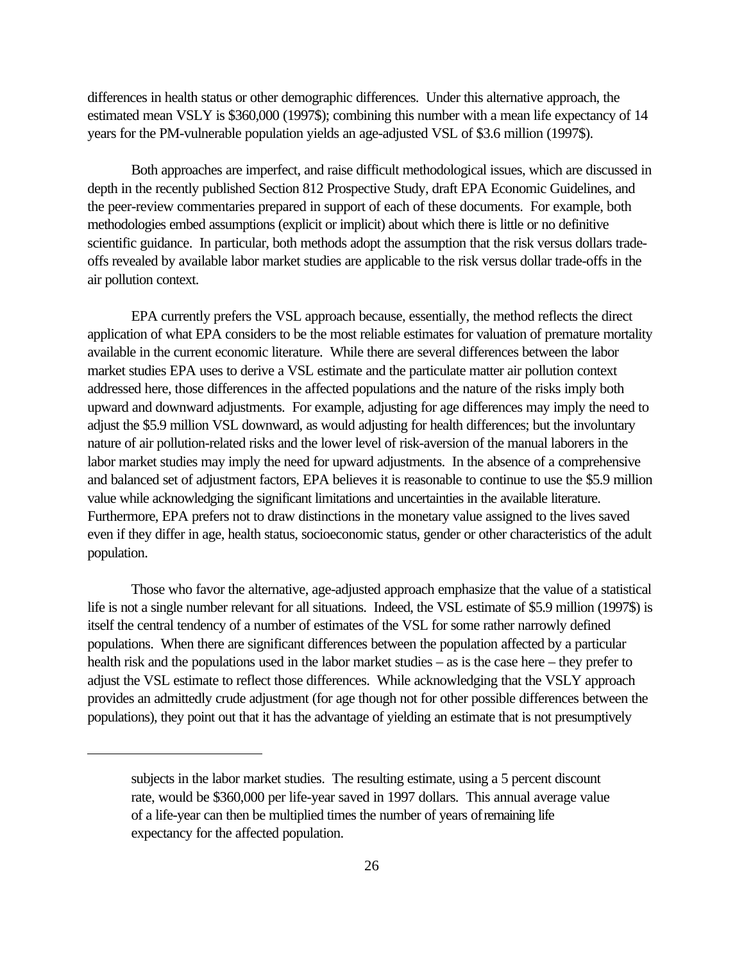differences in health status or other demographic differences. Under this alternative approach, the estimated mean VSLY is \$360,000 (1997\$); combining this number with a mean life expectancy of 14 years for the PM-vulnerable population yields an age-adjusted VSL of \$3.6 million (1997\$).

Both approaches are imperfect, and raise difficult methodological issues, which are discussed in depth in the recently published Section 812 Prospective Study, draft EPA Economic Guidelines, and the peer-review commentaries prepared in support of each of these documents. For example, both methodologies embed assumptions (explicit or implicit) about which there is little or no definitive scientific guidance. In particular, both methods adopt the assumption that the risk versus dollars tradeoffs revealed by available labor market studies are applicable to the risk versus dollar trade-offs in the air pollution context.

EPA currently prefers the VSL approach because, essentially, the method reflects the direct application of what EPA considers to be the most reliable estimates for valuation of premature mortality available in the current economic literature. While there are several differences between the labor market studies EPA uses to derive a VSL estimate and the particulate matter air pollution context addressed here, those differences in the affected populations and the nature of the risks imply both upward and downward adjustments. For example, adjusting for age differences may imply the need to adjust the \$5.9 million VSL downward, as would adjusting for health differences; but the involuntary nature of air pollution-related risks and the lower level of risk-aversion of the manual laborers in the labor market studies may imply the need for upward adjustments. In the absence of a comprehensive and balanced set of adjustment factors, EPA believes it is reasonable to continue to use the \$5.9 million value while acknowledging the significant limitations and uncertainties in the available literature. Furthermore, EPA prefers not to draw distinctions in the monetary value assigned to the lives saved even if they differ in age, health status, socioeconomic status, gender or other characteristics of the adult population.

Those who favor the alternative, age-adjusted approach emphasize that the value of a statistical life is not a single number relevant for all situations. Indeed, the VSL estimate of \$5.9 million (1997\$) is itself the central tendency of a number of estimates of the VSL for some rather narrowly defined populations. When there are significant differences between the population affected by a particular health risk and the populations used in the labor market studies – as is the case here – they prefer to adjust the VSL estimate to reflect those differences. While acknowledging that the VSLY approach provides an admittedly crude adjustment (for age though not for other possible differences between the populations), they point out that it has the advantage of yielding an estimate that is not presumptively

subjects in the labor market studies. The resulting estimate, using a 5 percent discount rate, would be \$360,000 per life-year saved in 1997 dollars. This annual average value of a life-year can then be multiplied times the number of years ofremaining life expectancy for the affected population.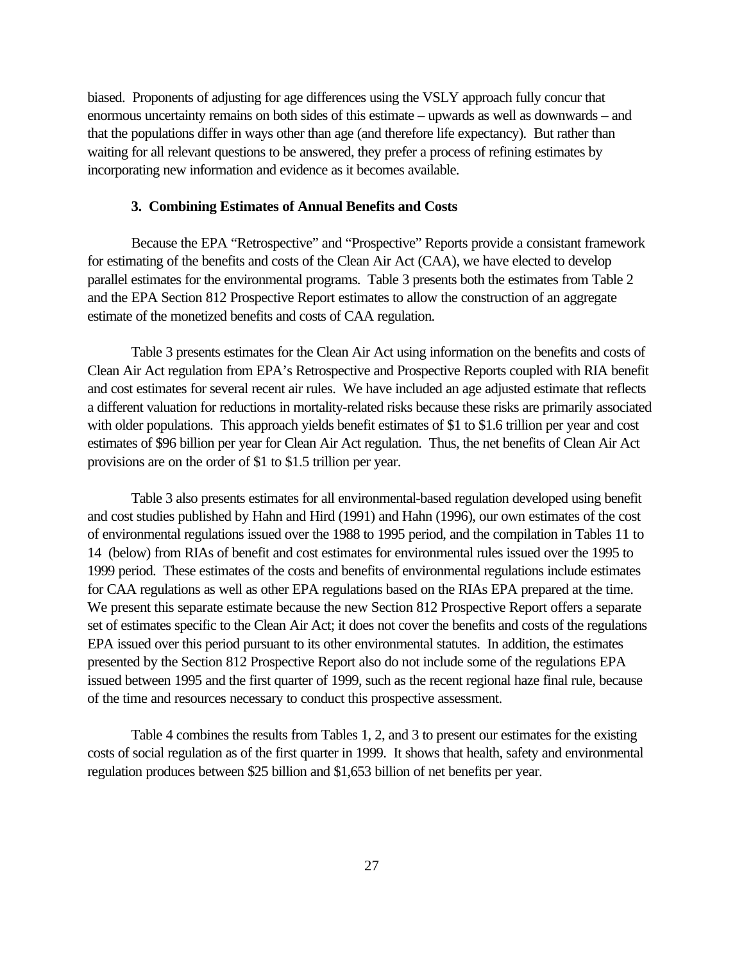biased. Proponents of adjusting for age differences using the VSLY approach fully concur that enormous uncertainty remains on both sides of this estimate – upwards as well as downwards – and that the populations differ in ways other than age (and therefore life expectancy). But rather than waiting for all relevant questions to be answered, they prefer a process of refining estimates by incorporating new information and evidence as it becomes available.

## **3. Combining Estimates of Annual Benefits and Costs**

Because the EPA "Retrospective" and "Prospective" Reports provide a consistant framework for estimating of the benefits and costs of the Clean Air Act (CAA), we have elected to develop parallel estimates for the environmental programs. Table 3 presents both the estimates from Table 2 and the EPA Section 812 Prospective Report estimates to allow the construction of an aggregate estimate of the monetized benefits and costs of CAA regulation.

Table 3 presents estimates for the Clean Air Act using information on the benefits and costs of Clean Air Act regulation from EPA's Retrospective and Prospective Reports coupled with RIA benefit and cost estimates for several recent air rules. We have included an age adjusted estimate that reflects a different valuation for reductions in mortality-related risks because these risks are primarily associated with older populations. This approach yields benefit estimates of \$1 to \$1.6 trillion per year and cost estimates of \$96 billion per year for Clean Air Act regulation. Thus, the net benefits of Clean Air Act provisions are on the order of \$1 to \$1.5 trillion per year.

Table 3 also presents estimates for all environmental-based regulation developed using benefit and cost studies published by Hahn and Hird (1991) and Hahn (1996), our own estimates of the cost of environmental regulations issued over the 1988 to 1995 period, and the compilation in Tables 11 to 14 (below) from RIAs of benefit and cost estimates for environmental rules issued over the 1995 to 1999 period. These estimates of the costs and benefits of environmental regulations include estimates for CAA regulations as well as other EPA regulations based on the RIAs EPA prepared at the time. We present this separate estimate because the new Section 812 Prospective Report offers a separate set of estimates specific to the Clean Air Act; it does not cover the benefits and costs of the regulations EPA issued over this period pursuant to its other environmental statutes. In addition, the estimates presented by the Section 812 Prospective Report also do not include some of the regulations EPA issued between 1995 and the first quarter of 1999, such as the recent regional haze final rule, because of the time and resources necessary to conduct this prospective assessment.

Table 4 combines the results from Tables 1, 2, and 3 to present our estimates for the existing costs of social regulation as of the first quarter in 1999. It shows that health, safety and environmental regulation produces between \$25 billion and \$1,653 billion of net benefits per year.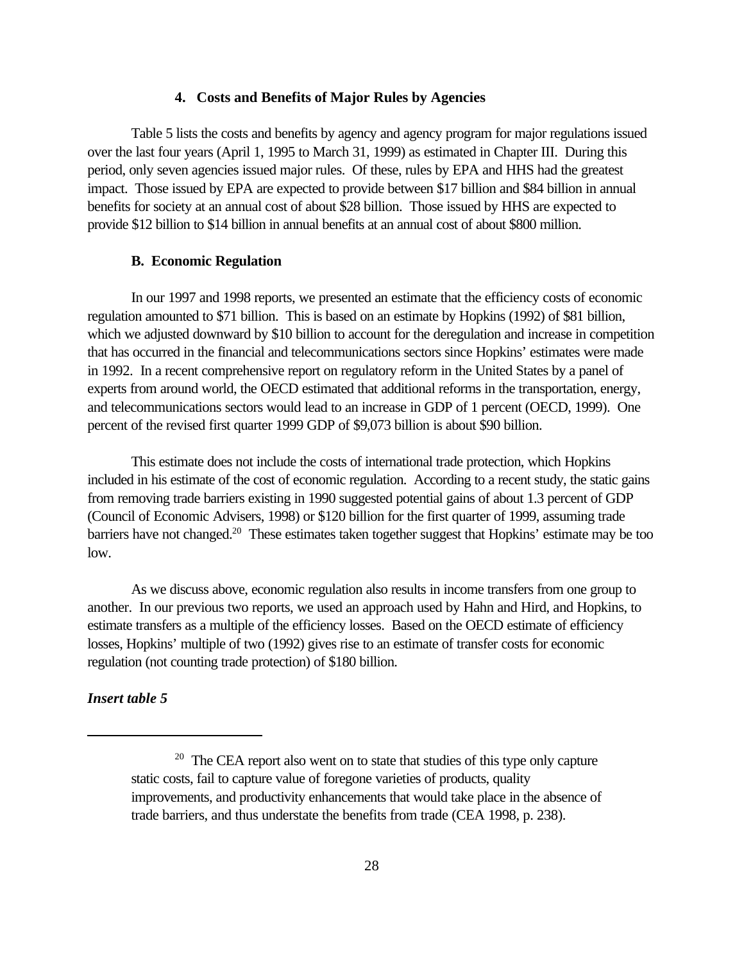#### **4. Costs and Benefits of Major Rules by Agencies**

Table 5 lists the costs and benefits by agency and agency program for major regulations issued over the last four years (April 1, 1995 to March 31, 1999) as estimated in Chapter III. During this period, only seven agencies issued major rules. Of these, rules by EPA and HHS had the greatest impact. Those issued by EPA are expected to provide between \$17 billion and \$84 billion in annual benefits for society at an annual cost of about \$28 billion. Those issued by HHS are expected to provide \$12 billion to \$14 billion in annual benefits at an annual cost of about \$800 million.

#### **B. Economic Regulation**

In our 1997 and 1998 reports, we presented an estimate that the efficiency costs of economic regulation amounted to \$71 billion. This is based on an estimate by Hopkins (1992) of \$81 billion, which we adjusted downward by \$10 billion to account for the deregulation and increase in competition that has occurred in the financial and telecommunications sectors since Hopkins' estimates were made in 1992. In a recent comprehensive report on regulatory reform in the United States by a panel of experts from around world, the OECD estimated that additional reforms in the transportation, energy, and telecommunications sectors would lead to an increase in GDP of 1 percent (OECD, 1999). One percent of the revised first quarter 1999 GDP of \$9,073 billion is about \$90 billion.

This estimate does not include the costs of international trade protection, which Hopkins included in his estimate of the cost of economic regulation. According to a recent study, the static gains from removing trade barriers existing in 1990 suggested potential gains of about 1.3 percent of GDP (Council of Economic Advisers, 1998) or \$120 billion for the first quarter of 1999, assuming trade barriers have not changed.<sup>20</sup> These estimates taken together suggest that Hopkins' estimate may be too low.

As we discuss above, economic regulation also results in income transfers from one group to another. In our previous two reports, we used an approach used by Hahn and Hird, and Hopkins, to estimate transfers as a multiple of the efficiency losses. Based on the OECD estimate of efficiency losses, Hopkins' multiple of two (1992) gives rise to an estimate of transfer costs for economic regulation (not counting trade protection) of \$180 billion.

## *Insert table 5*

 $20$  The CEA report also went on to state that studies of this type only capture static costs, fail to capture value of foregone varieties of products, quality improvements, and productivity enhancements that would take place in the absence of trade barriers, and thus understate the benefits from trade (CEA 1998, p. 238).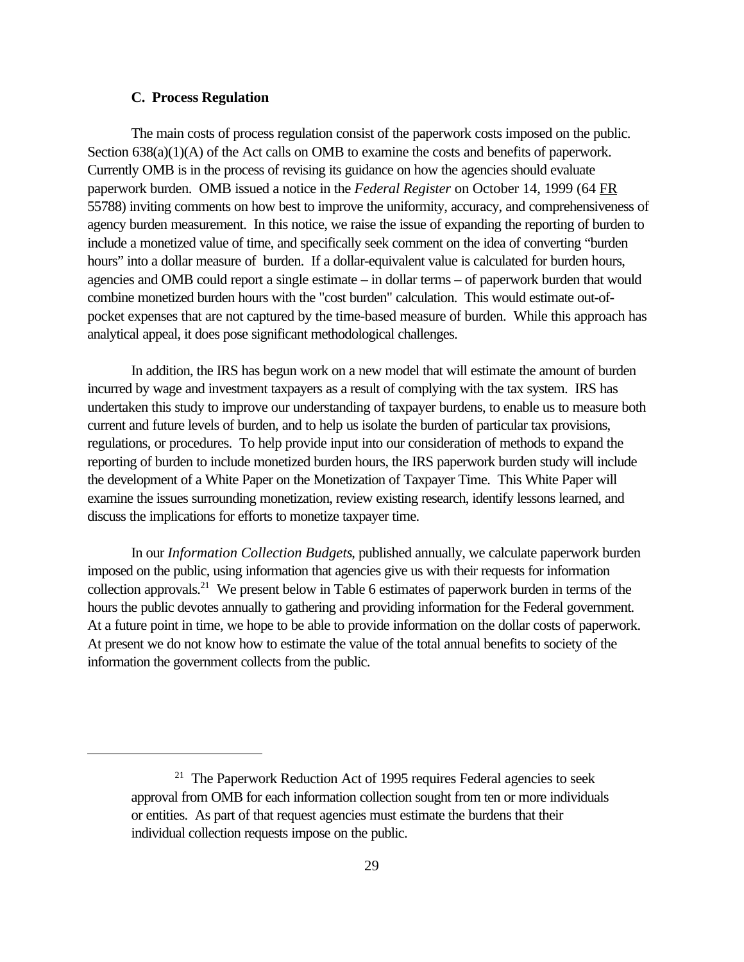## **C. Process Regulation**

The main costs of process regulation consist of the paperwork costs imposed on the public. Section  $638(a)(1)(A)$  of the Act calls on OMB to examine the costs and benefits of paperwork. Currently OMB is in the process of revising its guidance on how the agencies should evaluate paperwork burden. OMB issued a notice in the *Federal Register* on October 14, 1999 (64 FR 55788) inviting comments on how best to improve the uniformity, accuracy, and comprehensiveness of agency burden measurement. In this notice, we raise the issue of expanding the reporting of burden to include a monetized value of time, and specifically seek comment on the idea of converting "burden hours" into a dollar measure of burden. If a dollar-equivalent value is calculated for burden hours, agencies and OMB could report a single estimate – in dollar terms – of paperwork burden that would combine monetized burden hours with the "cost burden" calculation. This would estimate out-ofpocket expenses that are not captured by the time-based measure of burden. While this approach has analytical appeal, it does pose significant methodological challenges.

In addition, the IRS has begun work on a new model that will estimate the amount of burden incurred by wage and investment taxpayers as a result of complying with the tax system. IRS has undertaken this study to improve our understanding of taxpayer burdens, to enable us to measure both current and future levels of burden, and to help us isolate the burden of particular tax provisions, regulations, or procedures. To help provide input into our consideration of methods to expand the reporting of burden to include monetized burden hours, the IRS paperwork burden study will include the development of a White Paper on the Monetization of Taxpayer Time. This White Paper will examine the issues surrounding monetization, review existing research, identify lessons learned, and discuss the implications for efforts to monetize taxpayer time.

In our *Information Collection Budgets*, published annually, we calculate paperwork burden imposed on the public, using information that agencies give us with their requests for information collection approvals.21 We present below in Table 6 estimates of paperwork burden in terms of the hours the public devotes annually to gathering and providing information for the Federal government. At a future point in time, we hope to be able to provide information on the dollar costs of paperwork. At present we do not know how to estimate the value of the total annual benefits to society of the information the government collects from the public.

<sup>&</sup>lt;sup>21</sup> The Paperwork Reduction Act of 1995 requires Federal agencies to seek approval from OMB for each information collection sought from ten or more individuals or entities. As part of that request agencies must estimate the burdens that their individual collection requests impose on the public.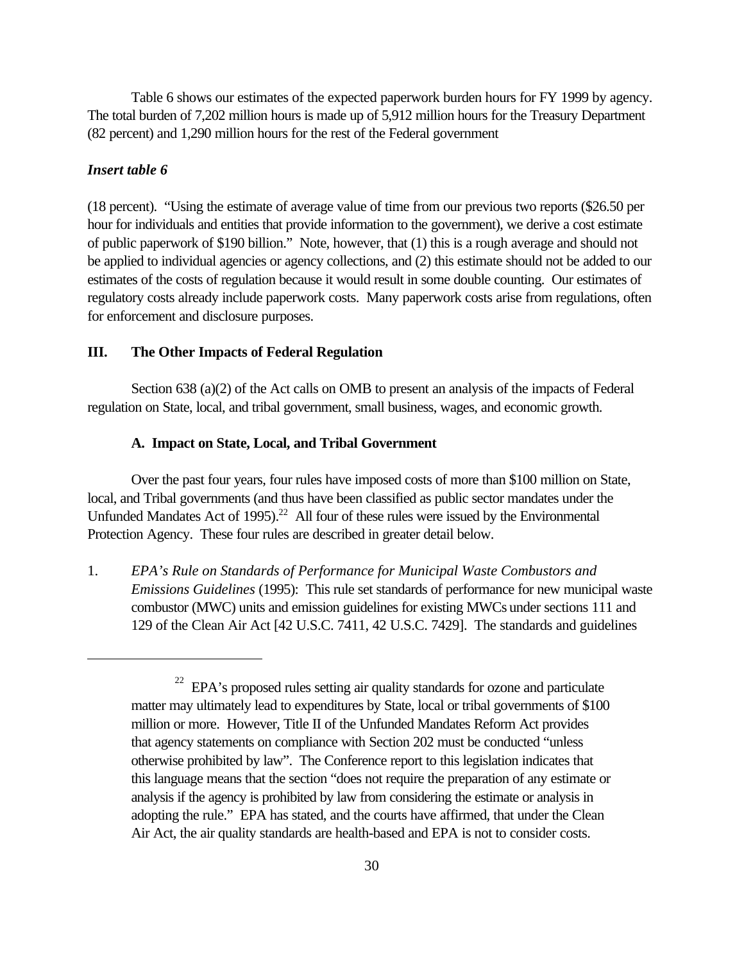Table 6 shows our estimates of the expected paperwork burden hours for FY 1999 by agency. The total burden of 7,202 million hours is made up of 5,912 million hours for the Treasury Department (82 percent) and 1,290 million hours for the rest of the Federal government

## *Insert table 6*

(18 percent). "Using the estimate of average value of time from our previous two reports (\$26.50 per hour for individuals and entities that provide information to the government), we derive a cost estimate of public paperwork of \$190 billion." Note, however, that (1) this is a rough average and should not be applied to individual agencies or agency collections, and (2) this estimate should not be added to our estimates of the costs of regulation because it would result in some double counting. Our estimates of regulatory costs already include paperwork costs. Many paperwork costs arise from regulations, often for enforcement and disclosure purposes.

## **III. The Other Impacts of Federal Regulation**

Section 638 (a)(2) of the Act calls on OMB to present an analysis of the impacts of Federal regulation on State, local, and tribal government, small business, wages, and economic growth.

## **A. Impact on State, Local, and Tribal Government**

Over the past four years, four rules have imposed costs of more than \$100 million on State, local, and Tribal governments (and thus have been classified as public sector mandates under the Unfunded Mandates Act of 1995).<sup>22</sup> All four of these rules were issued by the Environmental Protection Agency. These four rules are described in greater detail below.

1. *EPA's Rule on Standards of Performance for Municipal Waste Combustors and Emissions Guidelines* (1995): This rule set standards of performance for new municipal waste combustor (MWC) units and emission guidelines for existing MWCs under sections 111 and 129 of the Clean Air Act [42 U.S.C. 7411, 42 U.S.C. 7429]. The standards and guidelines

EPA's proposed rules setting air quality standards for ozone and particulate matter may ultimately lead to expenditures by State, local or tribal governments of \$100 million or more. However, Title II of the Unfunded Mandates Reform Act provides that agency statements on compliance with Section 202 must be conducted "unless otherwise prohibited by law". The Conference report to this legislation indicates that this language means that the section "does not require the preparation of any estimate or analysis if the agency is prohibited by law from considering the estimate or analysis in adopting the rule." EPA has stated, and the courts have affirmed, that under the Clean Air Act, the air quality standards are health-based and EPA is not to consider costs.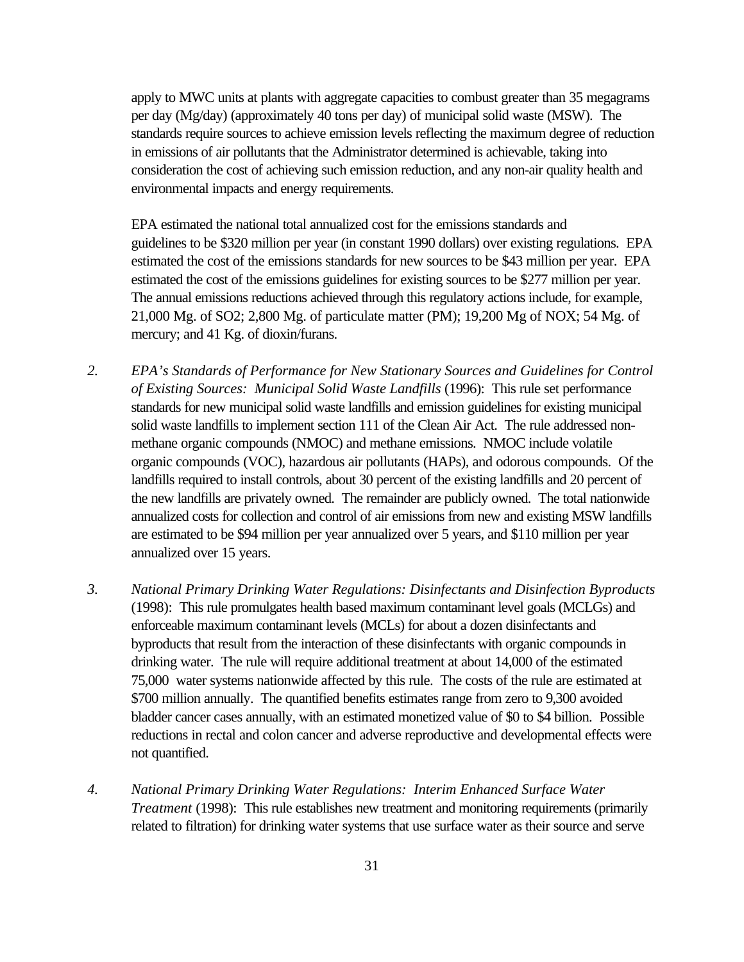apply to MWC units at plants with aggregate capacities to combust greater than 35 megagrams per day (Mg/day) (approximately 40 tons per day) of municipal solid waste (MSW). The standards require sources to achieve emission levels reflecting the maximum degree of reduction in emissions of air pollutants that the Administrator determined is achievable, taking into consideration the cost of achieving such emission reduction, and any non-air quality health and environmental impacts and energy requirements.

EPA estimated the national total annualized cost for the emissions standards and guidelines to be \$320 million per year (in constant 1990 dollars) over existing regulations. EPA estimated the cost of the emissions standards for new sources to be \$43 million per year. EPA estimated the cost of the emissions guidelines for existing sources to be \$277 million per year. The annual emissions reductions achieved through this regulatory actions include, for example, 21,000 Mg. of SO2; 2,800 Mg. of particulate matter (PM); 19,200 Mg of NOX; 54 Mg. of mercury; and 41 Kg. of dioxin/furans.

- *2. EPA's Standards of Performance for New Stationary Sources and Guidelines for Control of Existing Sources: Municipal Solid Waste Landfills* (1996): This rule set performance standards for new municipal solid waste landfills and emission guidelines for existing municipal solid waste landfills to implement section 111 of the Clean Air Act. The rule addressed nonmethane organic compounds (NMOC) and methane emissions. NMOC include volatile organic compounds (VOC), hazardous air pollutants (HAPs), and odorous compounds. Of the landfills required to install controls, about 30 percent of the existing landfills and 20 percent of the new landfills are privately owned. The remainder are publicly owned. The total nationwide annualized costs for collection and control of air emissions from new and existing MSW landfills are estimated to be \$94 million per year annualized over 5 years, and \$110 million per year annualized over 15 years.
- *3. National Primary Drinking Water Regulations: Disinfectants and Disinfection Byproducts*  (1998): This rule promulgates health based maximum contaminant level goals (MCLGs) and enforceable maximum contaminant levels (MCLs) for about a dozen disinfectants and byproducts that result from the interaction of these disinfectants with organic compounds in drinking water. The rule will require additional treatment at about 14,000 of the estimated 75,000 water systems nationwide affected by this rule. The costs of the rule are estimated at \$700 million annually. The quantified benefits estimates range from zero to 9,300 avoided bladder cancer cases annually, with an estimated monetized value of \$0 to \$4 billion. Possible reductions in rectal and colon cancer and adverse reproductive and developmental effects were not quantified.
- *4. National Primary Drinking Water Regulations: Interim Enhanced Surface Water Treatment* (1998): This rule establishes new treatment and monitoring requirements (primarily related to filtration) for drinking water systems that use surface water as their source and serve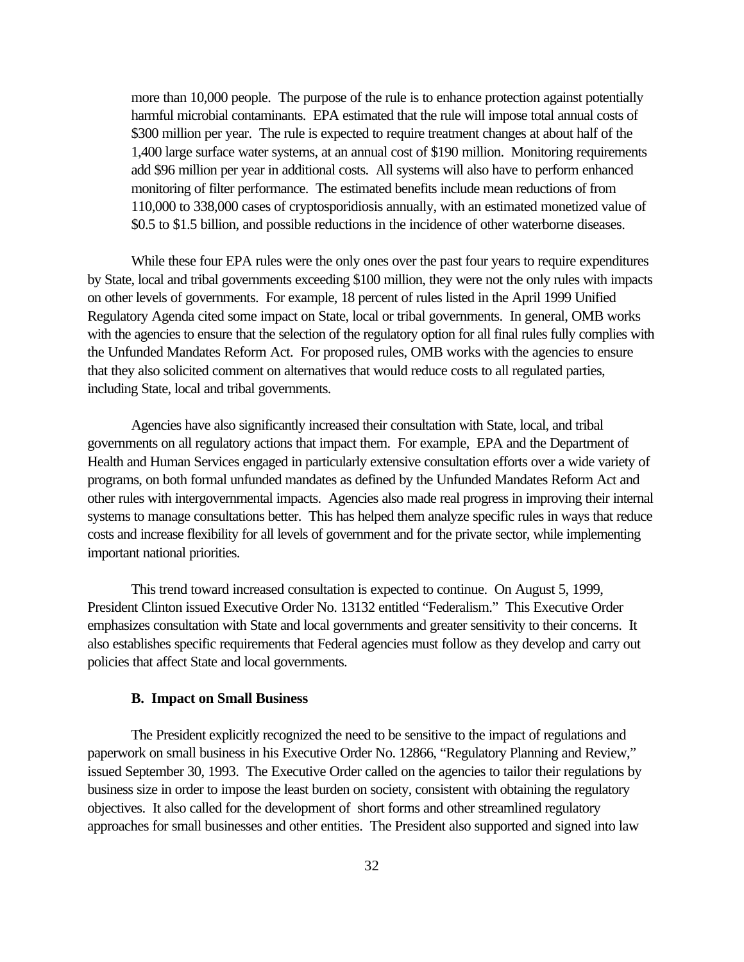more than 10,000 people. The purpose of the rule is to enhance protection against potentially harmful microbial contaminants. EPA estimated that the rule will impose total annual costs of \$300 million per year. The rule is expected to require treatment changes at about half of the 1,400 large surface water systems, at an annual cost of \$190 million. Monitoring requirements add \$96 million per year in additional costs. All systems will also have to perform enhanced monitoring of filter performance. The estimated benefits include mean reductions of from 110,000 to 338,000 cases of cryptosporidiosis annually, with an estimated monetized value of \$0.5 to \$1.5 billion, and possible reductions in the incidence of other waterborne diseases.

While these four EPA rules were the only ones over the past four years to require expenditures by State, local and tribal governments exceeding \$100 million, they were not the only rules with impacts on other levels of governments. For example, 18 percent of rules listed in the April 1999 Unified Regulatory Agenda cited some impact on State, local or tribal governments. In general, OMB works with the agencies to ensure that the selection of the regulatory option for all final rules fully complies with the Unfunded Mandates Reform Act. For proposed rules, OMB works with the agencies to ensure that they also solicited comment on alternatives that would reduce costs to all regulated parties, including State, local and tribal governments.

Agencies have also significantly increased their consultation with State, local, and tribal governments on all regulatory actions that impact them. For example, EPA and the Department of Health and Human Services engaged in particularly extensive consultation efforts over a wide variety of programs, on both formal unfunded mandates as defined by the Unfunded Mandates Reform Act and other rules with intergovernmental impacts. Agencies also made real progress in improving their internal systems to manage consultations better. This has helped them analyze specific rules in ways that reduce costs and increase flexibility for all levels of government and for the private sector, while implementing important national priorities.

This trend toward increased consultation is expected to continue. On August 5, 1999, President Clinton issued Executive Order No. 13132 entitled "Federalism." This Executive Order emphasizes consultation with State and local governments and greater sensitivity to their concerns. It also establishes specific requirements that Federal agencies must follow as they develop and carry out policies that affect State and local governments.

#### **B. Impact on Small Business**

The President explicitly recognized the need to be sensitive to the impact of regulations and paperwork on small business in his Executive Order No. 12866, "Regulatory Planning and Review," issued September 30, 1993. The Executive Order called on the agencies to tailor their regulations by business size in order to impose the least burden on society, consistent with obtaining the regulatory objectives. It also called for the development of short forms and other streamlined regulatory approaches for small businesses and other entities. The President also supported and signed into law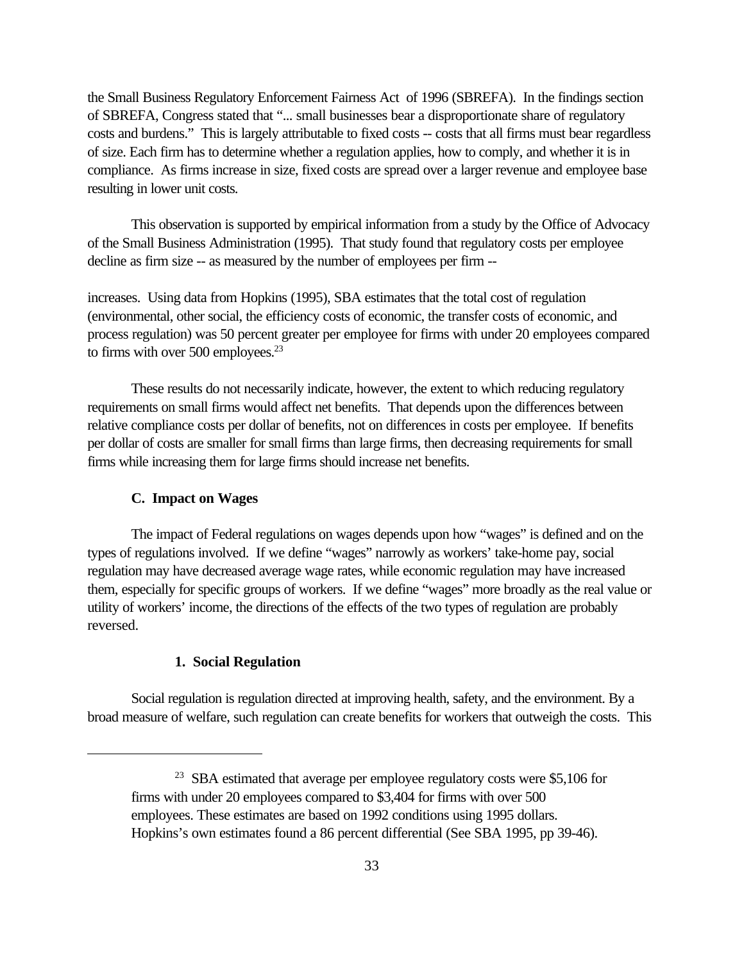the Small Business Regulatory Enforcement Fairness Act of 1996 (SBREFA). In the findings section of SBREFA, Congress stated that "... small businesses bear a disproportionate share of regulatory costs and burdens." This is largely attributable to fixed costs -- costs that all firms must bear regardless of size. Each firm has to determine whether a regulation applies, how to comply, and whether it is in compliance. As firms increase in size, fixed costs are spread over a larger revenue and employee base resulting in lower unit costs.

This observation is supported by empirical information from a study by the Office of Advocacy of the Small Business Administration (1995). That study found that regulatory costs per employee decline as firm size -- as measured by the number of employees per firm -

increases. Using data from Hopkins (1995), SBA estimates that the total cost of regulation (environmental, other social, the efficiency costs of economic, the transfer costs of economic, and process regulation) was 50 percent greater per employee for firms with under 20 employees compared to firms with over 500 employees. $23$ 

These results do not necessarily indicate, however, the extent to which reducing regulatory requirements on small firms would affect net benefits. That depends upon the differences between relative compliance costs per dollar of benefits, not on differences in costs per employee. If benefits per dollar of costs are smaller for small firms than large firms, then decreasing requirements for small firms while increasing them for large firms should increase net benefits.

## **C. Impact on Wages**

The impact of Federal regulations on wages depends upon how "wages" is defined and on the types of regulations involved. If we define "wages" narrowly as workers' take-home pay, social regulation may have decreased average wage rates, while economic regulation may have increased them, especially for specific groups of workers. If we define "wages" more broadly as the real value or utility of workers' income, the directions of the effects of the two types of regulation are probably reversed.

## **1. Social Regulation**

Social regulation is regulation directed at improving health, safety, and the environment. By a broad measure of welfare, such regulation can create benefits for workers that outweigh the costs. This

 $23$  SBA estimated that average per employee regulatory costs were \$5,106 for firms with under 20 employees compared to \$3,404 for firms with over 500 employees. These estimates are based on 1992 conditions using 1995 dollars. Hopkins's own estimates found a 86 percent differential (See SBA 1995, pp 39-46).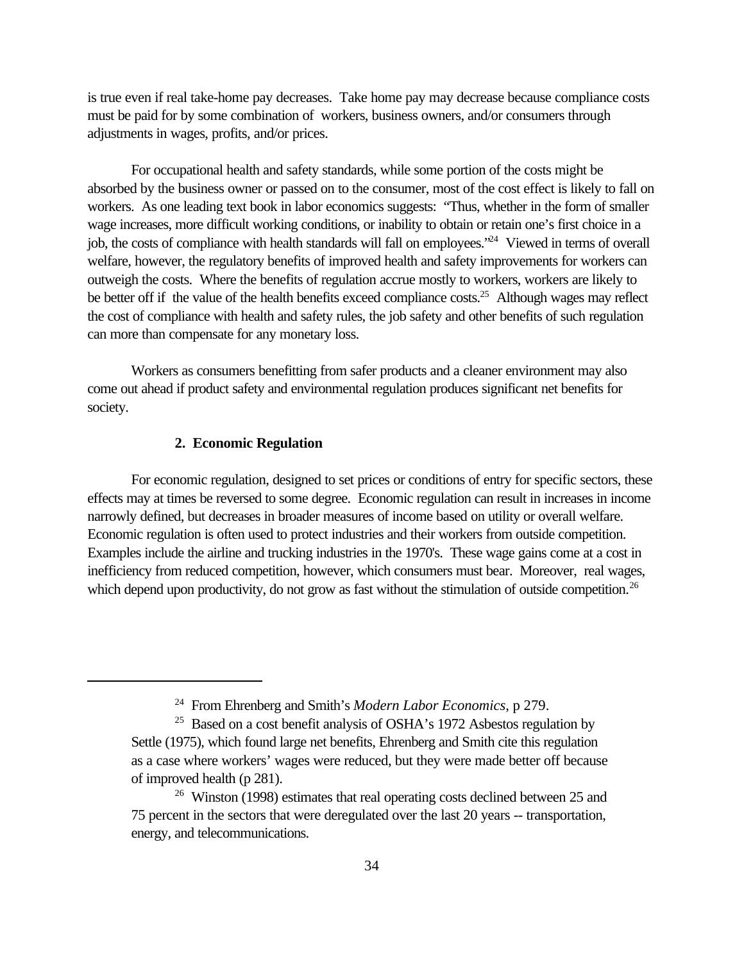is true even if real take-home pay decreases. Take home pay may decrease because compliance costs must be paid for by some combination of workers, business owners, and/or consumers through adjustments in wages, profits, and/or prices.

For occupational health and safety standards, while some portion of the costs might be absorbed by the business owner or passed on to the consumer, most of the cost effect is likely to fall on workers. As one leading text book in labor economics suggests: "Thus, whether in the form of smaller wage increases, more difficult working conditions, or inability to obtain or retain one's first choice in a job, the costs of compliance with health standards will fall on employees."<sup>24</sup> Viewed in terms of overall welfare, however, the regulatory benefits of improved health and safety improvements for workers can outweigh the costs. Where the benefits of regulation accrue mostly to workers, workers are likely to be better off if the value of the health benefits exceed compliance costs.<sup>25</sup> Although wages may reflect the cost of compliance with health and safety rules, the job safety and other benefits of such regulation can more than compensate for any monetary loss.

Workers as consumers benefitting from safer products and a cleaner environment may also come out ahead if product safety and environmental regulation produces significant net benefits for society.

## **2. Economic Regulation**

For economic regulation, designed to set prices or conditions of entry for specific sectors, these effects may at times be reversed to some degree. Economic regulation can result in increases in income narrowly defined, but decreases in broader measures of income based on utility or overall welfare. Economic regulation is often used to protect industries and their workers from outside competition. Examples include the airline and trucking industries in the 1970's. These wage gains come at a cost in inefficiency from reduced competition, however, which consumers must bear. Moreover, real wages, which depend upon productivity, do not grow as fast without the stimulation of outside competition.<sup>26</sup>

<sup>24</sup> From Ehrenberg and Smith's *Modern Labor Economics*, p 279.

 $25$  Based on a cost benefit analysis of OSHA's 1972 Asbestos regulation by Settle (1975), which found large net benefits, Ehrenberg and Smith cite this regulation as a case where workers' wages were reduced, but they were made better off because of improved health (p 281).

<sup>&</sup>lt;sup>26</sup> Winston (1998) estimates that real operating costs declined between 25 and 75 percent in the sectors that were deregulated over the last 20 years -- transportation, energy, and telecommunications.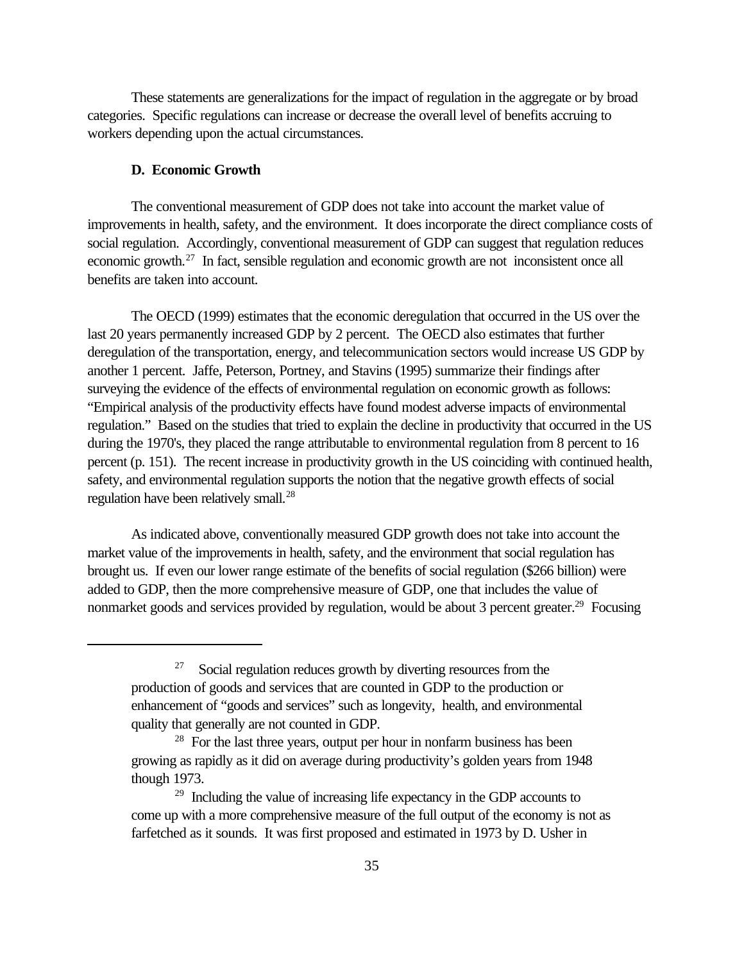These statements are generalizations for the impact of regulation in the aggregate or by broad categories. Specific regulations can increase or decrease the overall level of benefits accruing to workers depending upon the actual circumstances.

### **D. Economic Growth**

The conventional measurement of GDP does not take into account the market value of improvements in health, safety, and the environment. It does incorporate the direct compliance costs of social regulation. Accordingly, conventional measurement of GDP can suggest that regulation reduces economic growth.27 In fact, sensible regulation and economic growth are not inconsistent once all benefits are taken into account.

The OECD (1999) estimates that the economic deregulation that occurred in the US over the last 20 years permanently increased GDP by 2 percent. The OECD also estimates that further deregulation of the transportation, energy, and telecommunication sectors would increase US GDP by another 1 percent. Jaffe, Peterson, Portney, and Stavins (1995) summarize their findings after surveying the evidence of the effects of environmental regulation on economic growth as follows: "Empirical analysis of the productivity effects have found modest adverse impacts of environmental regulation." Based on the studies that tried to explain the decline in productivity that occurred in the US during the 1970's, they placed the range attributable to environmental regulation from 8 percent to 16 percent (p. 151). The recent increase in productivity growth in the US coinciding with continued health, safety, and environmental regulation supports the notion that the negative growth effects of social regulation have been relatively small.<sup>28</sup>

As indicated above, conventionally measured GDP growth does not take into account the market value of the improvements in health, safety, and the environment that social regulation has brought us. If even our lower range estimate of the benefits of social regulation (\$266 billion) were added to GDP, then the more comprehensive measure of GDP, one that includes the value of nonmarket goods and services provided by regulation, would be about 3 percent greater.<sup>29</sup> Focusing

Social regulation reduces growth by diverting resources from the production of goods and services that are counted in GDP to the production or enhancement of "goods and services" such as longevity, health, and environmental quality that generally are not counted in GDP.

 $28$  For the last three years, output per hour in nonfarm business has been growing as rapidly as it did on average during productivity's golden years from 1948 though 1973.

<sup>&</sup>lt;sup>29</sup> Including the value of increasing life expectancy in the GDP accounts to come up with a more comprehensive measure of the full output of the economy is not as farfetched as it sounds. It was first proposed and estimated in 1973 by D. Usher in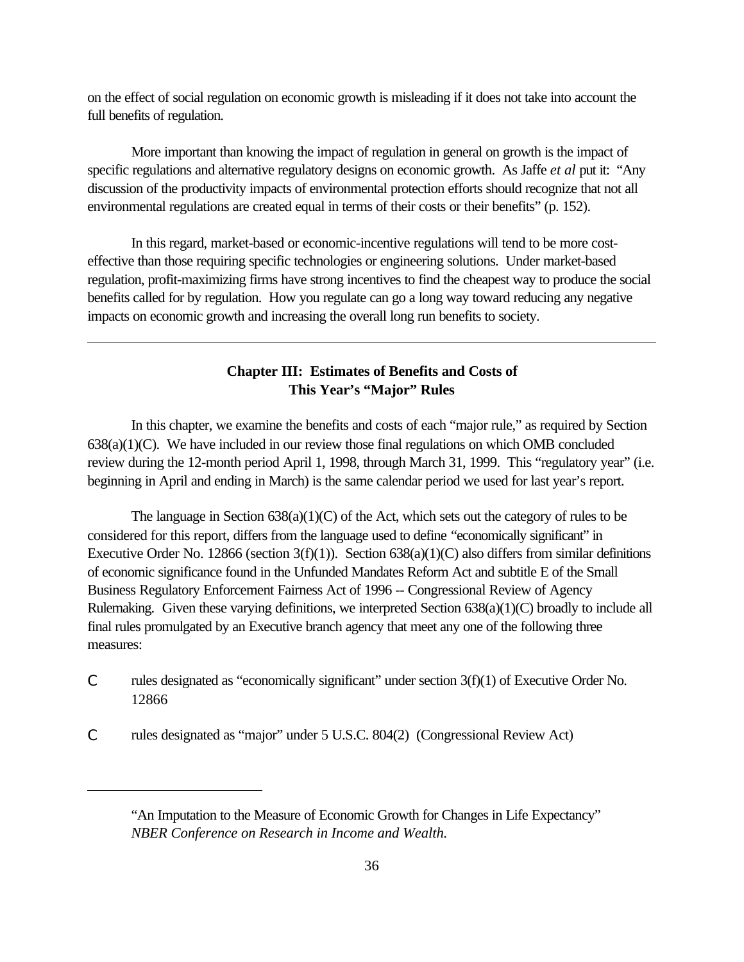on the effect of social regulation on economic growth is misleading if it does not take into account the full benefits of regulation.

More important than knowing the impact of regulation in general on growth is the impact of specific regulations and alternative regulatory designs on economic growth. As Jaffe *et al* put it: "Any discussion of the productivity impacts of environmental protection efforts should recognize that not all environmental regulations are created equal in terms of their costs or their benefits" (p. 152).

In this regard, market-based or economic-incentive regulations will tend to be more costeffective than those requiring specific technologies or engineering solutions. Under market-based regulation, profit-maximizing firms have strong incentives to find the cheapest way to produce the social benefits called for by regulation. How you regulate can go a long way toward reducing any negative impacts on economic growth and increasing the overall long run benefits to society.

# **Chapter III: Estimates of Benefits and Costs of This Year's "Major" Rules**

In this chapter, we examine the benefits and costs of each "major rule," as required by Section  $638(a)(1)(C)$ . We have included in our review those final regulations on which OMB concluded review during the 12-month period April 1, 1998, through March 31, 1999. This "regulatory year" (i.e. beginning in April and ending in March) is the same calendar period we used for last year's report.

The language in Section  $638(a)(1)(C)$  of the Act, which sets out the category of rules to be considered for this report, differs from the language used to define "economically significant" in Executive Order No. 12866 (section 3(f)(1)). Section 638(a)(1)(C) also differs from similar definitions of economic significance found in the Unfunded Mandates Reform Act and subtitle E of the Small Business Regulatory Enforcement Fairness Act of 1996 -- Congressional Review of Agency Rulemaking. Given these varying definitions, we interpreted Section 638(a)(1)(C) broadly to include all final rules promulgated by an Executive branch agency that meet any one of the following three measures:

- $\mathcal{C}$  rules designated as "economically significant" under section  $3(f)(1)$  of Executive Order No. 12866
- C rules designated as "major" under 5 U.S.C. 804(2) (Congressional Review Act)

<sup>&</sup>quot;An Imputation to the Measure of Economic Growth for Changes in Life Expectancy" *NBER Conference on Research in Income and Wealth.*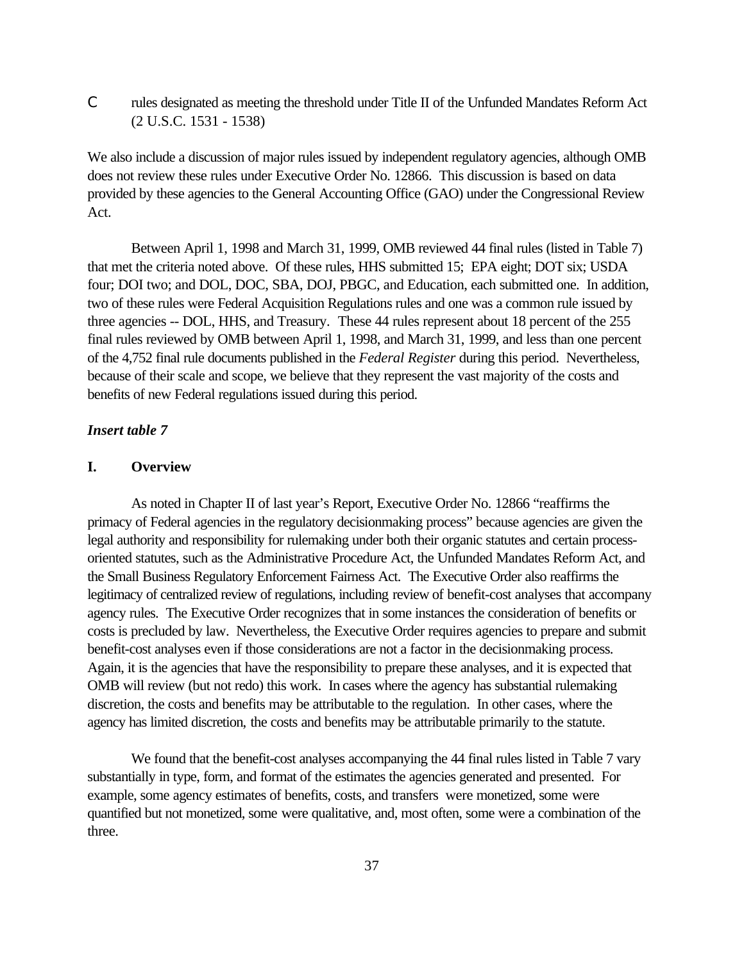C rules designated as meeting the threshold under Title II of the Unfunded Mandates Reform Act (2 U.S.C. 1531 - 1538)

We also include a discussion of major rules issued by independent regulatory agencies, although OMB does not review these rules under Executive Order No. 12866. This discussion is based on data provided by these agencies to the General Accounting Office (GAO) under the Congressional Review Act.

Between April 1, 1998 and March 31, 1999, OMB reviewed 44 final rules (listed in Table 7) that met the criteria noted above. Of these rules, HHS submitted 15; EPA eight; DOT six; USDA four; DOI two; and DOL, DOC, SBA, DOJ, PBGC, and Education, each submitted one. In addition, two of these rules were Federal Acquisition Regulations rules and one was a common rule issued by three agencies -- DOL, HHS, and Treasury. These 44 rules represent about 18 percent of the 255 final rules reviewed by OMB between April 1, 1998, and March 31, 1999, and less than one percent of the 4,752 final rule documents published in the *Federal Register* during this period. Nevertheless, because of their scale and scope, we believe that they represent the vast majority of the costs and benefits of new Federal regulations issued during this period.

## *Insert table 7*

### **I. Overview**

As noted in Chapter II of last year's Report, Executive Order No. 12866 "reaffirms the primacy of Federal agencies in the regulatory decisionmaking process" because agencies are given the legal authority and responsibility for rulemaking under both their organic statutes and certain processoriented statutes, such as the Administrative Procedure Act, the Unfunded Mandates Reform Act, and the Small Business Regulatory Enforcement Fairness Act. The Executive Order also reaffirms the legitimacy of centralized review of regulations, including review of benefit-cost analyses that accompany agency rules. The Executive Order recognizes that in some instances the consideration of benefits or costs is precluded by law. Nevertheless, the Executive Order requires agencies to prepare and submit benefit-cost analyses even if those considerations are not a factor in the decisionmaking process. Again, it is the agencies that have the responsibility to prepare these analyses, and it is expected that OMB will review (but not redo) this work. In cases where the agency has substantial rulemaking discretion, the costs and benefits may be attributable to the regulation. In other cases, where the agency has limited discretion, the costs and benefits may be attributable primarily to the statute.

We found that the benefit-cost analyses accompanying the 44 final rules listed in Table 7 vary substantially in type, form, and format of the estimates the agencies generated and presented. For example, some agency estimates of benefits, costs, and transfers were monetized, some were quantified but not monetized, some were qualitative, and, most often, some were a combination of the three.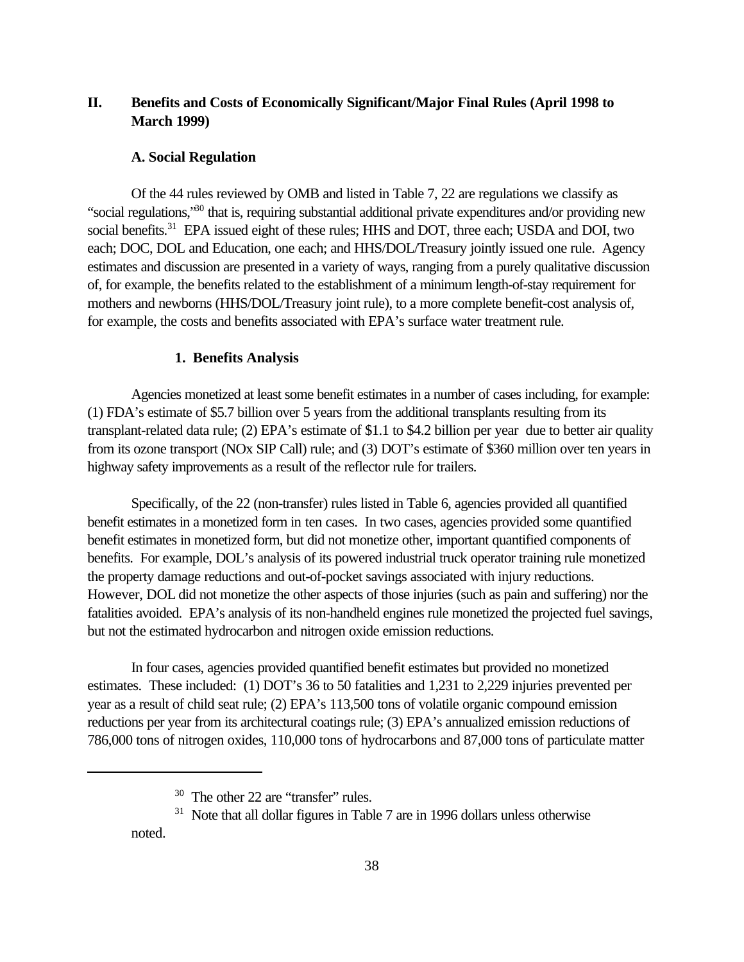# **II. Benefits and Costs of Economically Significant/Major Final Rules (April 1998 to March 1999)**

#### **A. Social Regulation**

Of the 44 rules reviewed by OMB and listed in Table 7, 22 are regulations we classify as "social regulations,"30 that is, requiring substantial additional private expenditures and/or providing new social benefits.<sup>31</sup> EPA issued eight of these rules; HHS and DOT, three each; USDA and DOI, two each; DOC, DOL and Education, one each; and HHS/DOL/Treasury jointly issued one rule. Agency estimates and discussion are presented in a variety of ways, ranging from a purely qualitative discussion of, for example, the benefits related to the establishment of a minimum length-of-stay requirement for mothers and newborns (HHS/DOL/Treasury joint rule), to a more complete benefit-cost analysis of, for example, the costs and benefits associated with EPA's surface water treatment rule.

#### **1. Benefits Analysis**

Agencies monetized at least some benefit estimates in a number of cases including, for example: (1) FDA's estimate of \$5.7 billion over 5 years from the additional transplants resulting from its transplant-related data rule; (2) EPA's estimate of \$1.1 to \$4.2 billion per year due to better air quality from its ozone transport (NOx SIP Call) rule; and (3) DOT's estimate of \$360 million over ten years in highway safety improvements as a result of the reflector rule for trailers.

Specifically, of the 22 (non-transfer) rules listed in Table 6, agencies provided all quantified benefit estimates in a monetized form in ten cases. In two cases, agencies provided some quantified benefit estimates in monetized form, but did not monetize other, important quantified components of benefits. For example, DOL's analysis of its powered industrial truck operator training rule monetized the property damage reductions and out-of-pocket savings associated with injury reductions. However, DOL did not monetize the other aspects of those injuries (such as pain and suffering) nor the fatalities avoided. EPA's analysis of its non-handheld engines rule monetized the projected fuel savings, but not the estimated hydrocarbon and nitrogen oxide emission reductions.

In four cases, agencies provided quantified benefit estimates but provided no monetized estimates. These included: (1) DOT's 36 to 50 fatalities and 1,231 to 2,229 injuries prevented per year as a result of child seat rule; (2) EPA's 113,500 tons of volatile organic compound emission reductions per year from its architectural coatings rule; (3) EPA's annualized emission reductions of 786,000 tons of nitrogen oxides, 110,000 tons of hydrocarbons and 87,000 tons of particulate matter

<sup>&</sup>lt;sup>30</sup> The other 22 are "transfer" rules.

<sup>&</sup>lt;sup>31</sup> Note that all dollar figures in Table 7 are in 1996 dollars unless otherwise noted.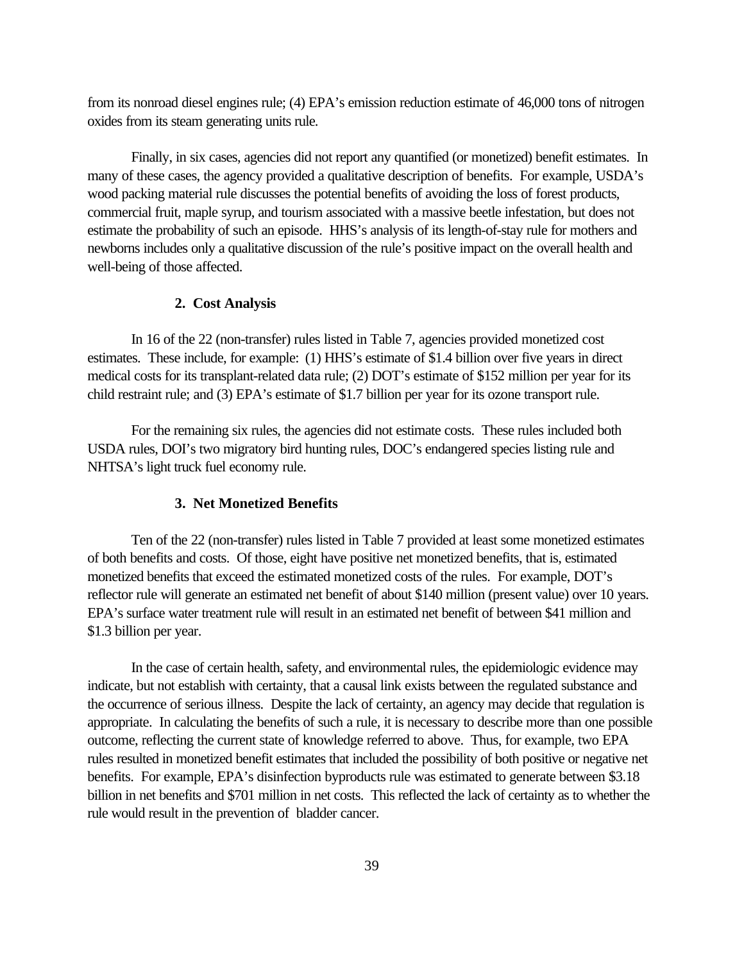from its nonroad diesel engines rule; (4) EPA's emission reduction estimate of 46,000 tons of nitrogen oxides from its steam generating units rule.

Finally, in six cases, agencies did not report any quantified (or monetized) benefit estimates. In many of these cases, the agency provided a qualitative description of benefits. For example, USDA's wood packing material rule discusses the potential benefits of avoiding the loss of forest products, commercial fruit, maple syrup, and tourism associated with a massive beetle infestation, but does not estimate the probability of such an episode. HHS's analysis of its length-of-stay rule for mothers and newborns includes only a qualitative discussion of the rule's positive impact on the overall health and well-being of those affected.

### **2. Cost Analysis**

In 16 of the 22 (non-transfer) rules listed in Table 7, agencies provided monetized cost estimates. These include, for example: (1) HHS's estimate of \$1.4 billion over five years in direct medical costs for its transplant-related data rule; (2) DOT's estimate of \$152 million per year for its child restraint rule; and (3) EPA's estimate of \$1.7 billion per year for its ozone transport rule.

For the remaining six rules, the agencies did not estimate costs. These rules included both USDA rules, DOI's two migratory bird hunting rules, DOC's endangered species listing rule and NHTSA's light truck fuel economy rule.

### **3. Net Monetized Benefits**

Ten of the 22 (non-transfer) rules listed in Table 7 provided at least some monetized estimates of both benefits and costs. Of those, eight have positive net monetized benefits, that is, estimated monetized benefits that exceed the estimated monetized costs of the rules. For example, DOT's reflector rule will generate an estimated net benefit of about \$140 million (present value) over 10 years. EPA's surface water treatment rule will result in an estimated net benefit of between \$41 million and \$1.3 billion per year.

In the case of certain health, safety, and environmental rules, the epidemiologic evidence may indicate, but not establish with certainty, that a causal link exists between the regulated substance and the occurrence of serious illness. Despite the lack of certainty, an agency may decide that regulation is appropriate. In calculating the benefits of such a rule, it is necessary to describe more than one possible outcome, reflecting the current state of knowledge referred to above. Thus, for example, two EPA rules resulted in monetized benefit estimates that included the possibility of both positive or negative net benefits. For example, EPA's disinfection byproducts rule was estimated to generate between \$3.18 billion in net benefits and \$701 million in net costs. This reflected the lack of certainty as to whether the rule would result in the prevention of bladder cancer.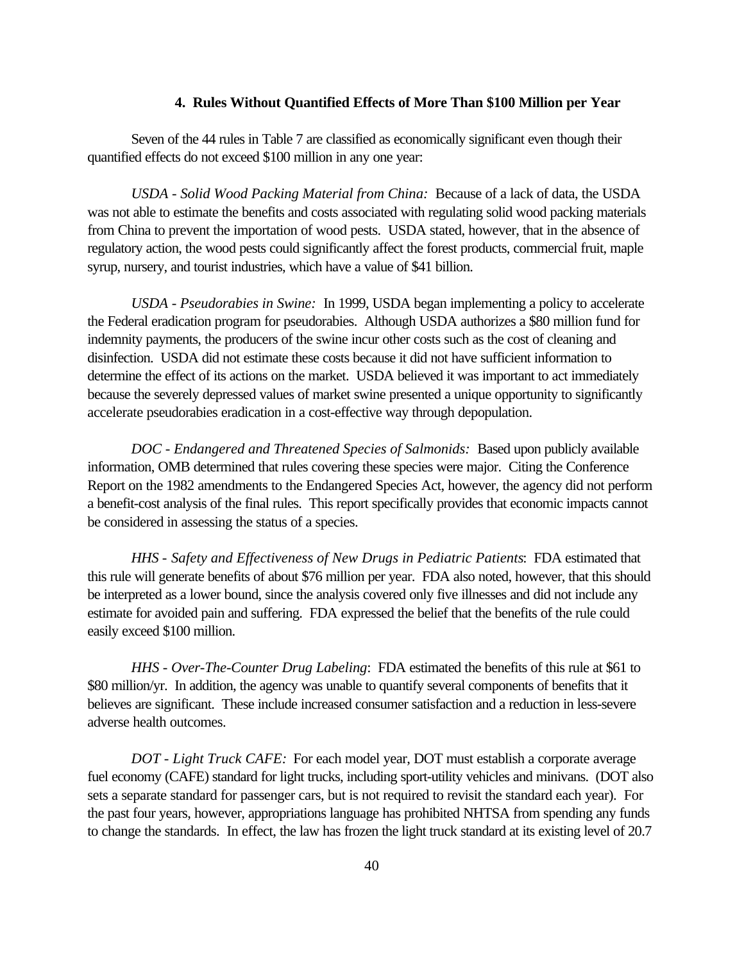### **4. Rules Without Quantified Effects of More Than \$100 Million per Year**

Seven of the 44 rules in Table 7 are classified as economically significant even though their quantified effects do not exceed \$100 million in any one year:

*USDA - Solid Wood Packing Material from China:* Because of a lack of data, the USDA was not able to estimate the benefits and costs associated with regulating solid wood packing materials from China to prevent the importation of wood pests. USDA stated, however, that in the absence of regulatory action, the wood pests could significantly affect the forest products, commercial fruit, maple syrup, nursery, and tourist industries, which have a value of \$41 billion.

*USDA - Pseudorabies in Swine:* In 1999, USDA began implementing a policy to accelerate the Federal eradication program for pseudorabies. Although USDA authorizes a \$80 million fund for indemnity payments, the producers of the swine incur other costs such as the cost of cleaning and disinfection. USDA did not estimate these costs because it did not have sufficient information to determine the effect of its actions on the market. USDA believed it was important to act immediately because the severely depressed values of market swine presented a unique opportunity to significantly accelerate pseudorabies eradication in a cost-effective way through depopulation.

*DOC - Endangered and Threatened Species of Salmonids:* Based upon publicly available information, OMB determined that rules covering these species were major. Citing the Conference Report on the 1982 amendments to the Endangered Species Act, however, the agency did not perform a benefit-cost analysis of the final rules. This report specifically provides that economic impacts cannot be considered in assessing the status of a species.

*HHS* - *Safety and Effectiveness of New Drugs in Pediatric Patients*: FDA estimated that this rule will generate benefits of about \$76 million per year. FDA also noted, however, that this should be interpreted as a lower bound, since the analysis covered only five illnesses and did not include any estimate for avoided pain and suffering. FDA expressed the belief that the benefits of the rule could easily exceed \$100 million.

*HHS - Over-The-Counter Drug Labeling*: FDA estimated the benefits of this rule at \$61 to \$80 million/yr. In addition, the agency was unable to quantify several components of benefits that it believes are significant. These include increased consumer satisfaction and a reduction in less-severe adverse health outcomes.

*DOT - Light Truck CAFE:* For each model year, DOT must establish a corporate average fuel economy (CAFE) standard for light trucks, including sport-utility vehicles and minivans. (DOT also sets a separate standard for passenger cars, but is not required to revisit the standard each year). For the past four years, however, appropriations language has prohibited NHTSA from spending any funds to change the standards. In effect, the law has frozen the light truck standard at its existing level of 20.7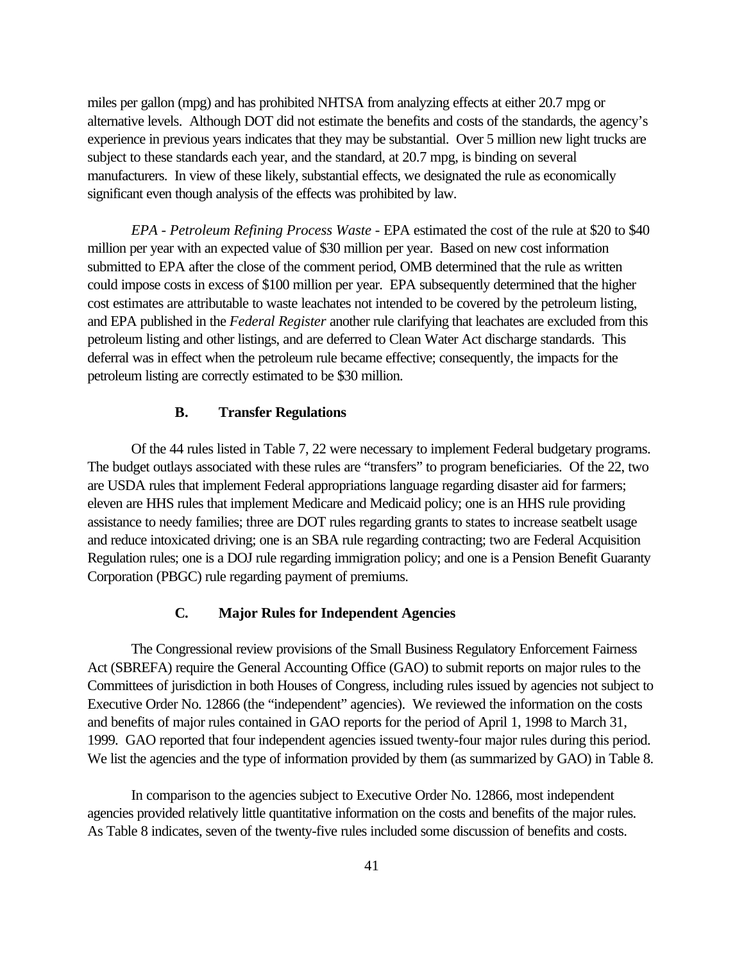miles per gallon (mpg) and has prohibited NHTSA from analyzing effects at either 20.7 mpg or alternative levels. Although DOT did not estimate the benefits and costs of the standards, the agency's experience in previous years indicates that they may be substantial. Over 5 million new light trucks are subject to these standards each year, and the standard, at 20.7 mpg, is binding on several manufacturers. In view of these likely, substantial effects, we designated the rule as economically significant even though analysis of the effects was prohibited by law.

*EPA - Petroleum Refining Process Waste -* EPA estimated the cost of the rule at \$20 to \$40 million per year with an expected value of \$30 million per year. Based on new cost information submitted to EPA after the close of the comment period, OMB determined that the rule as written could impose costs in excess of \$100 million per year. EPA subsequently determined that the higher cost estimates are attributable to waste leachates not intended to be covered by the petroleum listing, and EPA published in the *Federal Register* another rule clarifying that leachates are excluded from this petroleum listing and other listings, and are deferred to Clean Water Act discharge standards. This deferral was in effect when the petroleum rule became effective; consequently, the impacts for the petroleum listing are correctly estimated to be \$30 million.

### **B. Transfer Regulations**

Of the 44 rules listed in Table 7, 22 were necessary to implement Federal budgetary programs. The budget outlays associated with these rules are "transfers" to program beneficiaries. Of the 22, two are USDA rules that implement Federal appropriations language regarding disaster aid for farmers; eleven are HHS rules that implement Medicare and Medicaid policy; one is an HHS rule providing assistance to needy families; three are DOT rules regarding grants to states to increase seatbelt usage and reduce intoxicated driving; one is an SBA rule regarding contracting; two are Federal Acquisition Regulation rules; one is a DOJ rule regarding immigration policy; and one is a Pension Benefit Guaranty Corporation (PBGC) rule regarding payment of premiums.

### **C. Major Rules for Independent Agencies**

The Congressional review provisions of the Small Business Regulatory Enforcement Fairness Act (SBREFA) require the General Accounting Office (GAO) to submit reports on major rules to the Committees of jurisdiction in both Houses of Congress, including rules issued by agencies not subject to Executive Order No. 12866 (the "independent" agencies). We reviewed the information on the costs and benefits of major rules contained in GAO reports for the period of April 1, 1998 to March 31, 1999. GAO reported that four independent agencies issued twenty-four major rules during this period. We list the agencies and the type of information provided by them (as summarized by GAO) in Table 8.

In comparison to the agencies subject to Executive Order No. 12866, most independent agencies provided relatively little quantitative information on the costs and benefits of the major rules. As Table 8 indicates, seven of the twenty-five rules included some discussion of benefits and costs.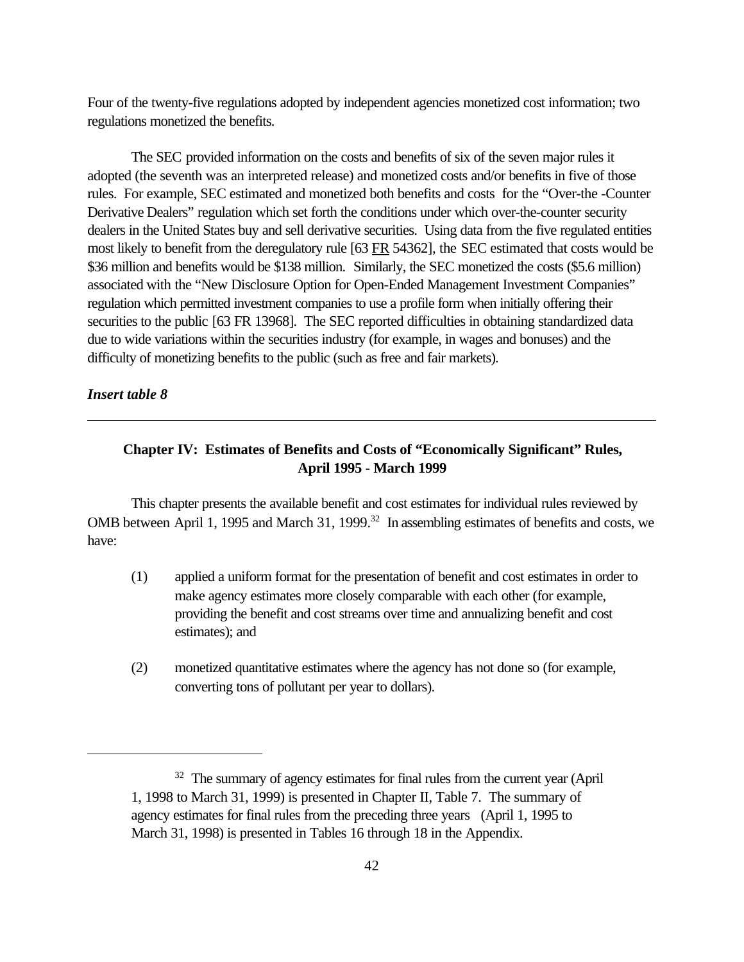Four of the twenty-five regulations adopted by independent agencies monetized cost information; two regulations monetized the benefits.

The SEC provided information on the costs and benefits of six of the seven major rules it adopted (the seventh was an interpreted release) and monetized costs and/or benefits in five of those rules. For example, SEC estimated and monetized both benefits and costs for the "Over-the -Counter Derivative Dealers" regulation which set forth the conditions under which over-the-counter security dealers in the United States buy and sell derivative securities. Using data from the five regulated entities most likely to benefit from the deregulatory rule [63 FR 54362], the SEC estimated that costs would be \$36 million and benefits would be \$138 million. Similarly, the SEC monetized the costs (\$5.6 million) associated with the "New Disclosure Option for Open-Ended Management Investment Companies" regulation which permitted investment companies to use a profile form when initially offering their securities to the public [63 FR 13968]. The SEC reported difficulties in obtaining standardized data due to wide variations within the securities industry (for example, in wages and bonuses) and the difficulty of monetizing benefits to the public (such as free and fair markets).

## *Insert table 8*

# **Chapter IV: Estimates of Benefits and Costs of "Economically Significant" Rules, April 1995 - March 1999**

This chapter presents the available benefit and cost estimates for individual rules reviewed by OMB between April 1, 1995 and March 31, 1999.<sup>32</sup> In assembling estimates of benefits and costs, we have:

- (1) applied a uniform format for the presentation of benefit and cost estimates in order to make agency estimates more closely comparable with each other (for example, providing the benefit and cost streams over time and annualizing benefit and cost estimates); and
- (2) monetized quantitative estimates where the agency has not done so (for example, converting tons of pollutant per year to dollars).

<sup>&</sup>lt;sup>32</sup> The summary of agency estimates for final rules from the current year (April 1, 1998 to March 31, 1999) is presented in Chapter II, Table 7. The summary of agency estimates for final rules from the preceding three years (April 1, 1995 to March 31, 1998) is presented in Tables 16 through 18 in the Appendix.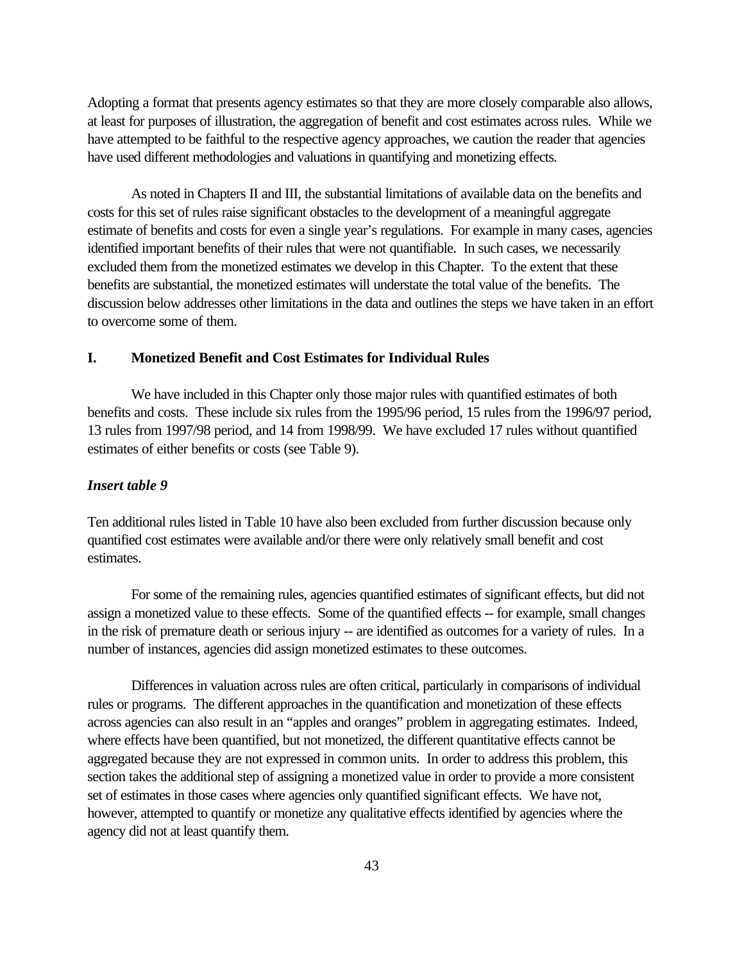Adopting a format that presents agency estimates so that they are more closely comparable also allows, at least for purposes of illustration, the aggregation of benefit and cost estimates across rules. While we have attempted to be faithful to the respective agency approaches, we caution the reader that agencies have used different methodologies and valuations in quantifying and monetizing effects.

As noted in Chapters II and III, the substantial limitations of available data on the benefits and costs for this set of rules raise significant obstacles to the development of a meaningful aggregate estimate of benefits and costs for even a single year's regulations. For example in many cases, agencies identified important benefits of their rules that were not quantifiable. In such cases, we necessarily excluded them from the monetized estimates we develop in this Chapter. To the extent that these benefits are substantial, the monetized estimates will understate the total value of the benefits. The discussion below addresses other limitations in the data and outlines the steps we have taken in an effort to overcome some of them.

### **I. Monetized Benefit and Cost Estimates for Individual Rules**

We have included in this Chapter only those major rules with quantified estimates of both benefits and costs. These include six rules from the 1995/96 period, 15 rules from the 1996/97 period, 13 rules from 1997/98 period, and 14 from 1998/99. We have excluded 17 rules without quantified estimates of either benefits or costs (see Table 9).

#### *Insert table 9*

Ten additional rules listed in Table 10 have also been excluded from further discussion because only quantified cost estimates were available and/or there were only relatively small benefit and cost estimates.

For some of the remaining rules, agencies quantified estimates of significant effects, but did not assign a monetized value to these effects. Some of the quantified effects -- for example, small changes in the risk of premature death or serious injury -- are identified as outcomes for a variety of rules. In a number of instances, agencies did assign monetized estimates to these outcomes.

Differences in valuation across rules are often critical, particularly in comparisons of individual rules or programs. The different approaches in the quantification and monetization of these effects across agencies can also result in an "apples and oranges" problem in aggregating estimates. Indeed, where effects have been quantified, but not monetized, the different quantitative effects cannot be aggregated because they are not expressed in common units. In order to address this problem, this section takes the additional step of assigning a monetized value in order to provide a more consistent set of estimates in those cases where agencies only quantified significant effects. We have not, however, attempted to quantify or monetize any qualitative effects identified by agencies where the agency did not at least quantify them.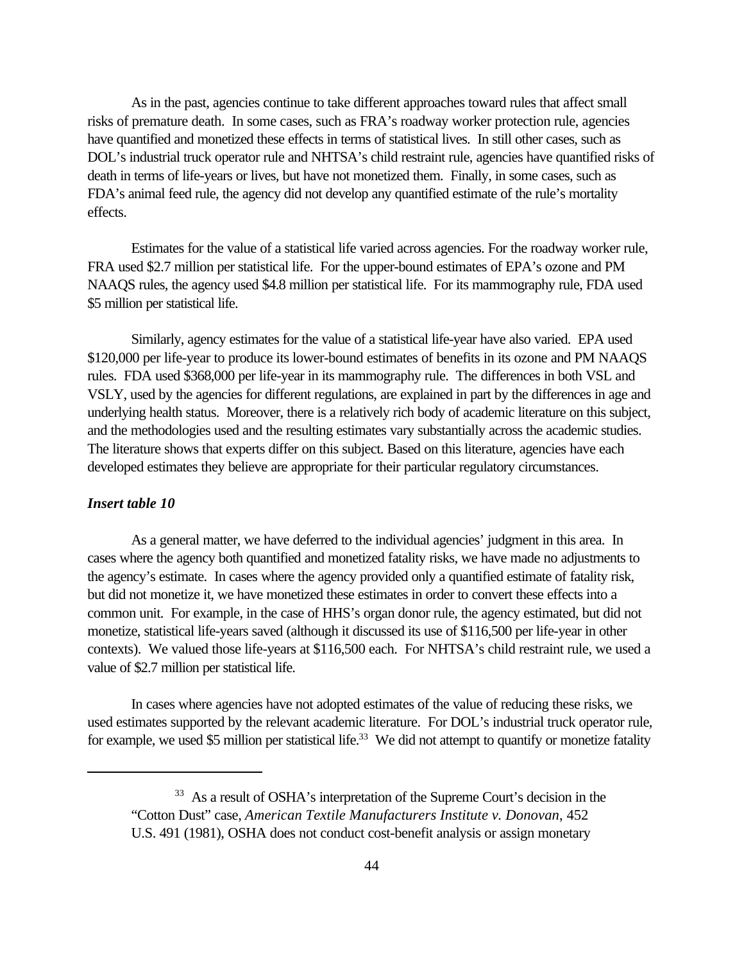As in the past, agencies continue to take different approaches toward rules that affect small risks of premature death. In some cases, such as FRA's roadway worker protection rule, agencies have quantified and monetized these effects in terms of statistical lives. In still other cases, such as DOL's industrial truck operator rule and NHTSA's child restraint rule, agencies have quantified risks of death in terms of life-years or lives, but have not monetized them. Finally, in some cases, such as FDA's animal feed rule, the agency did not develop any quantified estimate of the rule's mortality effects.

Estimates for the value of a statistical life varied across agencies. For the roadway worker rule, FRA used \$2.7 million per statistical life. For the upper-bound estimates of EPA's ozone and PM NAAQS rules, the agency used \$4.8 million per statistical life. For its mammography rule, FDA used \$5 million per statistical life.

Similarly, agency estimates for the value of a statistical life-year have also varied. EPA used \$120,000 per life-year to produce its lower-bound estimates of benefits in its ozone and PM NAAQS rules. FDA used \$368,000 per life-year in its mammography rule. The differences in both VSL and VSLY, used by the agencies for different regulations, are explained in part by the differences in age and underlying health status. Moreover, there is a relatively rich body of academic literature on this subject, and the methodologies used and the resulting estimates vary substantially across the academic studies. The literature shows that experts differ on this subject. Based on this literature, agencies have each developed estimates they believe are appropriate for their particular regulatory circumstances.

### *Insert table 10*

As a general matter, we have deferred to the individual agencies' judgment in this area. In cases where the agency both quantified and monetized fatality risks, we have made no adjustments to the agency's estimate. In cases where the agency provided only a quantified estimate of fatality risk, but did not monetize it, we have monetized these estimates in order to convert these effects into a common unit. For example, in the case of HHS's organ donor rule, the agency estimated, but did not monetize, statistical life-years saved (although it discussed its use of \$116,500 per life-year in other contexts). We valued those life-years at \$116,500 each. For NHTSA's child restraint rule, we used a value of \$2.7 million per statistical life.

In cases where agencies have not adopted estimates of the value of reducing these risks, we used estimates supported by the relevant academic literature. For DOL's industrial truck operator rule, for example, we used \$5 million per statistical life.<sup>33</sup> We did not attempt to quantify or monetize fatality

<sup>33</sup> As a result of OSHA's interpretation of the Supreme Court's decision in the "Cotton Dust" case, *American Textile Manufacturers Institute v. Donovan*, 452 U.S. 491 (1981), OSHA does not conduct cost-benefit analysis or assign monetary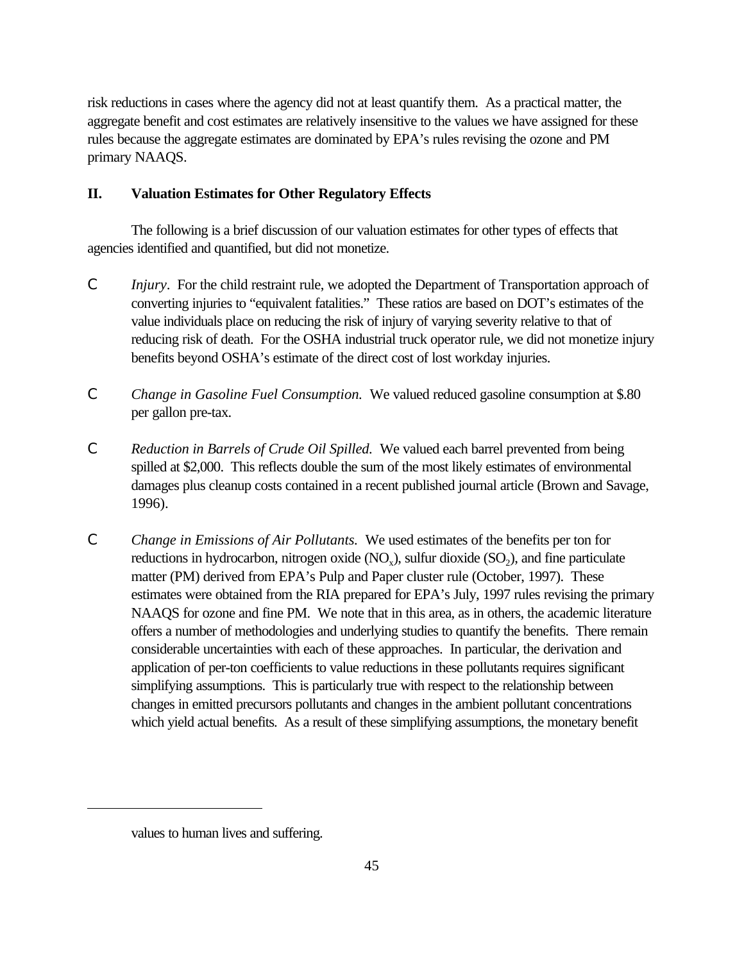risk reductions in cases where the agency did not at least quantify them. As a practical matter, the aggregate benefit and cost estimates are relatively insensitive to the values we have assigned for these rules because the aggregate estimates are dominated by EPA's rules revising the ozone and PM primary NAAQS.

## **II. Valuation Estimates for Other Regulatory Effects**

The following is a brief discussion of our valuation estimates for other types of effects that agencies identified and quantified, but did not monetize.

- C *Injury*. For the child restraint rule, we adopted the Department of Transportation approach of converting injuries to "equivalent fatalities." These ratios are based on DOT's estimates of the value individuals place on reducing the risk of injury of varying severity relative to that of reducing risk of death. For the OSHA industrial truck operator rule, we did not monetize injury benefits beyond OSHA's estimate of the direct cost of lost workday injuries.
- C *Change in Gasoline Fuel Consumption.* We valued reduced gasoline consumption at \$.80 per gallon pre-tax.
- C *Reduction in Barrels of Crude Oil Spilled.* We valued each barrel prevented from being spilled at \$2,000. This reflects double the sum of the most likely estimates of environmental damages plus cleanup costs contained in a recent published journal article (Brown and Savage, 1996).
- C *Change in Emissions of Air Pollutants.* We used estimates of the benefits per ton for reductions in hydrocarbon, nitrogen oxide  $(NO_x)$ , sulfur dioxide  $(SO_2)$ , and fine particulate matter (PM) derived from EPA's Pulp and Paper cluster rule (October, 1997). These estimates were obtained from the RIA prepared for EPA's July, 1997 rules revising the primary NAAQS for ozone and fine PM. We note that in this area, as in others, the academic literature offers a number of methodologies and underlying studies to quantify the benefits. There remain considerable uncertainties with each of these approaches. In particular, the derivation and application of per-ton coefficients to value reductions in these pollutants requires significant simplifying assumptions. This is particularly true with respect to the relationship between changes in emitted precursors pollutants and changes in the ambient pollutant concentrations which yield actual benefits. As a result of these simplifying assumptions, the monetary benefit

values to human lives and suffering.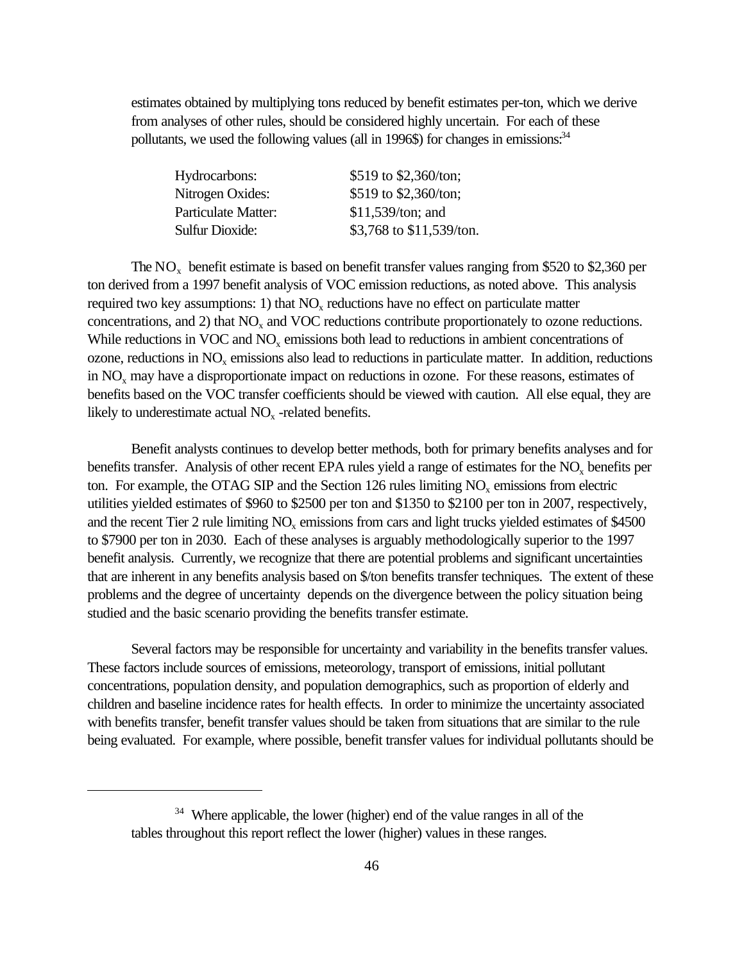estimates obtained by multiplying tons reduced by benefit estimates per-ton, which we derive from analyses of other rules, should be considered highly uncertain. For each of these pollutants, we used the following values (all in 1996\$) for changes in emissions.<sup>34</sup>

| Hydrocarbons:          | \$519 to \$2,360/ton;    |
|------------------------|--------------------------|
| Nitrogen Oxides:       | \$519 to \$2,360/ton;    |
| Particulate Matter:    | $$11,539$ /ton; and      |
| <b>Sulfur Dioxide:</b> | \$3,768 to \$11,539/ton. |

The  $NO<sub>x</sub>$  benefit estimate is based on benefit transfer values ranging from \$520 to \$2,360 per ton derived from a 1997 benefit analysis of VOC emission reductions, as noted above. This analysis required two key assumptions: 1) that  $NO<sub>x</sub>$  reductions have no effect on particulate matter concentrations, and  $2$ ) that NO<sub>x</sub> and VOC reductions contribute proportionately to ozone reductions. While reductions in VOC and  $NO<sub>x</sub>$  emissions both lead to reductions in ambient concentrations of ozone, reductions in  $NO<sub>x</sub>$  emissions also lead to reductions in particulate matter. In addition, reductions in  $NO<sub>x</sub>$  may have a disproportionate impact on reductions in ozone. For these reasons, estimates of benefits based on the VOC transfer coefficients should be viewed with caution. All else equal, they are likely to underestimate actual  $NO<sub>x</sub>$  -related benefits.

Benefit analysts continues to develop better methods, both for primary benefits analyses and for benefits transfer. Analysis of other recent EPA rules yield a range of estimates for the  $NO<sub>x</sub>$  benefits per ton. For example, the OTAG SIP and the Section 126 rules limiting  $NO<sub>x</sub>$  emissions from electric utilities yielded estimates of \$960 to \$2500 per ton and \$1350 to \$2100 per ton in 2007, respectively, and the recent Tier 2 rule limiting NO<sub>x</sub> emissions from cars and light trucks yielded estimates of \$4500 to \$7900 per ton in 2030. Each of these analyses is arguably methodologically superior to the 1997 benefit analysis. Currently, we recognize that there are potential problems and significant uncertainties that are inherent in any benefits analysis based on \$/ton benefits transfer techniques. The extent of these problems and the degree of uncertainty depends on the divergence between the policy situation being studied and the basic scenario providing the benefits transfer estimate.

Several factors may be responsible for uncertainty and variability in the benefits transfer values. These factors include sources of emissions, meteorology, transport of emissions, initial pollutant concentrations, population density, and population demographics, such as proportion of elderly and children and baseline incidence rates for health effects. In order to minimize the uncertainty associated with benefits transfer, benefit transfer values should be taken from situations that are similar to the rule being evaluated. For example, where possible, benefit transfer values for individual pollutants should be

<sup>&</sup>lt;sup>34</sup> Where applicable, the lower (higher) end of the value ranges in all of the tables throughout this report reflect the lower (higher) values in these ranges.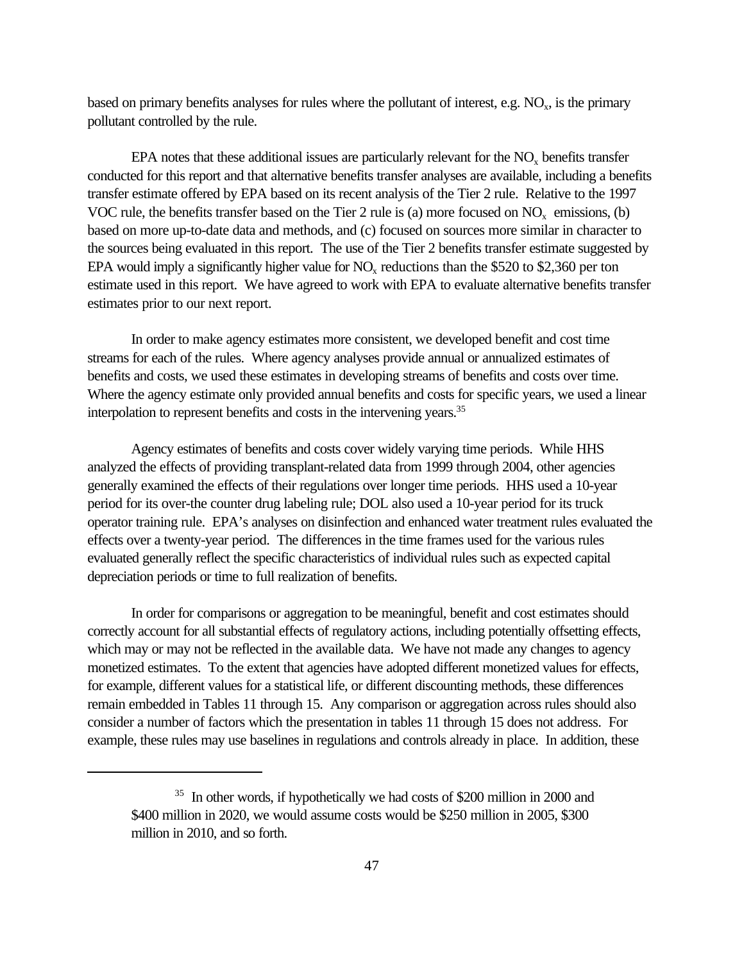based on primary benefits analyses for rules where the pollutant of interest, e.g.  $NO<sub>x</sub>$ , is the primary pollutant controlled by the rule.

EPA notes that these additional issues are particularly relevant for the  $NO<sub>x</sub>$  benefits transfer conducted for this report and that alternative benefits transfer analyses are available, including a benefits transfer estimate offered by EPA based on its recent analysis of the Tier 2 rule. Relative to the 1997 VOC rule, the benefits transfer based on the Tier 2 rule is (a) more focused on  $NO<sub>x</sub>$  emissions, (b) based on more up-to-date data and methods, and (c) focused on sources more similar in character to the sources being evaluated in this report. The use of the Tier 2 benefits transfer estimate suggested by EPA would imply a significantly higher value for  $NO<sub>x</sub>$  reductions than the \$520 to \$2,360 per ton estimate used in this report. We have agreed to work with EPA to evaluate alternative benefits transfer estimates prior to our next report.

In order to make agency estimates more consistent, we developed benefit and cost time streams for each of the rules. Where agency analyses provide annual or annualized estimates of benefits and costs, we used these estimates in developing streams of benefits and costs over time. Where the agency estimate only provided annual benefits and costs for specific years, we used a linear interpolation to represent benefits and costs in the intervening years.<sup>35</sup>

Agency estimates of benefits and costs cover widely varying time periods. While HHS analyzed the effects of providing transplant-related data from 1999 through 2004, other agencies generally examined the effects of their regulations over longer time periods. HHS used a 10-year period for its over-the counter drug labeling rule; DOL also used a 10-year period for its truck operator training rule. EPA's analyses on disinfection and enhanced water treatment rules evaluated the effects over a twenty-year period. The differences in the time frames used for the various rules evaluated generally reflect the specific characteristics of individual rules such as expected capital depreciation periods or time to full realization of benefits.

In order for comparisons or aggregation to be meaningful, benefit and cost estimates should correctly account for all substantial effects of regulatory actions, including potentially offsetting effects, which may or may not be reflected in the available data. We have not made any changes to agency monetized estimates. To the extent that agencies have adopted different monetized values for effects, for example, different values for a statistical life, or different discounting methods, these differences remain embedded in Tables 11 through 15. Any comparison or aggregation across rules should also consider a number of factors which the presentation in tables 11 through 15 does not address. For example, these rules may use baselines in regulations and controls already in place. In addition, these

<sup>&</sup>lt;sup>35</sup> In other words, if hypothetically we had costs of \$200 million in 2000 and \$400 million in 2020, we would assume costs would be \$250 million in 2005, \$300 million in 2010, and so forth.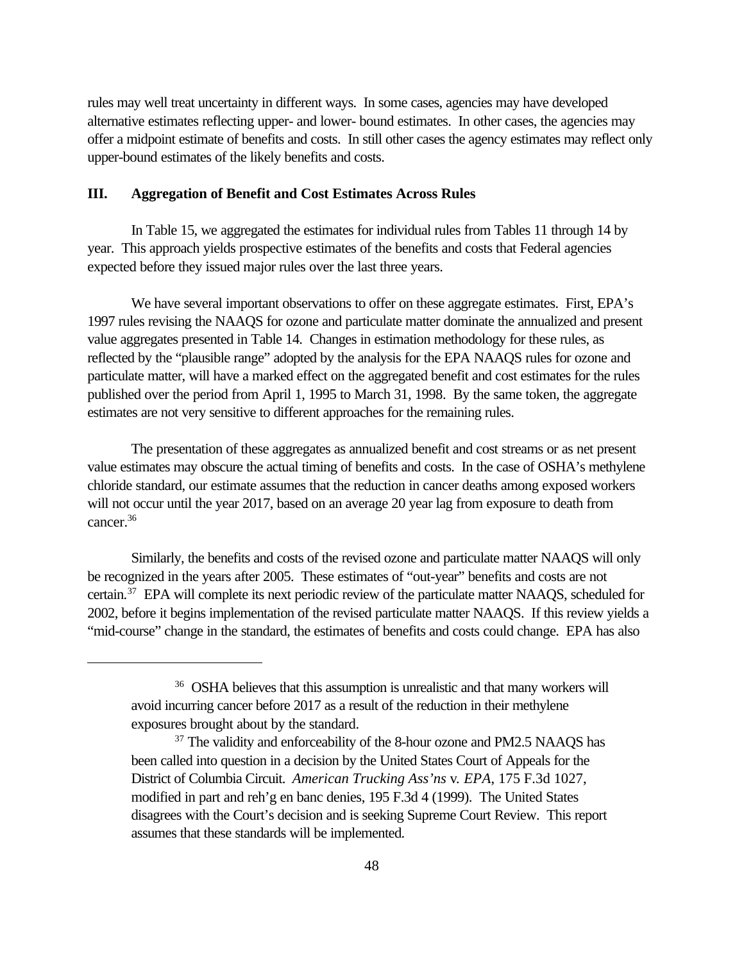rules may well treat uncertainty in different ways. In some cases, agencies may have developed alternative estimates reflecting upper- and lower- bound estimates. In other cases, the agencies may offer a midpoint estimate of benefits and costs. In still other cases the agency estimates may reflect only upper-bound estimates of the likely benefits and costs.

## **III. Aggregation of Benefit and Cost Estimates Across Rules**

In Table 15, we aggregated the estimates for individual rules from Tables 11 through 14 by year. This approach yields prospective estimates of the benefits and costs that Federal agencies expected before they issued major rules over the last three years.

We have several important observations to offer on these aggregate estimates. First, EPA's 1997 rules revising the NAAQS for ozone and particulate matter dominate the annualized and present value aggregates presented in Table 14. Changes in estimation methodology for these rules, as reflected by the "plausible range" adopted by the analysis for the EPA NAAQS rules for ozone and particulate matter, will have a marked effect on the aggregated benefit and cost estimates for the rules published over the period from April 1, 1995 to March 31, 1998. By the same token, the aggregate estimates are not very sensitive to different approaches for the remaining rules.

The presentation of these aggregates as annualized benefit and cost streams or as net present value estimates may obscure the actual timing of benefits and costs. In the case of OSHA's methylene chloride standard, our estimate assumes that the reduction in cancer deaths among exposed workers will not occur until the year 2017, based on an average 20 year lag from exposure to death from cancer.<sup>36</sup>

Similarly, the benefits and costs of the revised ozone and particulate matter NAAQS will only be recognized in the years after 2005. These estimates of "out-year" benefits and costs are not certain.37 EPA will complete its next periodic review of the particulate matter NAAQS, scheduled for 2002, before it begins implementation of the revised particulate matter NAAQS. If this review yields a "mid-course" change in the standard, the estimates of benefits and costs could change. EPA has also

<sup>&</sup>lt;sup>36</sup> OSHA believes that this assumption is unrealistic and that many workers will avoid incurring cancer before 2017 as a result of the reduction in their methylene exposures brought about by the standard.

<sup>&</sup>lt;sup>37</sup> The validity and enforceability of the 8-hour ozone and PM2.5 NAAQS has been called into question in a decision by the United States Court of Appeals for the District of Columbia Circuit. *American Trucking Ass'ns* v*. EPA*, 175 F.3d 1027, modified in part and reh'g en banc denies, 195 F.3d 4 (1999). The United States disagrees with the Court's decision and is seeking Supreme Court Review. This report assumes that these standards will be implemented.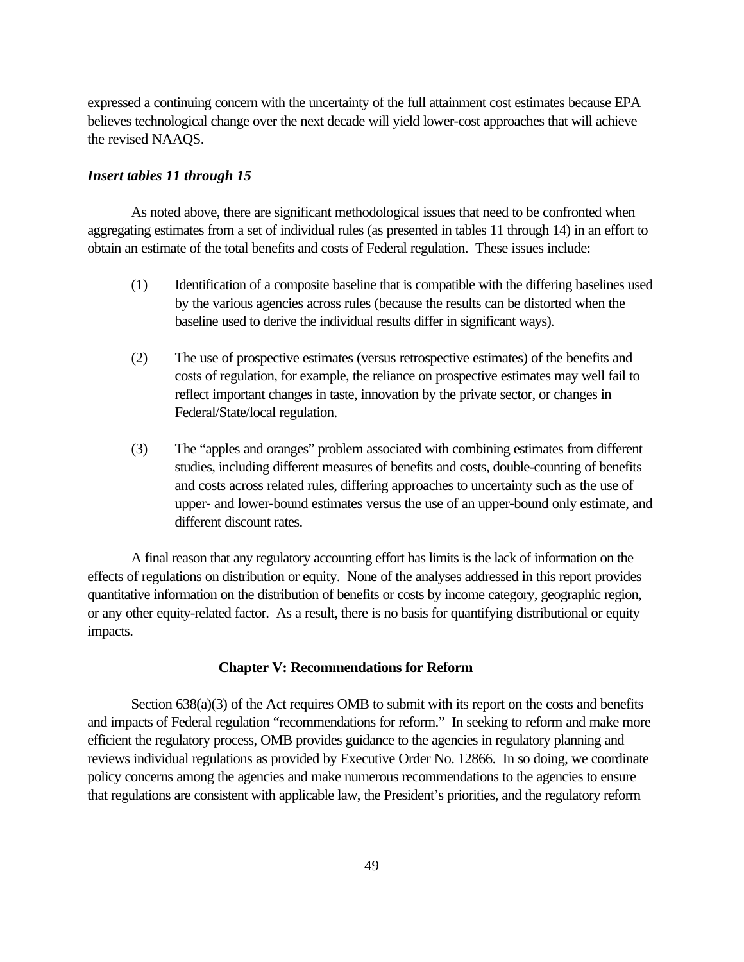expressed a continuing concern with the uncertainty of the full attainment cost estimates because EPA believes technological change over the next decade will yield lower-cost approaches that will achieve the revised NAAQS.

### *Insert tables 11 through 15*

As noted above, there are significant methodological issues that need to be confronted when aggregating estimates from a set of individual rules (as presented in tables 11 through 14) in an effort to obtain an estimate of the total benefits and costs of Federal regulation. These issues include:

- (1) Identification of a composite baseline that is compatible with the differing baselines used by the various agencies across rules (because the results can be distorted when the baseline used to derive the individual results differ in significant ways).
- (2) The use of prospective estimates (versus retrospective estimates) of the benefits and costs of regulation, for example, the reliance on prospective estimates may well fail to reflect important changes in taste, innovation by the private sector, or changes in Federal/State/local regulation.
- (3) The "apples and oranges" problem associated with combining estimates from different studies, including different measures of benefits and costs, double-counting of benefits and costs across related rules, differing approaches to uncertainty such as the use of upper- and lower-bound estimates versus the use of an upper-bound only estimate, and different discount rates.

A final reason that any regulatory accounting effort has limits is the lack of information on the effects of regulations on distribution or equity. None of the analyses addressed in this report provides quantitative information on the distribution of benefits or costs by income category, geographic region, or any other equity-related factor. As a result, there is no basis for quantifying distributional or equity impacts.

#### **Chapter V: Recommendations for Reform**

Section 638(a)(3) of the Act requires OMB to submit with its report on the costs and benefits and impacts of Federal regulation "recommendations for reform." In seeking to reform and make more efficient the regulatory process, OMB provides guidance to the agencies in regulatory planning and reviews individual regulations as provided by Executive Order No. 12866. In so doing, we coordinate policy concerns among the agencies and make numerous recommendations to the agencies to ensure that regulations are consistent with applicable law, the President's priorities, and the regulatory reform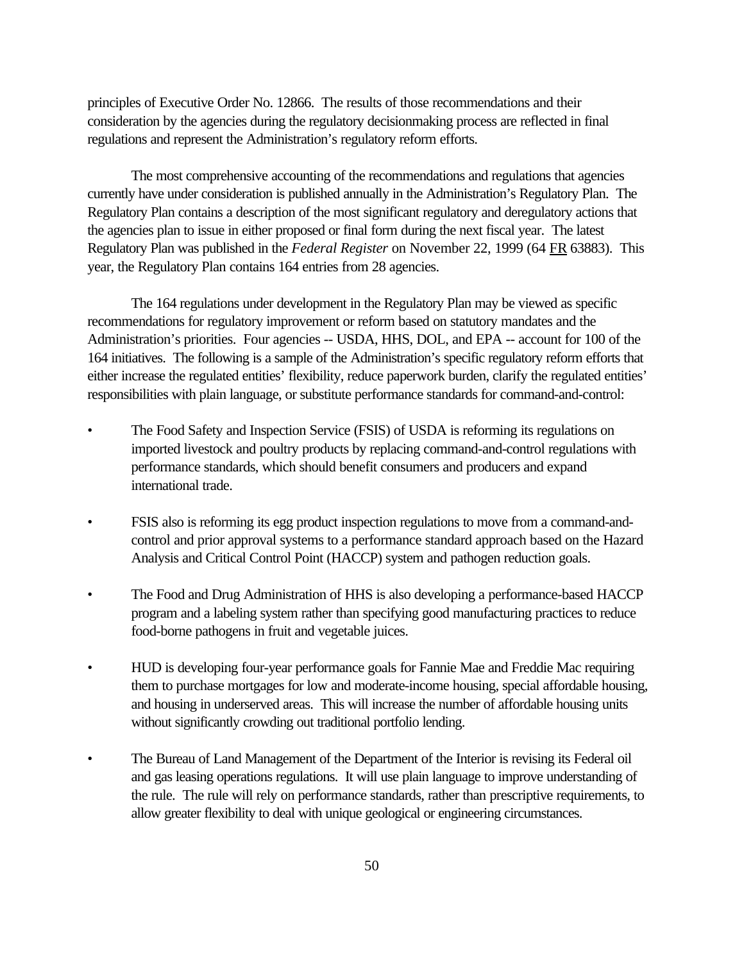principles of Executive Order No. 12866. The results of those recommendations and their consideration by the agencies during the regulatory decisionmaking process are reflected in final regulations and represent the Administration's regulatory reform efforts.

The most comprehensive accounting of the recommendations and regulations that agencies currently have under consideration is published annually in the Administration's Regulatory Plan. The Regulatory Plan contains a description of the most significant regulatory and deregulatory actions that the agencies plan to issue in either proposed or final form during the next fiscal year. The latest Regulatory Plan was published in the *Federal Register* on November 22, 1999 (64 FR 63883). This year, the Regulatory Plan contains 164 entries from 28 agencies.

The 164 regulations under development in the Regulatory Plan may be viewed as specific recommendations for regulatory improvement or reform based on statutory mandates and the Administration's priorities. Four agencies -- USDA, HHS, DOL, and EPA -- account for 100 of the 164 initiatives. The following is a sample of the Administration's specific regulatory reform efforts that either increase the regulated entities' flexibility, reduce paperwork burden, clarify the regulated entities' responsibilities with plain language, or substitute performance standards for command-and-control:

- The Food Safety and Inspection Service (FSIS) of USDA is reforming its regulations on imported livestock and poultry products by replacing command-and-control regulations with performance standards, which should benefit consumers and producers and expand international trade.
- FSIS also is reforming its egg product inspection regulations to move from a command-andcontrol and prior approval systems to a performance standard approach based on the Hazard Analysis and Critical Control Point (HACCP) system and pathogen reduction goals.
- The Food and Drug Administration of HHS is also developing a performance-based HACCP program and a labeling system rather than specifying good manufacturing practices to reduce food-borne pathogens in fruit and vegetable juices.
- HUD is developing four-year performance goals for Fannie Mae and Freddie Mac requiring them to purchase mortgages for low and moderate-income housing, special affordable housing, and housing in underserved areas. This will increase the number of affordable housing units without significantly crowding out traditional portfolio lending.
- The Bureau of Land Management of the Department of the Interior is revising its Federal oil and gas leasing operations regulations. It will use plain language to improve understanding of the rule. The rule will rely on performance standards, rather than prescriptive requirements, to allow greater flexibility to deal with unique geological or engineering circumstances.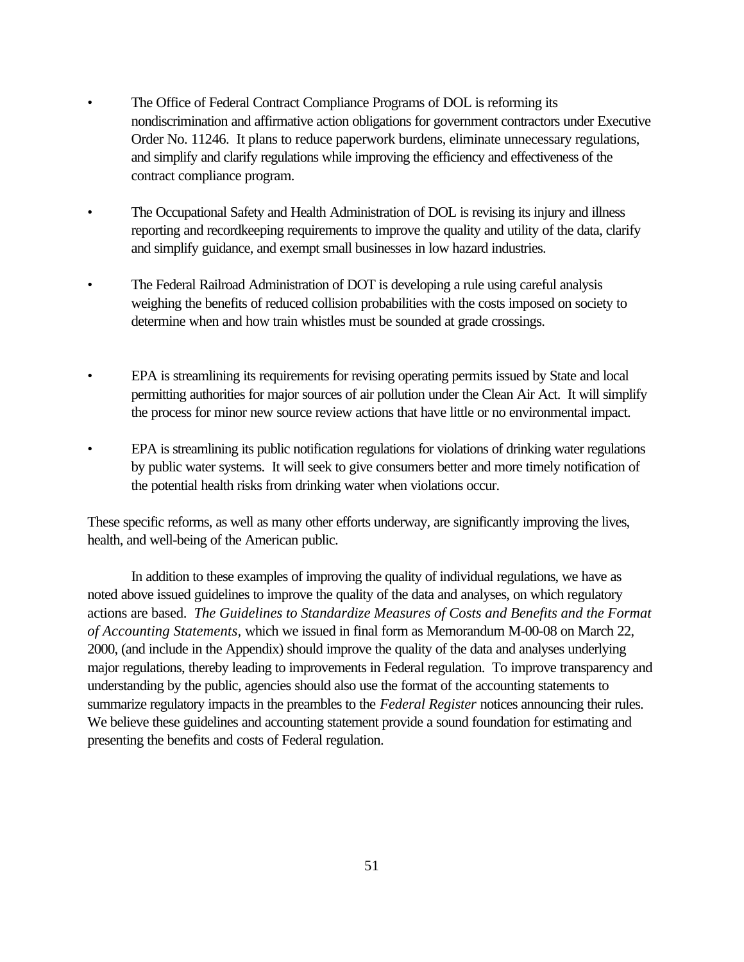- The Office of Federal Contract Compliance Programs of DOL is reforming its nondiscrimination and affirmative action obligations for government contractors under Executive Order No. 11246. It plans to reduce paperwork burdens, eliminate unnecessary regulations, and simplify and clarify regulations while improving the efficiency and effectiveness of the contract compliance program.
- The Occupational Safety and Health Administration of DOL is revising its injury and illness reporting and recordkeeping requirements to improve the quality and utility of the data, clarify and simplify guidance, and exempt small businesses in low hazard industries.
- The Federal Railroad Administration of DOT is developing a rule using careful analysis weighing the benefits of reduced collision probabilities with the costs imposed on society to determine when and how train whistles must be sounded at grade crossings.
- EPA is streamlining its requirements for revising operating permits issued by State and local permitting authorities for major sources of air pollution under the Clean Air Act. It will simplify the process for minor new source review actions that have little or no environmental impact.
- EPA is streamlining its public notification regulations for violations of drinking water regulations by public water systems. It will seek to give consumers better and more timely notification of the potential health risks from drinking water when violations occur.

These specific reforms, as well as many other efforts underway, are significantly improving the lives, health, and well-being of the American public.

In addition to these examples of improving the quality of individual regulations, we have as noted above issued guidelines to improve the quality of the data and analyses, on which regulatory actions are based. *The Guidelines to Standardize Measures of Costs and Benefits and the Format of Accounting Statements,* which we issued in final form as Memorandum M-00-08 on March 22, 2000, (and include in the Appendix) should improve the quality of the data and analyses underlying major regulations, thereby leading to improvements in Federal regulation. To improve transparency and understanding by the public, agencies should also use the format of the accounting statements to summarize regulatory impacts in the preambles to the *Federal Register* notices announcing their rules. We believe these guidelines and accounting statement provide a sound foundation for estimating and presenting the benefits and costs of Federal regulation.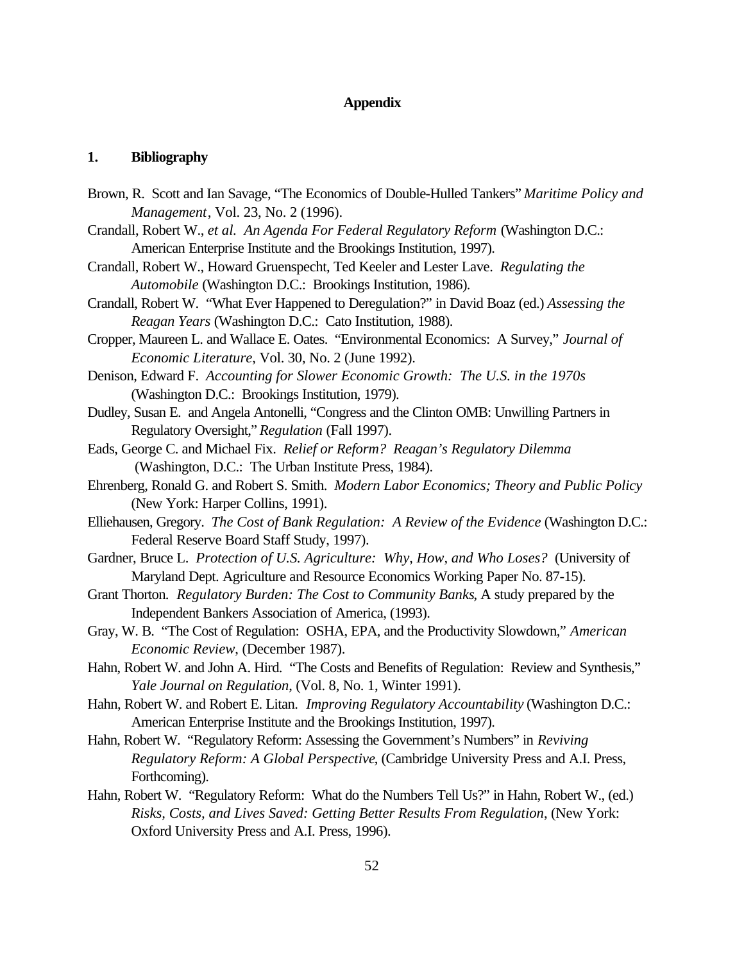## **Appendix**

### **1. Bibliography**

- Brown, R. Scott and Ian Savage, "The Economics of Double-Hulled Tankers" *Maritime Policy and Management*, Vol. 23, No. 2 (1996).
- Crandall, Robert W., *et al. An Agenda For Federal Regulatory Reform* (Washington D.C.: American Enterprise Institute and the Brookings Institution, 1997).
- Crandall, Robert W., Howard Gruenspecht, Ted Keeler and Lester Lave. *Regulating the Automobile* (Washington D.C.: Brookings Institution, 1986).
- Crandall, Robert W. "What Ever Happened to Deregulation?" in David Boaz (ed.) *Assessing the Reagan Years* (Washington D.C.: Cato Institution, 1988).

Cropper, Maureen L. and Wallace E. Oates. "Environmental Economics: A Survey," *Journal of Economic Literature*, Vol. 30, No. 2 (June 1992).

- Denison, Edward F. *Accounting for Slower Economic Growth: The U.S. in the 1970s*  (Washington D.C.: Brookings Institution, 1979).
- Dudley, Susan E. and Angela Antonelli, "Congress and the Clinton OMB: Unwilling Partners in Regulatory Oversight," *Regulation* (Fall 1997).
- Eads, George C. and Michael Fix. *Relief or Reform? Reagan's Regulatory Dilemma*  (Washington, D.C.: The Urban Institute Press, 1984).
- Ehrenberg, Ronald G. and Robert S. Smith. *Modern Labor Economics; Theory and Public Policy*  (New York: Harper Collins, 1991).
- Elliehausen, Gregory. *The Cost of Bank Regulation: A Review of the Evidence* (Washington D.C.: Federal Reserve Board Staff Study, 1997).
- Gardner, Bruce L. *Protection of U.S. Agriculture: Why, How, and Who Loses?* (University of Maryland Dept. Agriculture and Resource Economics Working Paper No. 87-15).
- Grant Thorton. *Regulatory Burden: The Cost to Community Banks*, A study prepared by the Independent Bankers Association of America, (1993).
- Gray, W. B. "The Cost of Regulation: OSHA, EPA, and the Productivity Slowdown," *American Economic Review*, (December 1987).
- Hahn, Robert W. and John A. Hird. "The Costs and Benefits of Regulation: Review and Synthesis," *Yale Journal on Regulation*, (Vol. 8, No. 1, Winter 1991).
- Hahn, Robert W. and Robert E. Litan. *Improving Regulatory Accountability* (Washington D.C.: American Enterprise Institute and the Brookings Institution, 1997).
- Hahn, Robert W. "Regulatory Reform: Assessing the Government's Numbers" in *Reviving Regulatory Reform: A Global Perspective*, (Cambridge University Press and A.I. Press, Forthcoming).
- Hahn, Robert W. "Regulatory Reform: What do the Numbers Tell Us?" in Hahn, Robert W., (ed.) *Risks, Costs, and Lives Saved: Getting Better Results From Regulation*, (New York: Oxford University Press and A.I. Press, 1996).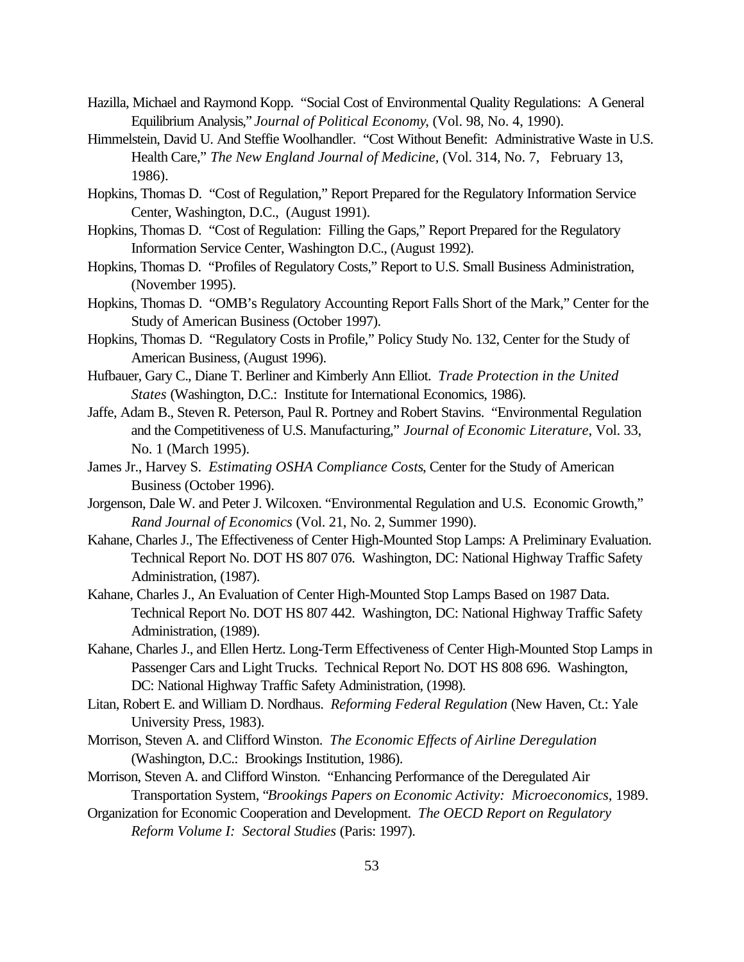- Hazilla, Michael and Raymond Kopp. "Social Cost of Environmental Quality Regulations: A General Equilibrium Analysis," *Journal of Political Economy*, (Vol. 98, No. 4, 1990).
- Himmelstein, David U. And Steffie Woolhandler. "Cost Without Benefit: Administrative Waste in U.S. Health Care," *The New England Journal of Medicine*, (Vol. 314, No. 7, February 13, 1986).
- Hopkins, Thomas D. "Cost of Regulation," Report Prepared for the Regulatory Information Service Center, Washington, D.C., (August 1991).
- Hopkins, Thomas D. "Cost of Regulation: Filling the Gaps," Report Prepared for the Regulatory Information Service Center, Washington D.C., (August 1992).
- Hopkins, Thomas D. "Profiles of Regulatory Costs," Report to U.S. Small Business Administration, (November 1995).
- Hopkins, Thomas D. "OMB's Regulatory Accounting Report Falls Short of the Mark," Center for the Study of American Business (October 1997).
- Hopkins, Thomas D. "Regulatory Costs in Profile," Policy Study No. 132, Center for the Study of American Business, (August 1996).
- Hufbauer, Gary C., Diane T. Berliner and Kimberly Ann Elliot. *Trade Protection in the United States* (Washington, D.C.: Institute for International Economics, 1986).
- Jaffe, Adam B., Steven R. Peterson, Paul R. Portney and Robert Stavins. "Environmental Regulation and the Competitiveness of U.S. Manufacturing," *Journal of Economic Literature*, Vol. 33, No. 1 (March 1995).
- James Jr., Harvey S. *Estimating OSHA Compliance Costs*, Center for the Study of American Business (October 1996).
- Jorgenson, Dale W. and Peter J. Wilcoxen. "Environmental Regulation and U.S. Economic Growth," *Rand Journal of Economics* (Vol. 21, No. 2, Summer 1990).
- Kahane, Charles J., The Effectiveness of Center High-Mounted Stop Lamps: A Preliminary Evaluation. Technical Report No. DOT HS 807 076. Washington, DC: National Highway Traffic Safety Administration, (1987).
- Kahane, Charles J., An Evaluation of Center High-Mounted Stop Lamps Based on 1987 Data. Technical Report No. DOT HS 807 442. Washington, DC: National Highway Traffic Safety Administration, (1989).
- Kahane, Charles J., and Ellen Hertz. Long-Term Effectiveness of Center High-Mounted Stop Lamps in Passenger Cars and Light Trucks. Technical Report No. DOT HS 808 696. Washington, DC: National Highway Traffic Safety Administration, (1998).
- Litan, Robert E. and William D. Nordhaus. *Reforming Federal Regulation* (New Haven, Ct.: Yale University Press, 1983).
- Morrison, Steven A. and Clifford Winston. *The Economic Effects of Airline Deregulation*  (Washington, D.C.: Brookings Institution, 1986).
- Morrison, Steven A. and Clifford Winston. "Enhancing Performance of the Deregulated Air Transportation System, "*Brookings Papers on Economic Activity: Microeconomics*, 1989.
- Organization for Economic Cooperation and Development. *The OECD Report on Regulatory Reform Volume I: Sectoral Studies* (Paris: 1997).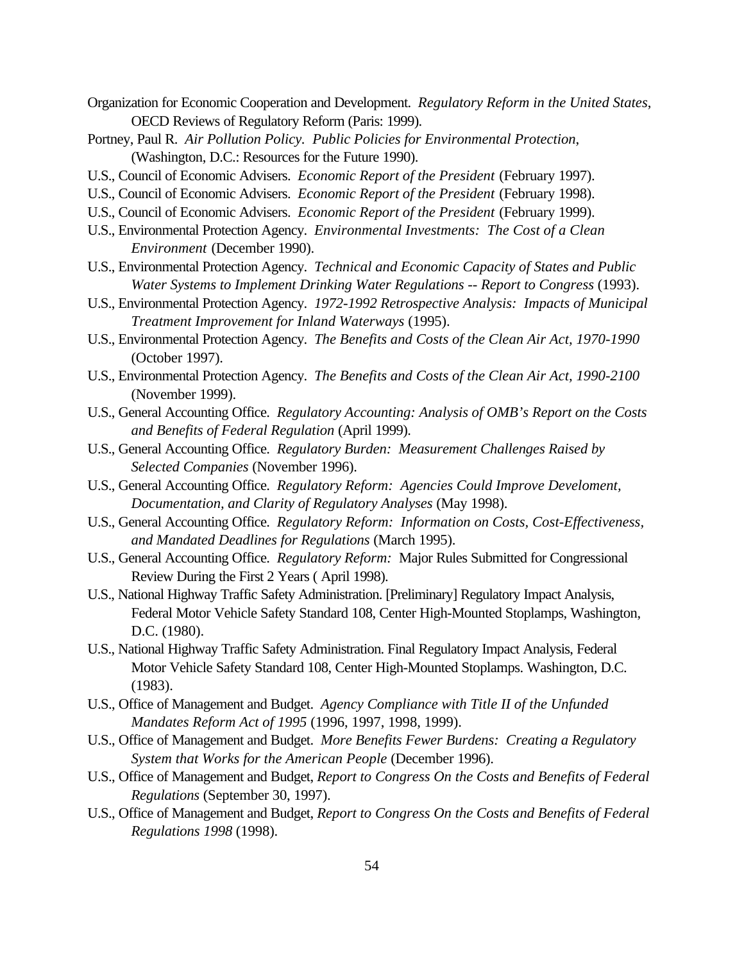- Organization for Economic Cooperation and Development. *Regulatory Reform in the United States*, OECD Reviews of Regulatory Reform (Paris: 1999).
- Portney, Paul R. *Air Pollution Policy. Public Policies for Environmental Protection*, (Washington, D.C.: Resources for the Future 1990).
- U.S., Council of Economic Advisers. *Economic Report of the President* (February 1997).
- U.S., Council of Economic Advisers. *Economic Report of the President* (February 1998).
- U.S., Council of Economic Advisers. *Economic Report of the President* (February 1999).
- U.S., Environmental Protection Agency. *Environmental Investments: The Cost of a Clean Environment* (December 1990).
- U.S., Environmental Protection Agency. *Technical and Economic Capacity of States and Public Water Systems to Implement Drinking Water Regulations -- Report to Congress* (1993).
- U.S., Environmental Protection Agency. *1972-1992 Retrospective Analysis: Impacts of Municipal Treatment Improvement for Inland Waterways* (1995).
- U.S., Environmental Protection Agency. *The Benefits and Costs of the Clean Air Act, 1970-1990*  (October 1997).
- U.S., Environmental Protection Agency. *The Benefits and Costs of the Clean Air Act, 1990-2100*  (November 1999).
- U.S., General Accounting Office. *Regulatory Accounting: Analysis of OMB's Report on the Costs and Benefits of Federal Regulation* (April 1999).
- U.S., General Accounting Office. *Regulatory Burden: Measurement Challenges Raised by Selected Companies* (November 1996).
- U.S., General Accounting Office. *Regulatory Reform: Agencies Could Improve Develoment, Documentation, and Clarity of Regulatory Analyses* (May 1998).
- U.S., General Accounting Office. *Regulatory Reform: Information on Costs, Cost-Effectiveness, and Mandated Deadlines for Regulations* (March 1995).
- U.S., General Accounting Office. *Regulatory Reform:* Major Rules Submitted for Congressional Review During the First 2 Years ( April 1998).
- U.S., National Highway Traffic Safety Administration. [Preliminary] Regulatory Impact Analysis, Federal Motor Vehicle Safety Standard 108, Center High-Mounted Stoplamps, Washington, D.C. (1980).
- U.S., National Highway Traffic Safety Administration. Final Regulatory Impact Analysis, Federal Motor Vehicle Safety Standard 108, Center High-Mounted Stoplamps. Washington, D.C. (1983).
- U.S., Office of Management and Budget. *Agency Compliance with Title II of the Unfunded Mandates Reform Act of 1995* (1996, 1997, 1998, 1999).
- U.S., Office of Management and Budget. *More Benefits Fewer Burdens: Creating a Regulatory System that Works for the American People* (December 1996).
- U.S., Office of Management and Budget, *Report to Congress On the Costs and Benefits of Federal Regulations* (September 30, 1997).
- U.S., Office of Management and Budget, *Report to Congress On the Costs and Benefits of Federal Regulations 1998* (1998).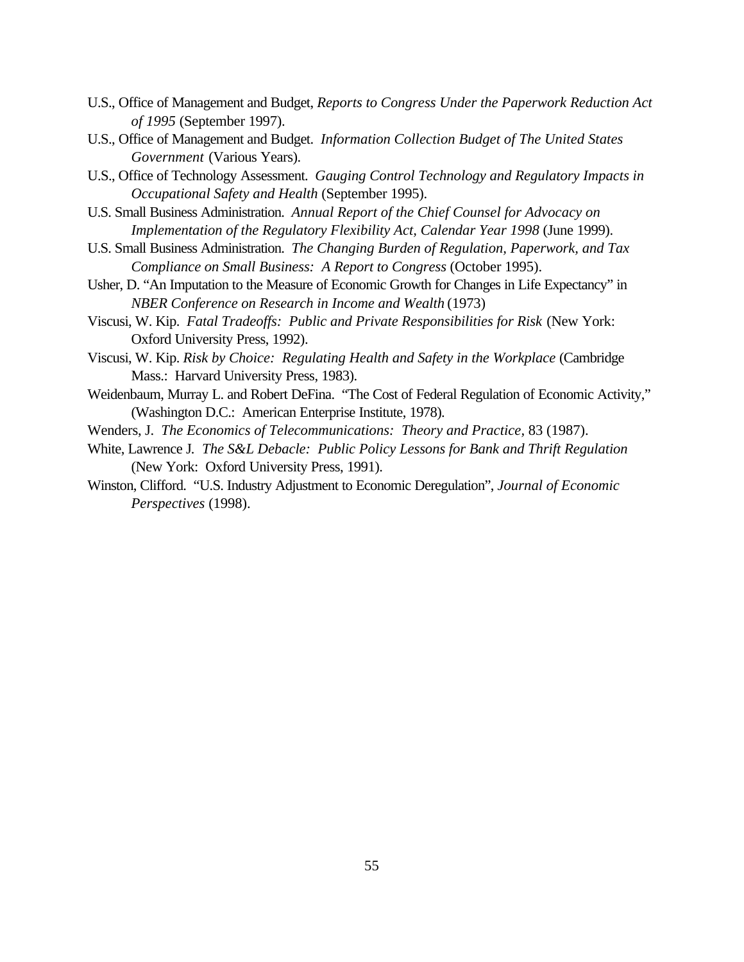- U.S., Office of Management and Budget, *Reports to Congress Under the Paperwork Reduction Act of 1995* (September 1997).
- U.S., Office of Management and Budget. *Information Collection Budget of The United States Government* (Various Years).
- U.S., Office of Technology Assessment. *Gauging Control Technology and Regulatory Impacts in Occupational Safety and Health* (September 1995).
- U.S. Small Business Administration. *Annual Report of the Chief Counsel for Advocacy on Implementation of the Regulatory Flexibility Act, Calendar Year 1998* (June 1999).
- U.S. Small Business Administration. *The Changing Burden of Regulation, Paperwork, and Tax Compliance on Small Business: A Report to Congress* (October 1995).
- Usher, D. "An Imputation to the Measure of Economic Growth for Changes in Life Expectancy" in *NBER Conference on Research in Income and Wealth* (1973)
- Viscusi, W. Kip. *Fatal Tradeoffs: Public and Private Responsibilities for Risk* (New York: Oxford University Press, 1992).
- Viscusi, W. Kip. *Risk by Choice: Regulating Health and Safety in the Workplace* (Cambridge Mass.: Harvard University Press, 1983).
- Weidenbaum, Murray L. and Robert DeFina. "The Cost of Federal Regulation of Economic Activity," (Washington D.C.: American Enterprise Institute, 1978).
- Wenders, J. *The Economics of Telecommunications: Theory and Practice,* 83 (1987).
- White, Lawrence J*. The S&L Debacle: Public Policy Lessons for Bank and Thrift Regulation*  (New York: Oxford University Press, 1991).
- Winston, Clifford. "U.S. Industry Adjustment to Economic Deregulation", *Journal of Economic Perspectives* (1998).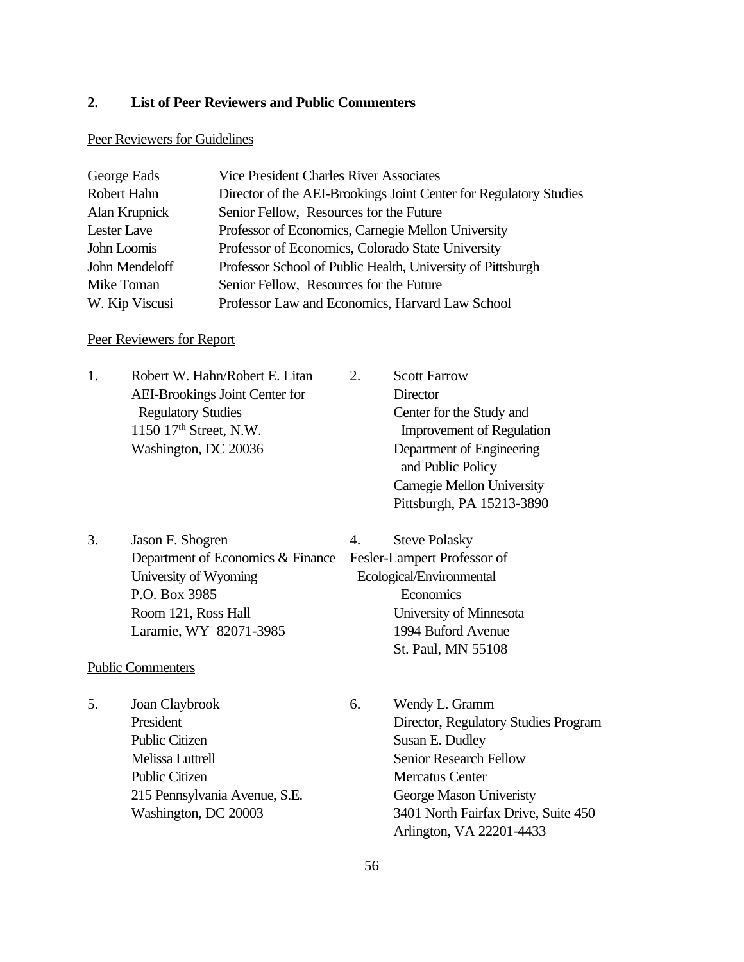# **2. List of Peer Reviewers and Public Commenters**

# Peer Reviewers for Guidelines

| George Eads    | Vice President Charles River Associates                           |
|----------------|-------------------------------------------------------------------|
| Robert Hahn    | Director of the AEI-Brookings Joint Center for Regulatory Studies |
| Alan Krupnick  | Senior Fellow, Resources for the Future                           |
| Lester Lave    | Professor of Economics, Carnegie Mellon University                |
| John Loomis    | Professor of Economics, Colorado State University                 |
| John Mendeloff | Professor School of Public Health, University of Pittsburgh       |
| Mike Toman     | Senior Fellow, Resources for the Future                           |
| W. Kip Viscusi | Professor Law and Economics, Harvard Law School                   |

## Peer Reviewers for Report

| 1. | Robert W. Hahn/Robert E. Litan    | 2.                          | <b>Scott Farrow</b>              |
|----|-----------------------------------|-----------------------------|----------------------------------|
|    | AEI-Brookings Joint Center for    |                             | Director                         |
|    | <b>Regulatory Studies</b>         |                             | Center for the Study and         |
|    | 1150 $17th$ Street, N.W.          |                             | <b>Improvement of Regulation</b> |
|    | Washington, DC 20036              |                             | Department of Engineering        |
|    |                                   |                             | and Public Policy                |
|    |                                   |                             | Carnegie Mellon University       |
|    |                                   |                             | Pittsburgh, PA 15213-3890        |
| 3. | Jason F. Shogren                  | 4.                          | <b>Steve Polasky</b>             |
|    | Department of Economics & Finance | Fesler-Lampert Professor of |                                  |
|    | University of Wyoming             |                             | Ecological/Environmental         |
|    | P.O. Box 3985                     |                             | Economics                        |
|    | Room 121, Ross Hall               |                             | University of Minnesota          |
|    | Laramie, WY 82071-3985            |                             | 1994 Buford Avenue               |
|    |                                   |                             | St. Paul, MN 55108               |
|    | <b>Public Commenters</b>          |                             |                                  |

5. Joan Claybrook President Public Citizen Melissa Luttrell Public Citizen 215 Pennsylvania Avenue, S.E. Washington, DC 20003

6. Wendy L. Gramm Director, Regulatory Studies Program Susan E. Dudley Senior Research Fellow Mercatus Center George Mason Univeristy 3401 North Fairfax Drive, Suite 450 Arlington, VA 22201-4433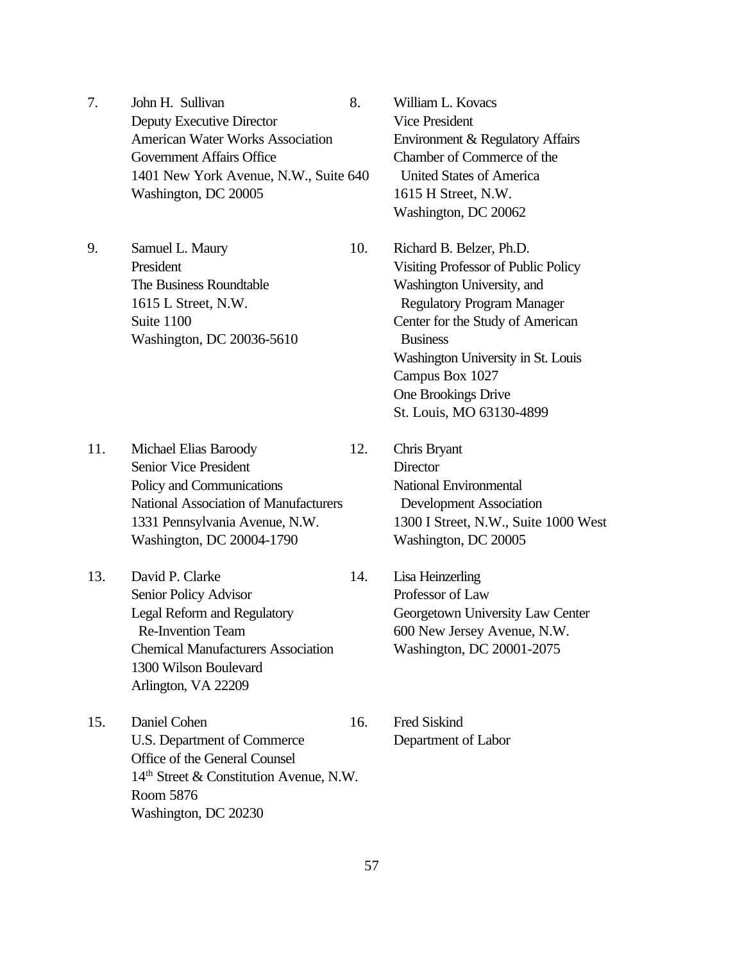| $7_{\scriptscriptstyle{\sim}}$ | John H. Sullivan<br>8.                  |  |
|--------------------------------|-----------------------------------------|--|
|                                | Deputy Executive Director               |  |
|                                | <b>American Water Works Association</b> |  |
|                                | <b>Government Affairs Office</b>        |  |
|                                | 1401 New York Avenue, N.W., Suite 640   |  |
|                                | Washington, DC 20005                    |  |

- 9. Samuel L. Maury 10. President The Business Roundtable 1615 L Street, N.W. Suite 1100 Washington, DC 20036-5610
- 11. Michael Elias Baroody 12. Senior Vice President Policy and Communications National Association of Manufacturers 1331 Pennsylvania Avenue, N.W. Washington, DC 20004-1790
- 13. David P. Clarke 14. Senior Policy Advisor Legal Reform and Regulatory Re-Invention Team Chemical Manufacturers Association 1300 Wilson Boulevard Arlington, VA 22209
- 15. Daniel Cohen 16. U.S. Department of Commerce Office of the General Counsel 14th Street & Constitution Avenue, N.W. Room 5876 Washington, DC 20230

William L. Kovacs Vice President Environment & Regulatory Affairs Chamber of Commerce of the United States of America 1615 H Street, N.W. Washington, DC 20062

- Richard B. Belzer, Ph.D. Visiting Professor of Public Policy Washington University, and Regulatory Program Manager Center for the Study of American **Business** Washington University in St. Louis Campus Box 1027 One Brookings Drive St. Louis, MO 63130-4899
- Chris Bryant **Director** National Environmental Development Association 1300 I Street, N.W., Suite 1000 West Washington, DC 20005
- Lisa Heinzerling Professor of Law Georgetown University Law Center 600 New Jersey Avenue, N.W. Washington, DC 20001-2075
- Fred Siskind Department of Labor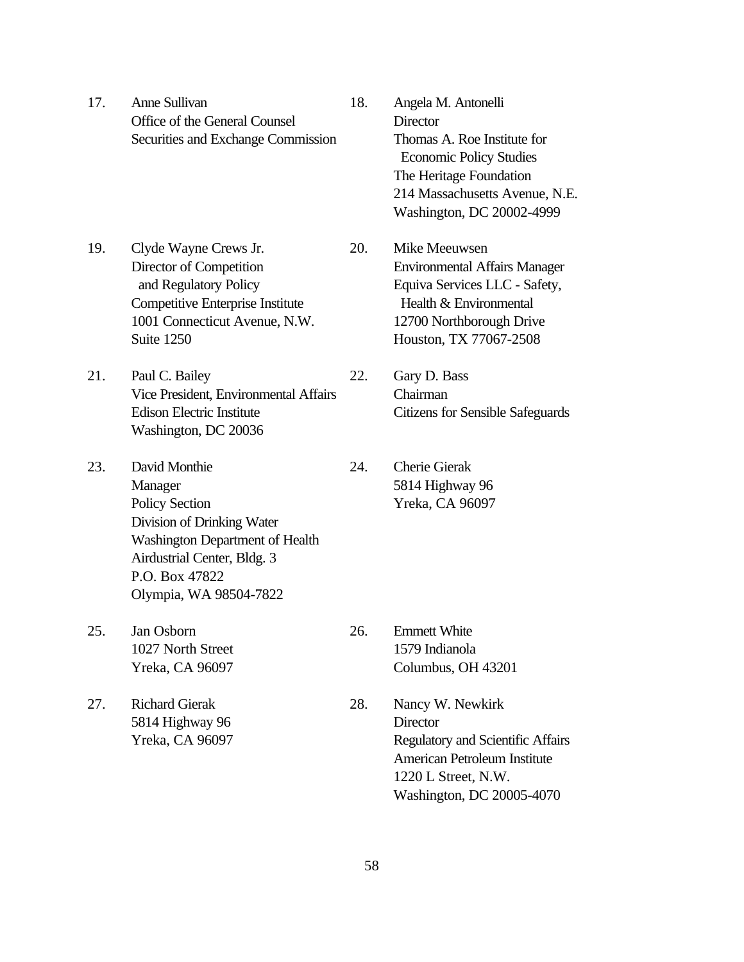| 17. | Anne Sullivan<br>Office of the General Counsel<br>Securities and Exchange Commission                                                                                                          | 18. | Angela M. Antonelli<br><b>Director</b><br>Thomas A. Roe Institute for<br><b>Economic Policy Studies</b><br>The Heritage Foundation<br>214 Massachusetts Avenue, N.E.<br>Washington, DC 20002-4999 |
|-----|-----------------------------------------------------------------------------------------------------------------------------------------------------------------------------------------------|-----|---------------------------------------------------------------------------------------------------------------------------------------------------------------------------------------------------|
| 19. | Clyde Wayne Crews Jr.<br>Director of Competition<br>and Regulatory Policy<br>Competitive Enterprise Institute<br>1001 Connecticut Avenue, N.W.<br>Suite 1250                                  | 20. | Mike Meeuwsen<br><b>Environmental Affairs Manager</b><br>Equiva Services LLC - Safety,<br>Health & Environmental<br>12700 Northborough Drive<br>Houston, TX 77067-2508                            |
| 21. | Paul C. Bailey<br>Vice President, Environmental Affairs<br><b>Edison Electric Institute</b><br>Washington, DC 20036                                                                           | 22. | Gary D. Bass<br>Chairman<br><b>Citizens for Sensible Safeguards</b>                                                                                                                               |
| 23. | David Monthie<br>Manager<br><b>Policy Section</b><br>Division of Drinking Water<br>Washington Department of Health<br>Airdustrial Center, Bldg. 3<br>P.O. Box 47822<br>Olympia, WA 98504-7822 | 24. | <b>Cherie Gierak</b><br>5814 Highway 96<br>Yreka, CA 96097                                                                                                                                        |
| 25. | Jan Osborn<br>1027 North Street<br>Yreka, CA 96097                                                                                                                                            | 26. | <b>Emmett White</b><br>1579 Indianola<br>Columbus, OH 43201                                                                                                                                       |
| 27. | <b>Richard Gierak</b><br>5814 Highway 96<br>Yreka, CA 96097                                                                                                                                   | 28. | Nancy W. Newkirk<br><b>Director</b><br>Regulatory and Scientific Affairs<br>American Petroleum Institute<br>1220 L Street, N.W.<br>Washington, DC 20005-4070                                      |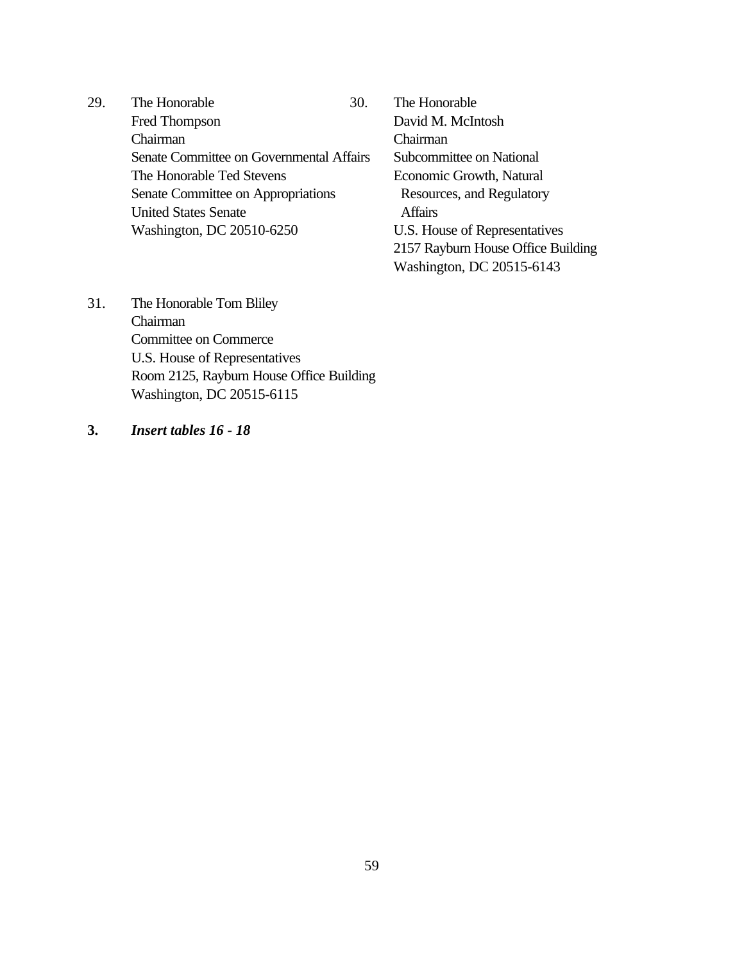29. The Honorable 30. Fred Thompson Chairman Senate Committee on Governmental Affairs The Honorable Ted Stevens Senate Committee on Appropriations United States Senate Washington, DC 20510-6250

The Honorable David M. McIntosh Chairman Subcommittee on National Economic Growth, Natural Resources, and Regulatory Affairs U.S. House of Representatives 2157 Rayburn House Office Building Washington, DC 20515-6143

- 31. The Honorable Tom Bliley Chairman Committee on Commerce U.S. House of Representatives Room 2125, Rayburn House Office Building Washington, DC 20515-6115
- **3.** *Insert tables 16 18*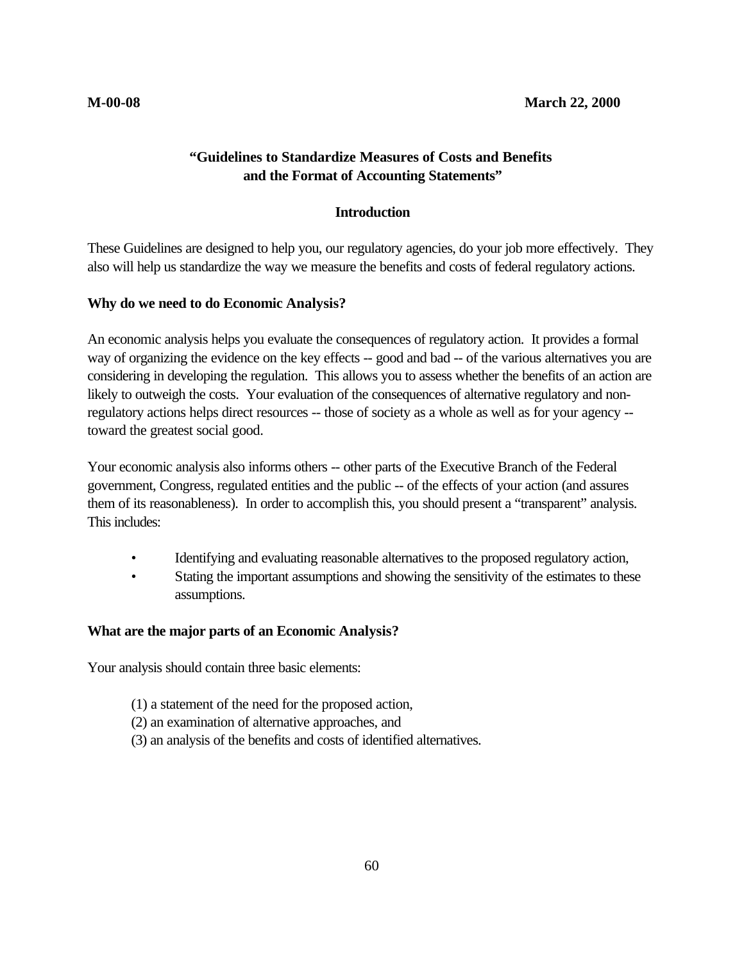# **"Guidelines to Standardize Measures of Costs and Benefits and the Format of Accounting Statements"**

# **Introduction**

These Guidelines are designed to help you, our regulatory agencies, do your job more effectively. They also will help us standardize the way we measure the benefits and costs of federal regulatory actions.

# **Why do we need to do Economic Analysis?**

An economic analysis helps you evaluate the consequences of regulatory action. It provides a formal way of organizing the evidence on the key effects -- good and bad -- of the various alternatives you are considering in developing the regulation. This allows you to assess whether the benefits of an action are likely to outweigh the costs. Your evaluation of the consequences of alternative regulatory and nonregulatory actions helps direct resources -- those of society as a whole as well as for your agency toward the greatest social good.

Your economic analysis also informs others -- other parts of the Executive Branch of the Federal government, Congress, regulated entities and the public -- of the effects of your action (and assures them of its reasonableness). In order to accomplish this, you should present a "transparent" analysis. This includes:

- Identifying and evaluating reasonable alternatives to the proposed regulatory action,
- Stating the important assumptions and showing the sensitivity of the estimates to these assumptions.

## **What are the major parts of an Economic Analysis?**

Your analysis should contain three basic elements:

- (1) a statement of the need for the proposed action,
- (2) an examination of alternative approaches, and
- (3) an analysis of the benefits and costs of identified alternatives.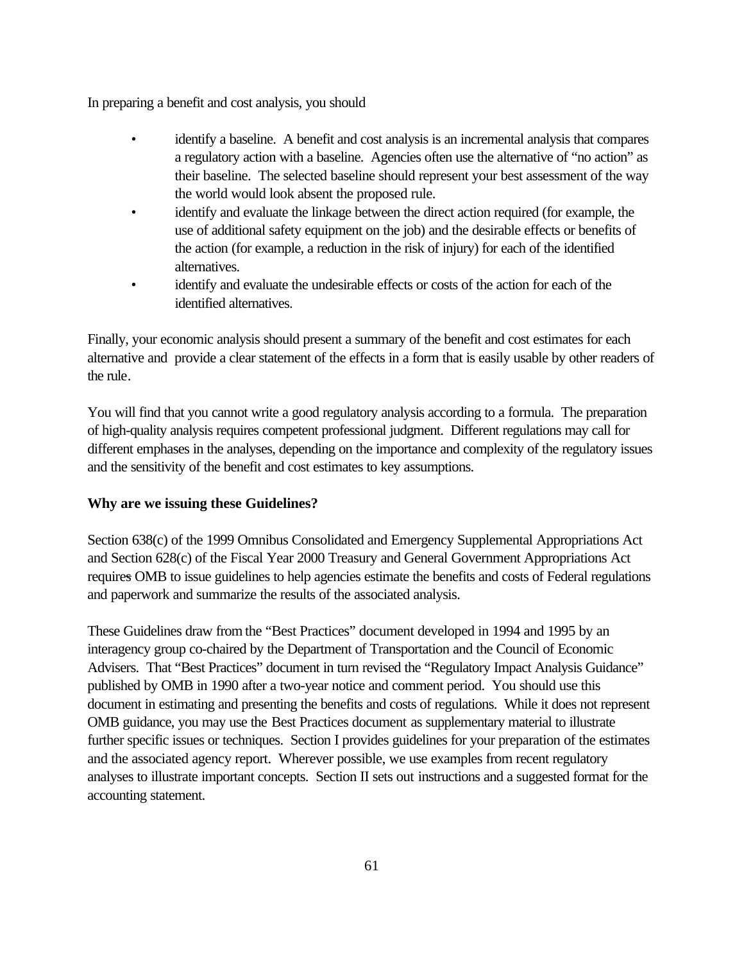In preparing a benefit and cost analysis, you should

- identify a baseline. A benefit and cost analysis is an incremental analysis that compares a regulatory action with a baseline. Agencies often use the alternative of "no action" as their baseline. The selected baseline should represent your best assessment of the way the world would look absent the proposed rule.
- identify and evaluate the linkage between the direct action required (for example, the use of additional safety equipment on the job) and the desirable effects or benefits of the action (for example, a reduction in the risk of injury) for each of the identified alternatives.
- identify and evaluate the undesirable effects or costs of the action for each of the identified alternatives.

Finally, your economic analysis should present a summary of the benefit and cost estimates for each alternative and provide a clear statement of the effects in a form that is easily usable by other readers of the rule.

You will find that you cannot write a good regulatory analysis according to a formula. The preparation of high-quality analysis requires competent professional judgment. Different regulations may call for different emphases in the analyses, depending on the importance and complexity of the regulatory issues and the sensitivity of the benefit and cost estimates to key assumptions.

## **Why are we issuing these Guidelines?**

Section 638(c) of the 1999 Omnibus Consolidated and Emergency Supplemental Appropriations Act and Section 628(c) of the Fiscal Year 2000 Treasury and General Government Appropriations Act requires OMB to issue guidelines to help agencies estimate the benefits and costs of Federal regulations and paperwork and summarize the results of the associated analysis.

These Guidelines draw from the "Best Practices" document developed in 1994 and 1995 by an interagency group co-chaired by the Department of Transportation and the Council of Economic Advisers. That "Best Practices" document in turn revised the "Regulatory Impact Analysis Guidance" published by OMB in 1990 after a two-year notice and comment period. You should use this document in estimating and presenting the benefits and costs of regulations. While it does not represent OMB guidance, you may use the Best Practices document as supplementary material to illustrate further specific issues or techniques. Section I provides guidelines for your preparation of the estimates and the associated agency report. Wherever possible, we use examples from recent regulatory analyses to illustrate important concepts. Section II sets out instructions and a suggested format for the accounting statement.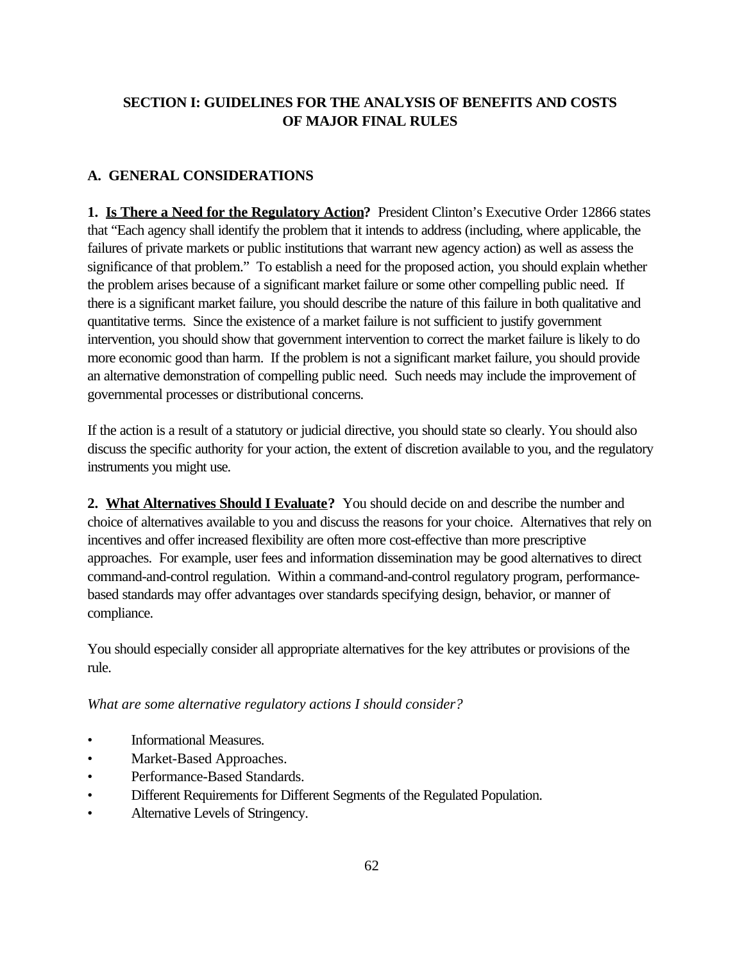# **SECTION I: GUIDELINES FOR THE ANALYSIS OF BENEFITS AND COSTS OF MAJOR FINAL RULES**

# **A. GENERAL CONSIDERATIONS**

**1. Is There a Need for the Regulatory Action?** President Clinton's Executive Order 12866 states that "Each agency shall identify the problem that it intends to address (including, where applicable, the failures of private markets or public institutions that warrant new agency action) as well as assess the significance of that problem." To establish a need for the proposed action, you should explain whether the problem arises because of a significant market failure or some other compelling public need. If there is a significant market failure, you should describe the nature of this failure in both qualitative and quantitative terms. Since the existence of a market failure is not sufficient to justify government intervention, you should show that government intervention to correct the market failure is likely to do more economic good than harm. If the problem is not a significant market failure, you should provide an alternative demonstration of compelling public need. Such needs may include the improvement of governmental processes or distributional concerns.

If the action is a result of a statutory or judicial directive, you should state so clearly. You should also discuss the specific authority for your action, the extent of discretion available to you, and the regulatory instruments you might use.

**2. What Alternatives Should I Evaluate?** You should decide on and describe the number and choice of alternatives available to you and discuss the reasons for your choice. Alternatives that rely on incentives and offer increased flexibility are often more cost-effective than more prescriptive approaches. For example, user fees and information dissemination may be good alternatives to direct command-and-control regulation. Within a command-and-control regulatory program, performancebased standards may offer advantages over standards specifying design, behavior, or manner of compliance.

You should especially consider all appropriate alternatives for the key attributes or provisions of the rule.

## *What are some alternative regulatory actions I should consider?*

- Informational Measures.
- Market-Based Approaches.
- Performance-Based Standards.
- Different Requirements for Different Segments of the Regulated Population.
- Alternative Levels of Stringency.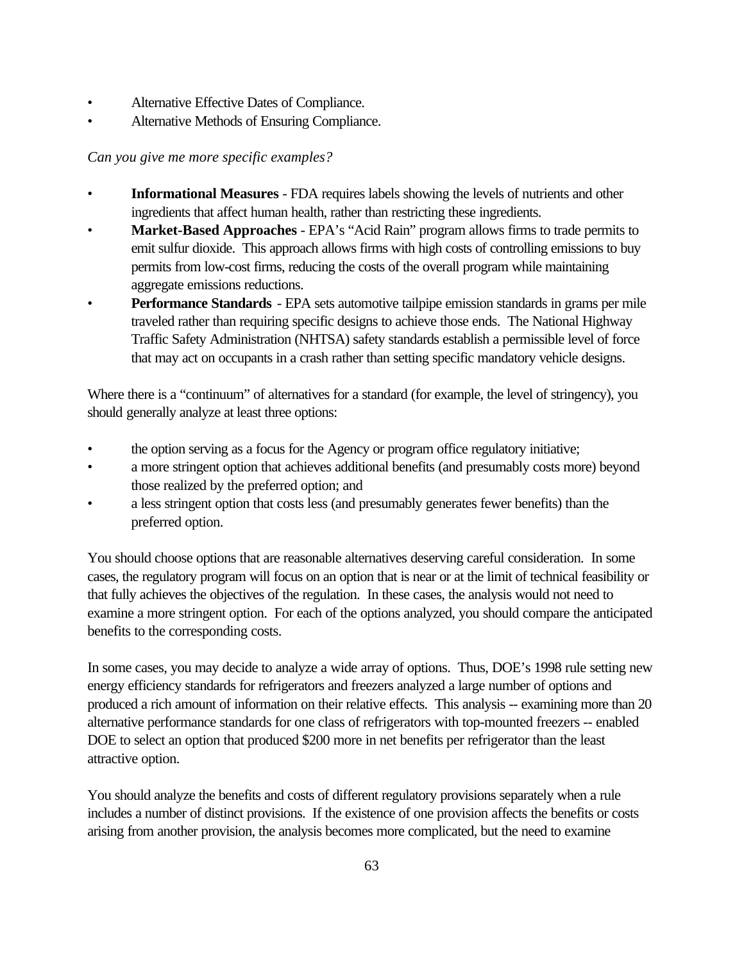- Alternative Effective Dates of Compliance.
- Alternative Methods of Ensuring Compliance.

# *Can you give me more specific examples?*

- **Informational Measures** FDA requires labels showing the levels of nutrients and other ingredients that affect human health, rather than restricting these ingredients.
- **Market-Based Approaches** EPA's "Acid Rain" program allows firms to trade permits to emit sulfur dioxide. This approach allows firms with high costs of controlling emissions to buy permits from low-cost firms, reducing the costs of the overall program while maintaining aggregate emissions reductions.
- **Performance Standards** EPA sets automotive tailpipe emission standards in grams per mile traveled rather than requiring specific designs to achieve those ends. The National Highway Traffic Safety Administration (NHTSA) safety standards establish a permissible level of force that may act on occupants in a crash rather than setting specific mandatory vehicle designs.

Where there is a "continuum" of alternatives for a standard (for example, the level of stringency), you should generally analyze at least three options:

- the option serving as a focus for the Agency or program office regulatory initiative;
- a more stringent option that achieves additional benefits (and presumably costs more) beyond those realized by the preferred option; and
- a less stringent option that costs less (and presumably generates fewer benefits) than the preferred option.

You should choose options that are reasonable alternatives deserving careful consideration. In some cases, the regulatory program will focus on an option that is near or at the limit of technical feasibility or that fully achieves the objectives of the regulation. In these cases, the analysis would not need to examine a more stringent option. For each of the options analyzed, you should compare the anticipated benefits to the corresponding costs.

In some cases, you may decide to analyze a wide array of options. Thus, DOE's 1998 rule setting new energy efficiency standards for refrigerators and freezers analyzed a large number of options and produced a rich amount of information on their relative effects. This analysis -- examining more than 20 alternative performance standards for one class of refrigerators with top-mounted freezers -- enabled DOE to select an option that produced \$200 more in net benefits per refrigerator than the least attractive option.

You should analyze the benefits and costs of different regulatory provisions separately when a rule includes a number of distinct provisions. If the existence of one provision affects the benefits or costs arising from another provision, the analysis becomes more complicated, but the need to examine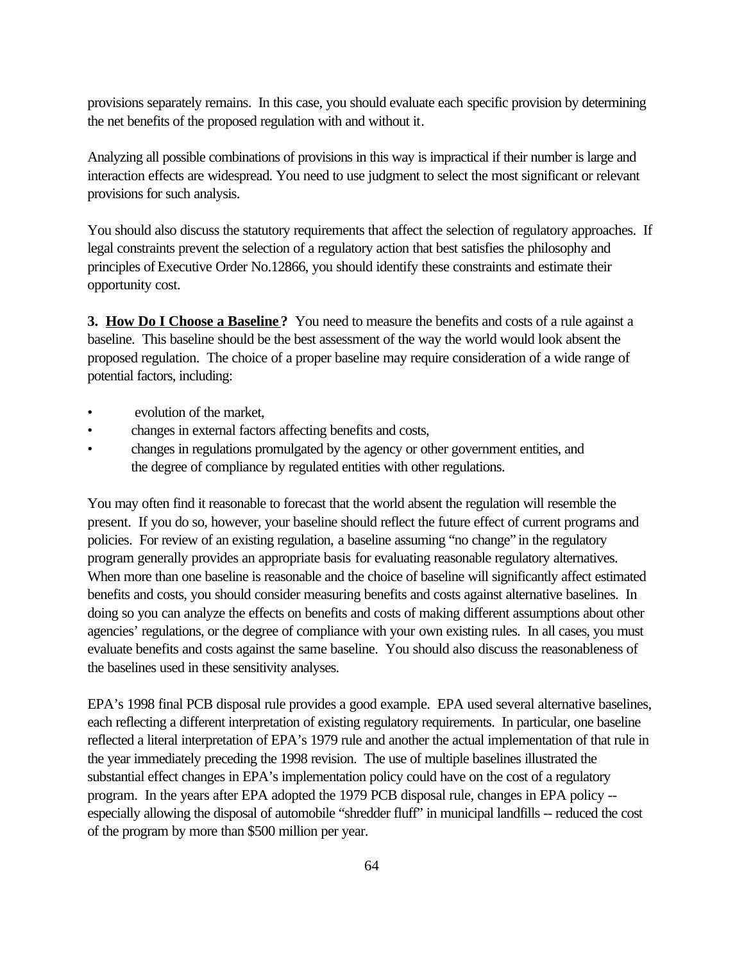provisions separately remains. In this case, you should evaluate each specific provision by determining the net benefits of the proposed regulation with and without it.

Analyzing all possible combinations of provisions in this way is impractical if their number is large and interaction effects are widespread. You need to use judgment to select the most significant or relevant provisions for such analysis.

You should also discuss the statutory requirements that affect the selection of regulatory approaches. If legal constraints prevent the selection of a regulatory action that best satisfies the philosophy and principles of Executive Order No.12866, you should identify these constraints and estimate their opportunity cost.

**3. How Do I Choose a Baseline?** You need to measure the benefits and costs of a rule against a baseline. This baseline should be the best assessment of the way the world would look absent the proposed regulation. The choice of a proper baseline may require consideration of a wide range of potential factors, including:

- evolution of the market,
- changes in external factors affecting benefits and costs,
- changes in regulations promulgated by the agency or other government entities, and the degree of compliance by regulated entities with other regulations.

You may often find it reasonable to forecast that the world absent the regulation will resemble the present. If you do so, however, your baseline should reflect the future effect of current programs and policies. For review of an existing regulation, a baseline assuming "no change" in the regulatory program generally provides an appropriate basis for evaluating reasonable regulatory alternatives. When more than one baseline is reasonable and the choice of baseline will significantly affect estimated benefits and costs, you should consider measuring benefits and costs against alternative baselines. In doing so you can analyze the effects on benefits and costs of making different assumptions about other agencies' regulations, or the degree of compliance with your own existing rules. In all cases, you must evaluate benefits and costs against the same baseline. You should also discuss the reasonableness of the baselines used in these sensitivity analyses.

EPA's 1998 final PCB disposal rule provides a good example. EPA used several alternative baselines, each reflecting a different interpretation of existing regulatory requirements. In particular, one baseline reflected a literal interpretation of EPA's 1979 rule and another the actual implementation of that rule in the year immediately preceding the 1998 revision. The use of multiple baselines illustrated the substantial effect changes in EPA's implementation policy could have on the cost of a regulatory program. In the years after EPA adopted the 1979 PCB disposal rule, changes in EPA policy especially allowing the disposal of automobile "shredder fluff" in municipal landfills -- reduced the cost of the program by more than \$500 million per year.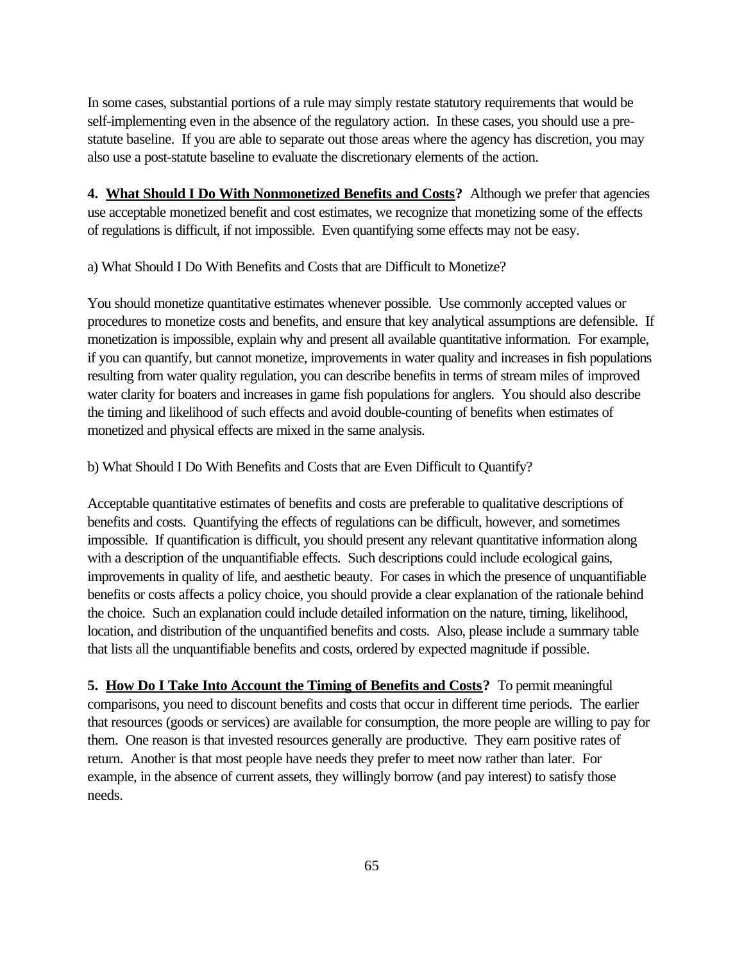In some cases, substantial portions of a rule may simply restate statutory requirements that would be self-implementing even in the absence of the regulatory action. In these cases, you should use a prestatute baseline. If you are able to separate out those areas where the agency has discretion, you may also use a post-statute baseline to evaluate the discretionary elements of the action.

**4. What Should I Do With Nonmonetized Benefits and Costs?** Although we prefer that agencies use acceptable monetized benefit and cost estimates, we recognize that monetizing some of the effects of regulations is difficult, if not impossible. Even quantifying some effects may not be easy.

a) What Should I Do With Benefits and Costs that are Difficult to Monetize?

You should monetize quantitative estimates whenever possible. Use commonly accepted values or procedures to monetize costs and benefits, and ensure that key analytical assumptions are defensible. If monetization is impossible, explain why and present all available quantitative information. For example, if you can quantify, but cannot monetize, improvements in water quality and increases in fish populations resulting from water quality regulation, you can describe benefits in terms of stream miles of improved water clarity for boaters and increases in game fish populations for anglers. You should also describe the timing and likelihood of such effects and avoid double-counting of benefits when estimates of monetized and physical effects are mixed in the same analysis.

b) What Should I Do With Benefits and Costs that are Even Difficult to Quantify?

Acceptable quantitative estimates of benefits and costs are preferable to qualitative descriptions of benefits and costs. Quantifying the effects of regulations can be difficult, however, and sometimes impossible. If quantification is difficult, you should present any relevant quantitative information along with a description of the unquantifiable effects. Such descriptions could include ecological gains, improvements in quality of life, and aesthetic beauty. For cases in which the presence of unquantifiable benefits or costs affects a policy choice, you should provide a clear explanation of the rationale behind the choice. Such an explanation could include detailed information on the nature, timing, likelihood, location, and distribution of the unquantified benefits and costs. Also, please include a summary table that lists all the unquantifiable benefits and costs, ordered by expected magnitude if possible.

**5. How Do I Take Into Account the Timing of Benefits and Costs?** To permit meaningful comparisons, you need to discount benefits and costs that occur in different time periods. The earlier that resources (goods or services) are available for consumption, the more people are willing to pay for them. One reason is that invested resources generally are productive. They earn positive rates of return. Another is that most people have needs they prefer to meet now rather than later. For example, in the absence of current assets, they willingly borrow (and pay interest) to satisfy those needs.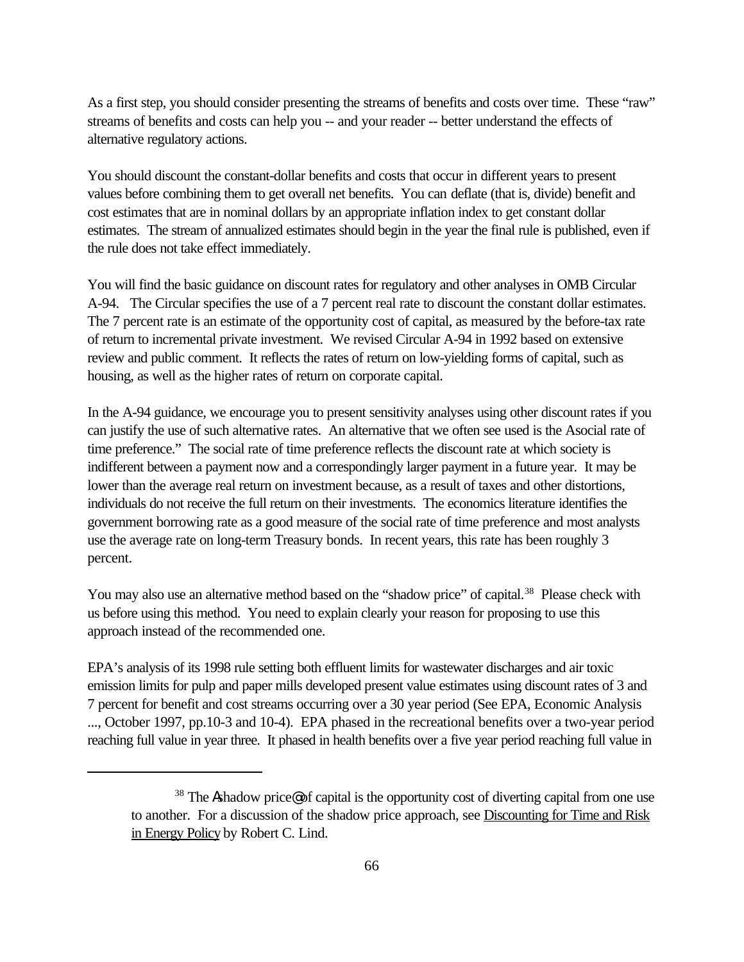As a first step, you should consider presenting the streams of benefits and costs over time. These "raw" streams of benefits and costs can help you -- and your reader -- better understand the effects of alternative regulatory actions.

You should discount the constant-dollar benefits and costs that occur in different years to present values before combining them to get overall net benefits. You can deflate (that is, divide) benefit and cost estimates that are in nominal dollars by an appropriate inflation index to get constant dollar estimates. The stream of annualized estimates should begin in the year the final rule is published, even if the rule does not take effect immediately.

You will find the basic guidance on discount rates for regulatory and other analyses in OMB Circular A-94. The Circular specifies the use of a 7 percent real rate to discount the constant dollar estimates. The 7 percent rate is an estimate of the opportunity cost of capital, as measured by the before-tax rate of return to incremental private investment. We revised Circular A-94 in 1992 based on extensive review and public comment. It reflects the rates of return on low-yielding forms of capital, such as housing, as well as the higher rates of return on corporate capital.

In the A-94 guidance, we encourage you to present sensitivity analyses using other discount rates if you can justify the use of such alternative rates. An alternative that we often see used is the Asocial rate of time preference." The social rate of time preference reflects the discount rate at which society is indifferent between a payment now and a correspondingly larger payment in a future year. It may be lower than the average real return on investment because, as a result of taxes and other distortions, individuals do not receive the full return on their investments. The economics literature identifies the government borrowing rate as a good measure of the social rate of time preference and most analysts use the average rate on long-term Treasury bonds. In recent years, this rate has been roughly 3 percent.

You may also use an alternative method based on the "shadow price" of capital.<sup>38</sup> Please check with us before using this method. You need to explain clearly your reason for proposing to use this approach instead of the recommended one.

EPA's analysis of its 1998 rule setting both effluent limits for wastewater discharges and air toxic emission limits for pulp and paper mills developed present value estimates using discount rates of 3 and 7 percent for benefit and cost streams occurring over a 30 year period (See EPA, Economic Analysis ..., October 1997, pp.10-3 and 10-4). EPA phased in the recreational benefits over a two-year period reaching full value in year three. It phased in health benefits over a five year period reaching full value in

<sup>&</sup>lt;sup>38</sup> The Ashadow price of capital is the opportunity cost of diverting capital from one use to another. For a discussion of the shadow price approach, see Discounting for Time and Risk in Energy Policy by Robert C. Lind.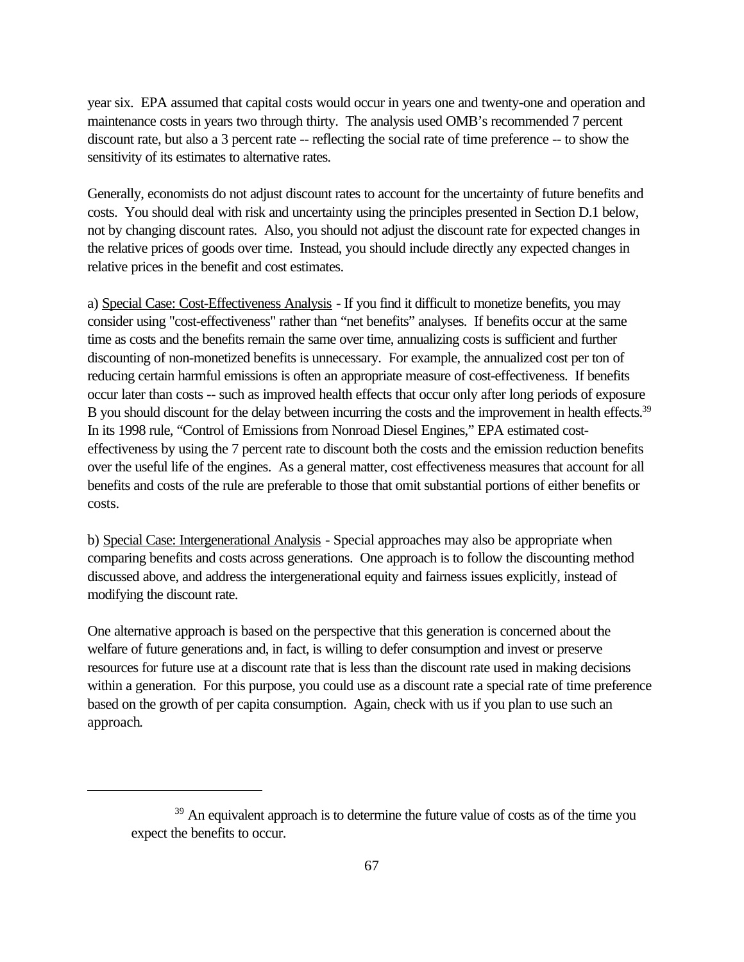year six. EPA assumed that capital costs would occur in years one and twenty-one and operation and maintenance costs in years two through thirty. The analysis used OMB's recommended 7 percent discount rate, but also a 3 percent rate -- reflecting the social rate of time preference -- to show the sensitivity of its estimates to alternative rates.

Generally, economists do not adjust discount rates to account for the uncertainty of future benefits and costs. You should deal with risk and uncertainty using the principles presented in Section D.1 below, not by changing discount rates. Also, you should not adjust the discount rate for expected changes in the relative prices of goods over time. Instead, you should include directly any expected changes in relative prices in the benefit and cost estimates.

a) Special Case: Cost-Effectiveness Analysis - If you find it difficult to monetize benefits, you may consider using "cost-effectiveness" rather than "net benefits" analyses. If benefits occur at the same time as costs and the benefits remain the same over time, annualizing costs is sufficient and further discounting of non-monetized benefits is unnecessary. For example, the annualized cost per ton of reducing certain harmful emissions is often an appropriate measure of cost-effectiveness. If benefits occur later than costs -- such as improved health effects that occur only after long periods of exposure B you should discount for the delay between incurring the costs and the improvement in health effects.<sup>39</sup> In its 1998 rule, "Control of Emissions from Nonroad Diesel Engines," EPA estimated costeffectiveness by using the 7 percent rate to discount both the costs and the emission reduction benefits over the useful life of the engines. As a general matter, cost effectiveness measures that account for all benefits and costs of the rule are preferable to those that omit substantial portions of either benefits or costs.

b) Special Case: Intergenerational Analysis - Special approaches may also be appropriate when comparing benefits and costs across generations. One approach is to follow the discounting method discussed above, and address the intergenerational equity and fairness issues explicitly, instead of modifying the discount rate.

One alternative approach is based on the perspective that this generation is concerned about the welfare of future generations and, in fact, is willing to defer consumption and invest or preserve resources for future use at a discount rate that is less than the discount rate used in making decisions within a generation. For this purpose, you could use as a discount rate a special rate of time preference based on the growth of per capita consumption. Again, check with us if you plan to use such an approach.

<sup>&</sup>lt;sup>39</sup> An equivalent approach is to determine the future value of costs as of the time you expect the benefits to occur.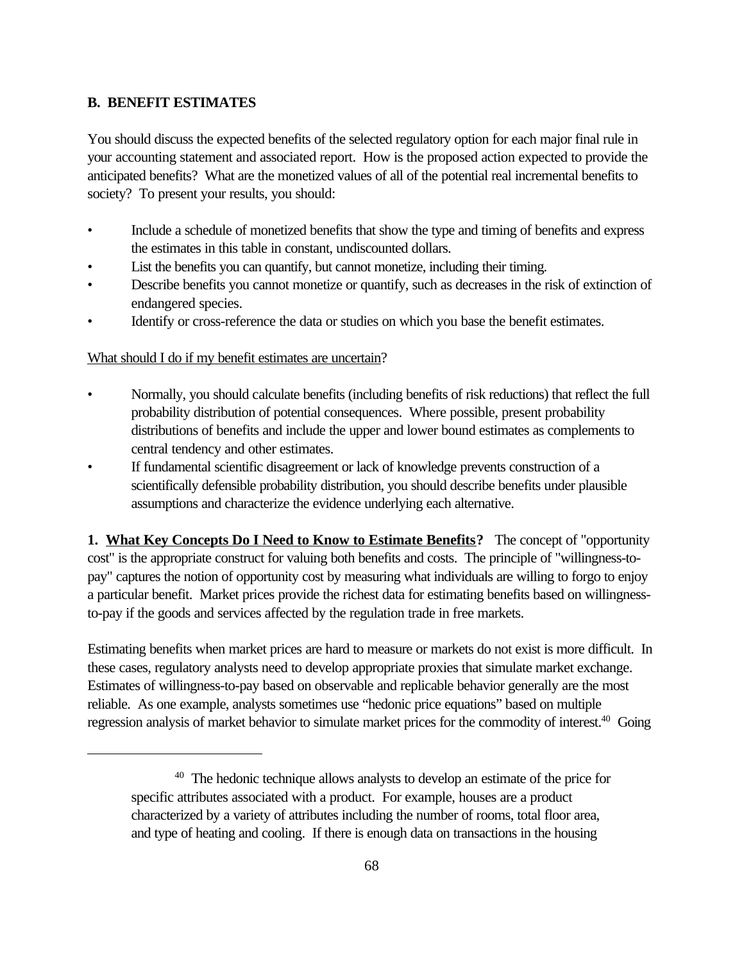## **B. BENEFIT ESTIMATES**

You should discuss the expected benefits of the selected regulatory option for each major final rule in your accounting statement and associated report. How is the proposed action expected to provide the anticipated benefits? What are the monetized values of all of the potential real incremental benefits to society? To present your results, you should:

- Include a schedule of monetized benefits that show the type and timing of benefits and express the estimates in this table in constant, undiscounted dollars.
- List the benefits you can quantify, but cannot monetize, including their timing.
- Describe benefits you cannot monetize or quantify, such as decreases in the risk of extinction of endangered species.
- Identify or cross-reference the data or studies on which you base the benefit estimates.

## What should I do if my benefit estimates are uncertain?

- Normally, you should calculate benefits (including benefits of risk reductions) that reflect the full probability distribution of potential consequences. Where possible, present probability distributions of benefits and include the upper and lower bound estimates as complements to central tendency and other estimates.
- If fundamental scientific disagreement or lack of knowledge prevents construction of a scientifically defensible probability distribution, you should describe benefits under plausible assumptions and characterize the evidence underlying each alternative.

**1. What Key Concepts Do I Need to Know to Estimate Benefits?** The concept of "opportunity cost" is the appropriate construct for valuing both benefits and costs. The principle of "willingness-topay" captures the notion of opportunity cost by measuring what individuals are willing to forgo to enjoy a particular benefit. Market prices provide the richest data for estimating benefits based on willingnessto-pay if the goods and services affected by the regulation trade in free markets.

Estimating benefits when market prices are hard to measure or markets do not exist is more difficult. In these cases, regulatory analysts need to develop appropriate proxies that simulate market exchange. Estimates of willingness-to-pay based on observable and replicable behavior generally are the most reliable. As one example, analysts sometimes use "hedonic price equations" based on multiple regression analysis of market behavior to simulate market prices for the commodity of interest.<sup>40</sup> Going

<sup>&</sup>lt;sup>40</sup> The hedonic technique allows analysts to develop an estimate of the price for specific attributes associated with a product. For example, houses are a product characterized by a variety of attributes including the number of rooms, total floor area, and type of heating and cooling. If there is enough data on transactions in the housing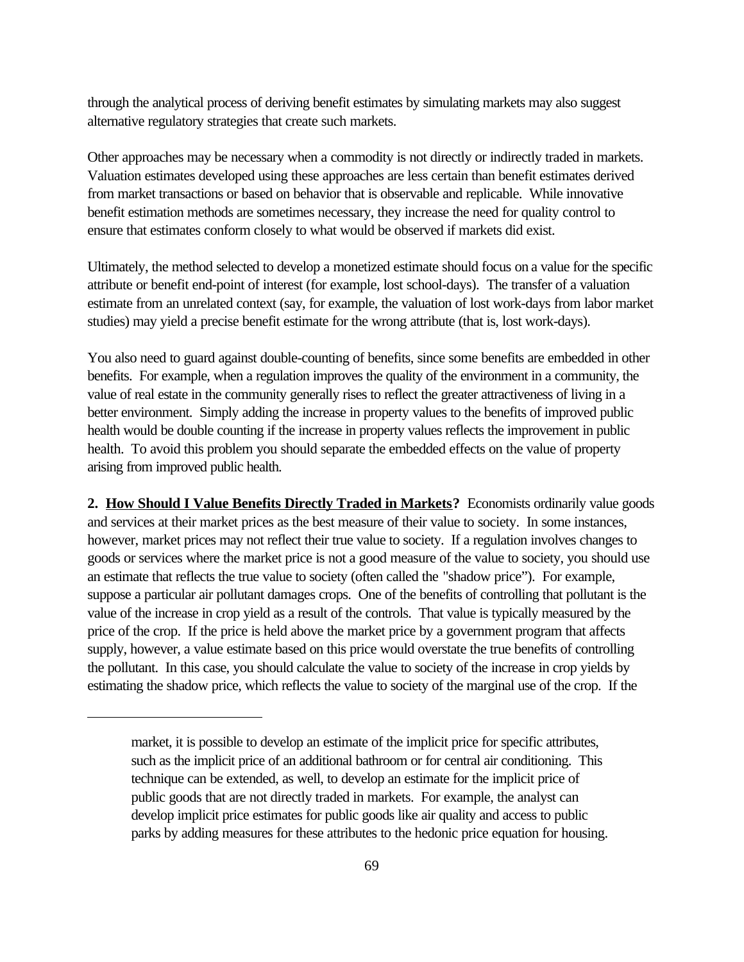through the analytical process of deriving benefit estimates by simulating markets may also suggest alternative regulatory strategies that create such markets.

Other approaches may be necessary when a commodity is not directly or indirectly traded in markets. Valuation estimates developed using these approaches are less certain than benefit estimates derived from market transactions or based on behavior that is observable and replicable. While innovative benefit estimation methods are sometimes necessary, they increase the need for quality control to ensure that estimates conform closely to what would be observed if markets did exist.

Ultimately, the method selected to develop a monetized estimate should focus on a value for the specific attribute or benefit end-point of interest (for example, lost school-days). The transfer of a valuation estimate from an unrelated context (say, for example, the valuation of lost work-days from labor market studies) may yield a precise benefit estimate for the wrong attribute (that is, lost work-days).

You also need to guard against double-counting of benefits, since some benefits are embedded in other benefits. For example, when a regulation improves the quality of the environment in a community, the value of real estate in the community generally rises to reflect the greater attractiveness of living in a better environment. Simply adding the increase in property values to the benefits of improved public health would be double counting if the increase in property values reflects the improvement in public health. To avoid this problem you should separate the embedded effects on the value of property arising from improved public health.

**2. How Should I Value Benefits Directly Traded in Markets?** Economists ordinarily value goods and services at their market prices as the best measure of their value to society. In some instances, however, market prices may not reflect their true value to society. If a regulation involves changes to goods or services where the market price is not a good measure of the value to society, you should use an estimate that reflects the true value to society (often called the "shadow price"). For example, suppose a particular air pollutant damages crops. One of the benefits of controlling that pollutant is the value of the increase in crop yield as a result of the controls. That value is typically measured by the price of the crop. If the price is held above the market price by a government program that affects supply, however, a value estimate based on this price would overstate the true benefits of controlling the pollutant. In this case, you should calculate the value to society of the increase in crop yields by estimating the shadow price, which reflects the value to society of the marginal use of the crop. If the

market, it is possible to develop an estimate of the implicit price for specific attributes, such as the implicit price of an additional bathroom or for central air conditioning. This technique can be extended, as well, to develop an estimate for the implicit price of public goods that are not directly traded in markets. For example, the analyst can develop implicit price estimates for public goods like air quality and access to public parks by adding measures for these attributes to the hedonic price equation for housing.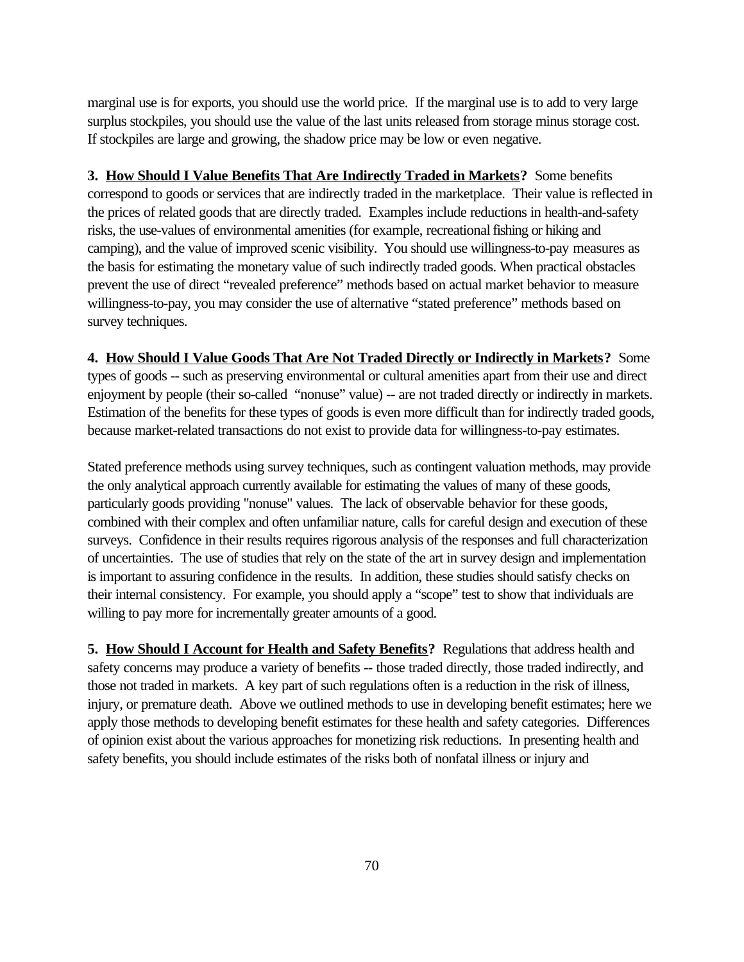marginal use is for exports, you should use the world price. If the marginal use is to add to very large surplus stockpiles, you should use the value of the last units released from storage minus storage cost. If stockpiles are large and growing, the shadow price may be low or even negative.

**3. How Should I Value Benefits That Are Indirectly Traded in Markets?** Some benefits correspond to goods or services that are indirectly traded in the marketplace. Their value is reflected in the prices of related goods that are directly traded. Examples include reductions in health-and-safety risks, the use-values of environmental amenities (for example, recreational fishing or hiking and camping), and the value of improved scenic visibility. You should use willingness-to-pay measures as the basis for estimating the monetary value of such indirectly traded goods. When practical obstacles prevent the use of direct "revealed preference" methods based on actual market behavior to measure willingness-to-pay, you may consider the use of alternative "stated preference" methods based on survey techniques.

**4. How Should I Value Goods That Are Not Traded Directly or Indirectly in Markets?** Some types of goods -- such as preserving environmental or cultural amenities apart from their use and direct enjoyment by people (their so-called "nonuse" value) -- are not traded directly or indirectly in markets. Estimation of the benefits for these types of goods is even more difficult than for indirectly traded goods, because market-related transactions do not exist to provide data for willingness-to-pay estimates.

Stated preference methods using survey techniques, such as contingent valuation methods, may provide the only analytical approach currently available for estimating the values of many of these goods, particularly goods providing "nonuse" values. The lack of observable behavior for these goods, combined with their complex and often unfamiliar nature, calls for careful design and execution of these surveys. Confidence in their results requires rigorous analysis of the responses and full characterization of uncertainties. The use of studies that rely on the state of the art in survey design and implementation is important to assuring confidence in the results. In addition, these studies should satisfy checks on their internal consistency. For example, you should apply a "scope" test to show that individuals are willing to pay more for incrementally greater amounts of a good.

**5. How Should I Account for Health and Safety Benefits?** Regulations that address health and safety concerns may produce a variety of benefits -- those traded directly, those traded indirectly, and those not traded in markets. A key part of such regulations often is a reduction in the risk of illness, injury, or premature death. Above we outlined methods to use in developing benefit estimates; here we apply those methods to developing benefit estimates for these health and safety categories. Differences of opinion exist about the various approaches for monetizing risk reductions. In presenting health and safety benefits, you should include estimates of the risks both of nonfatal illness or injury and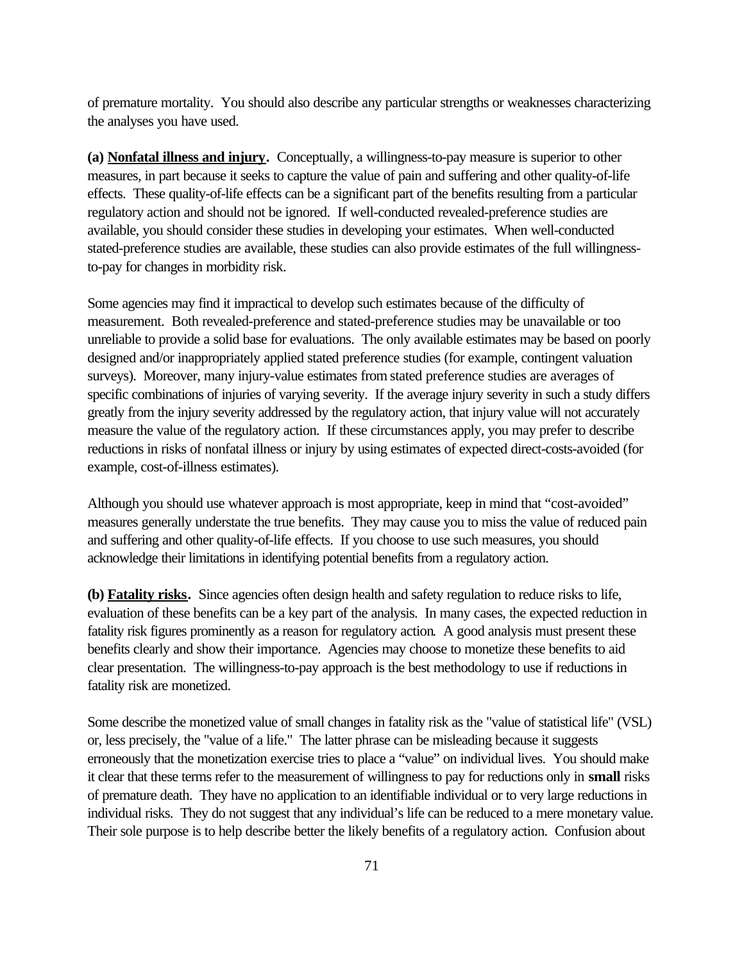of premature mortality. You should also describe any particular strengths or weaknesses characterizing the analyses you have used.

**(a) Nonfatal illness and injury.** Conceptually, a willingness-to-pay measure is superior to other measures, in part because it seeks to capture the value of pain and suffering and other quality-of-life effects. These quality-of-life effects can be a significant part of the benefits resulting from a particular regulatory action and should not be ignored. If well-conducted revealed-preference studies are available, you should consider these studies in developing your estimates. When well-conducted stated-preference studies are available, these studies can also provide estimates of the full willingnessto-pay for changes in morbidity risk.

Some agencies may find it impractical to develop such estimates because of the difficulty of measurement. Both revealed-preference and stated-preference studies may be unavailable or too unreliable to provide a solid base for evaluations. The only available estimates may be based on poorly designed and/or inappropriately applied stated preference studies (for example, contingent valuation surveys). Moreover, many injury-value estimates from stated preference studies are averages of specific combinations of injuries of varying severity. If the average injury severity in such a study differs greatly from the injury severity addressed by the regulatory action, that injury value will not accurately measure the value of the regulatory action. If these circumstances apply, you may prefer to describe reductions in risks of nonfatal illness or injury by using estimates of expected direct-costs-avoided (for example, cost-of-illness estimates).

Although you should use whatever approach is most appropriate, keep in mind that "cost-avoided" measures generally understate the true benefits. They may cause you to miss the value of reduced pain and suffering and other quality-of-life effects. If you choose to use such measures, you should acknowledge their limitations in identifying potential benefits from a regulatory action.

**(b) Fatality risks.** Since agencies often design health and safety regulation to reduce risks to life, evaluation of these benefits can be a key part of the analysis. In many cases, the expected reduction in fatality risk figures prominently as a reason for regulatory action. A good analysis must present these benefits clearly and show their importance. Agencies may choose to monetize these benefits to aid clear presentation. The willingness-to-pay approach is the best methodology to use if reductions in fatality risk are monetized.

Some describe the monetized value of small changes in fatality risk as the "value of statistical life" (VSL) or, less precisely, the "value of a life." The latter phrase can be misleading because it suggests erroneously that the monetization exercise tries to place a "value" on individual lives. You should make it clear that these terms refer to the measurement of willingness to pay for reductions only in **small** risks of premature death. They have no application to an identifiable individual or to very large reductions in individual risks. They do not suggest that any individual's life can be reduced to a mere monetary value. Their sole purpose is to help describe better the likely benefits of a regulatory action. Confusion about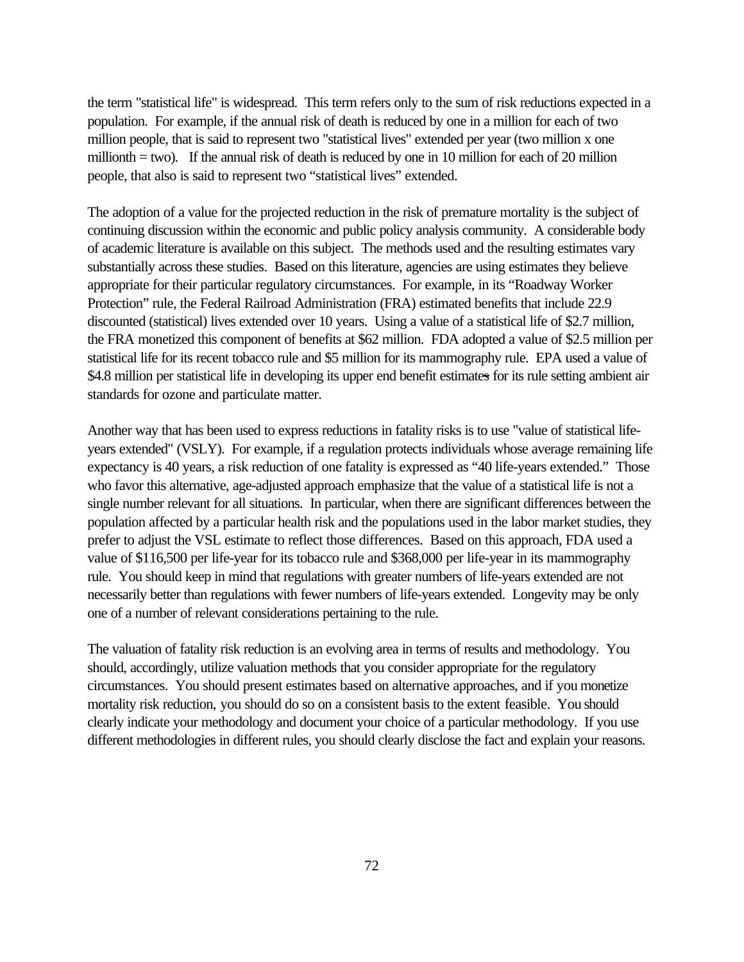the term "statistical life" is widespread. This term refers only to the sum of risk reductions expected in a population. For example, if the annual risk of death is reduced by one in a million for each of two million people, that is said to represent two "statistical lives" extended per year (two million x one millionth = two). If the annual risk of death is reduced by one in 10 million for each of 20 million people, that also is said to represent two "statistical lives" extended.

The adoption of a value for the projected reduction in the risk of premature mortality is the subject of continuing discussion within the economic and public policy analysis community. A considerable body of academic literature is available on this subject. The methods used and the resulting estimates vary substantially across these studies. Based on this literature, agencies are using estimates they believe appropriate for their particular regulatory circumstances. For example, in its "Roadway Worker Protection" rule, the Federal Railroad Administration (FRA) estimated benefits that include 22.9 discounted (statistical) lives extended over 10 years. Using a value of a statistical life of \$2.7 million, the FRA monetized this component of benefits at \$62 million. FDA adopted a value of \$2.5 million per statistical life for its recent tobacco rule and \$5 million for its mammography rule. EPA used a value of \$4.8 million per statistical life in developing its upper end benefit estimates for its rule setting ambient air standards for ozone and particulate matter.

Another way that has been used to express reductions in fatality risks is to use "value of statistical lifeyears extended" (VSLY). For example, if a regulation protects individuals whose average remaining life expectancy is 40 years, a risk reduction of one fatality is expressed as "40 life-years extended." Those who favor this alternative, age-adjusted approach emphasize that the value of a statistical life is not a single number relevant for all situations. In particular, when there are significant differences between the population affected by a particular health risk and the populations used in the labor market studies, they prefer to adjust the VSL estimate to reflect those differences. Based on this approach, FDA used a value of \$116,500 per life-year for its tobacco rule and \$368,000 per life-year in its mammography rule. You should keep in mind that regulations with greater numbers of life-years extended are not necessarily better than regulations with fewer numbers of life-years extended. Longevity may be only one of a number of relevant considerations pertaining to the rule.

The valuation of fatality risk reduction is an evolving area in terms of results and methodology. You should, accordingly, utilize valuation methods that you consider appropriate for the regulatory circumstances. You should present estimates based on alternative approaches, and if you monetize mortality risk reduction, you should do so on a consistent basis to the extent feasible. You should clearly indicate your methodology and document your choice of a particular methodology. If you use different methodologies in different rules, you should clearly disclose the fact and explain your reasons.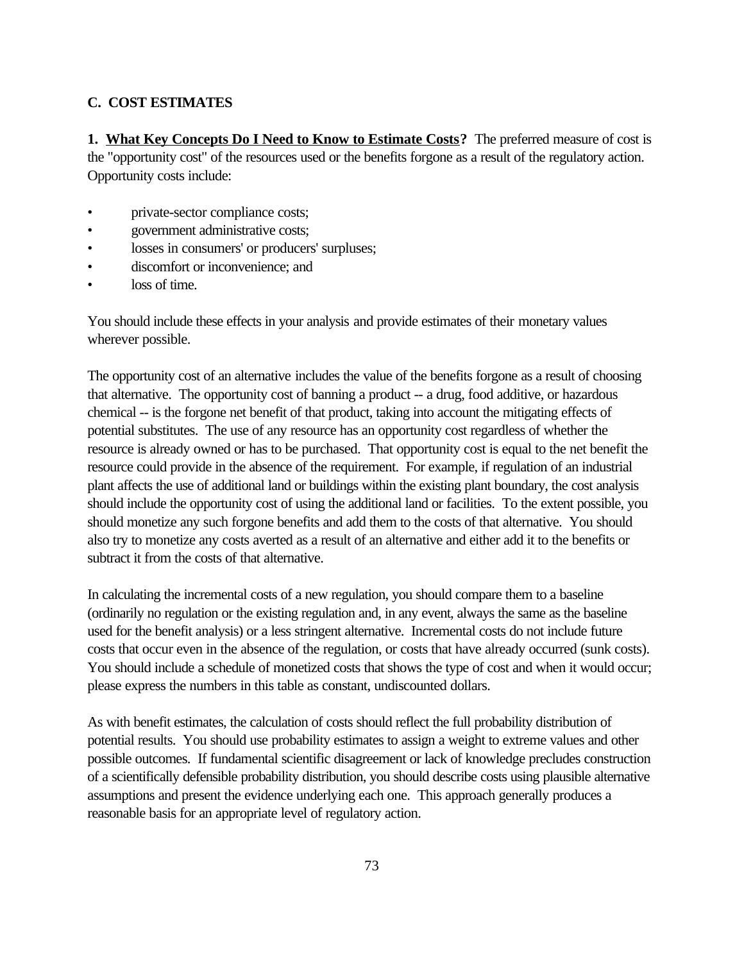### **C. COST ESTIMATES**

**1. What Key Concepts Do I Need to Know to Estimate Costs?** The preferred measure of cost is the "opportunity cost" of the resources used or the benefits forgone as a result of the regulatory action. Opportunity costs include:

- private-sector compliance costs;
- government administrative costs;
- losses in consumers' or producers' surpluses;
- discomfort or inconvenience; and
- loss of time.

You should include these effects in your analysis and provide estimates of their monetary values wherever possible.

The opportunity cost of an alternative includes the value of the benefits forgone as a result of choosing that alternative. The opportunity cost of banning a product -- a drug, food additive, or hazardous chemical -- is the forgone net benefit of that product, taking into account the mitigating effects of potential substitutes. The use of any resource has an opportunity cost regardless of whether the resource is already owned or has to be purchased. That opportunity cost is equal to the net benefit the resource could provide in the absence of the requirement. For example, if regulation of an industrial plant affects the use of additional land or buildings within the existing plant boundary, the cost analysis should include the opportunity cost of using the additional land or facilities. To the extent possible, you should monetize any such forgone benefits and add them to the costs of that alternative. You should also try to monetize any costs averted as a result of an alternative and either add it to the benefits or subtract it from the costs of that alternative.

In calculating the incremental costs of a new regulation, you should compare them to a baseline (ordinarily no regulation or the existing regulation and, in any event, always the same as the baseline used for the benefit analysis) or a less stringent alternative. Incremental costs do not include future costs that occur even in the absence of the regulation, or costs that have already occurred (sunk costs). You should include a schedule of monetized costs that shows the type of cost and when it would occur; please express the numbers in this table as constant, undiscounted dollars.

As with benefit estimates, the calculation of costs should reflect the full probability distribution of potential results. You should use probability estimates to assign a weight to extreme values and other possible outcomes. If fundamental scientific disagreement or lack of knowledge precludes construction of a scientifically defensible probability distribution, you should describe costs using plausible alternative assumptions and present the evidence underlying each one. This approach generally produces a reasonable basis for an appropriate level of regulatory action.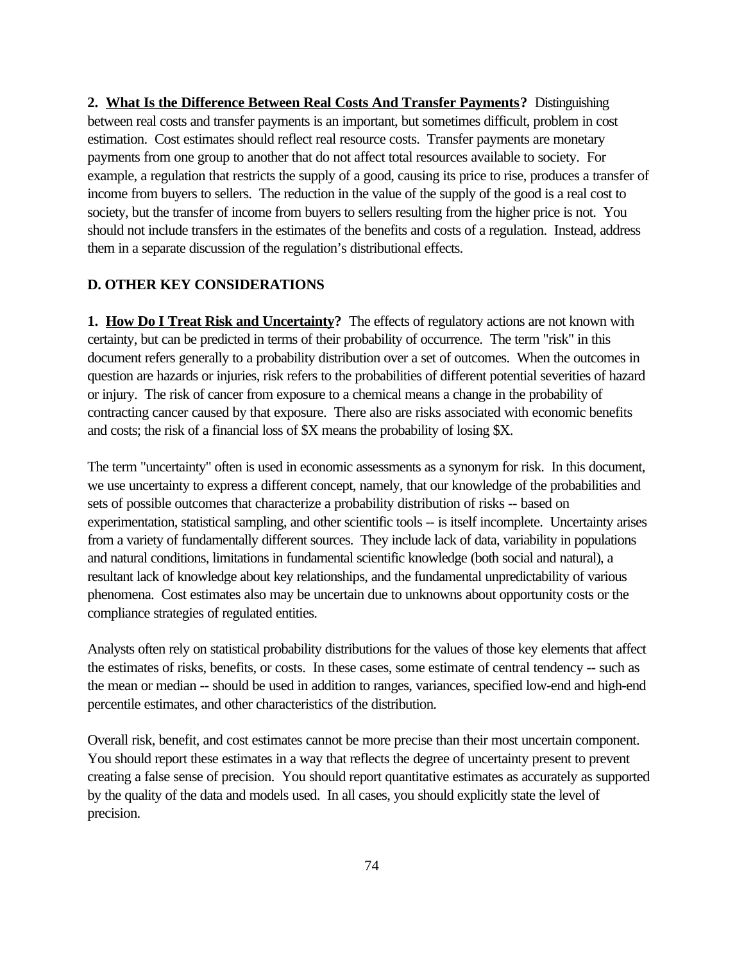**2. What Is the Difference Between Real Costs And Transfer Payments?** Distinguishing between real costs and transfer payments is an important, but sometimes difficult, problem in cost estimation. Cost estimates should reflect real resource costs. Transfer payments are monetary payments from one group to another that do not affect total resources available to society. For example, a regulation that restricts the supply of a good, causing its price to rise, produces a transfer of income from buyers to sellers. The reduction in the value of the supply of the good is a real cost to society, but the transfer of income from buyers to sellers resulting from the higher price is not. You should not include transfers in the estimates of the benefits and costs of a regulation. Instead, address them in a separate discussion of the regulation's distributional effects.

#### **D. OTHER KEY CONSIDERATIONS**

**1. How Do I Treat Risk and Uncertainty?** The effects of regulatory actions are not known with certainty, but can be predicted in terms of their probability of occurrence. The term "risk" in this document refers generally to a probability distribution over a set of outcomes. When the outcomes in question are hazards or injuries, risk refers to the probabilities of different potential severities of hazard or injury. The risk of cancer from exposure to a chemical means a change in the probability of contracting cancer caused by that exposure. There also are risks associated with economic benefits and costs; the risk of a financial loss of \$X means the probability of losing \$X.

The term "uncertainty" often is used in economic assessments as a synonym for risk. In this document, we use uncertainty to express a different concept, namely, that our knowledge of the probabilities and sets of possible outcomes that characterize a probability distribution of risks -- based on experimentation, statistical sampling, and other scientific tools -- is itself incomplete. Uncertainty arises from a variety of fundamentally different sources. They include lack of data, variability in populations and natural conditions, limitations in fundamental scientific knowledge (both social and natural), a resultant lack of knowledge about key relationships, and the fundamental unpredictability of various phenomena. Cost estimates also may be uncertain due to unknowns about opportunity costs or the compliance strategies of regulated entities.

Analysts often rely on statistical probability distributions for the values of those key elements that affect the estimates of risks, benefits, or costs. In these cases, some estimate of central tendency -- such as the mean or median -- should be used in addition to ranges, variances, specified low-end and high-end percentile estimates, and other characteristics of the distribution.

Overall risk, benefit, and cost estimates cannot be more precise than their most uncertain component. You should report these estimates in a way that reflects the degree of uncertainty present to prevent creating a false sense of precision. You should report quantitative estimates as accurately as supported by the quality of the data and models used. In all cases, you should explicitly state the level of precision.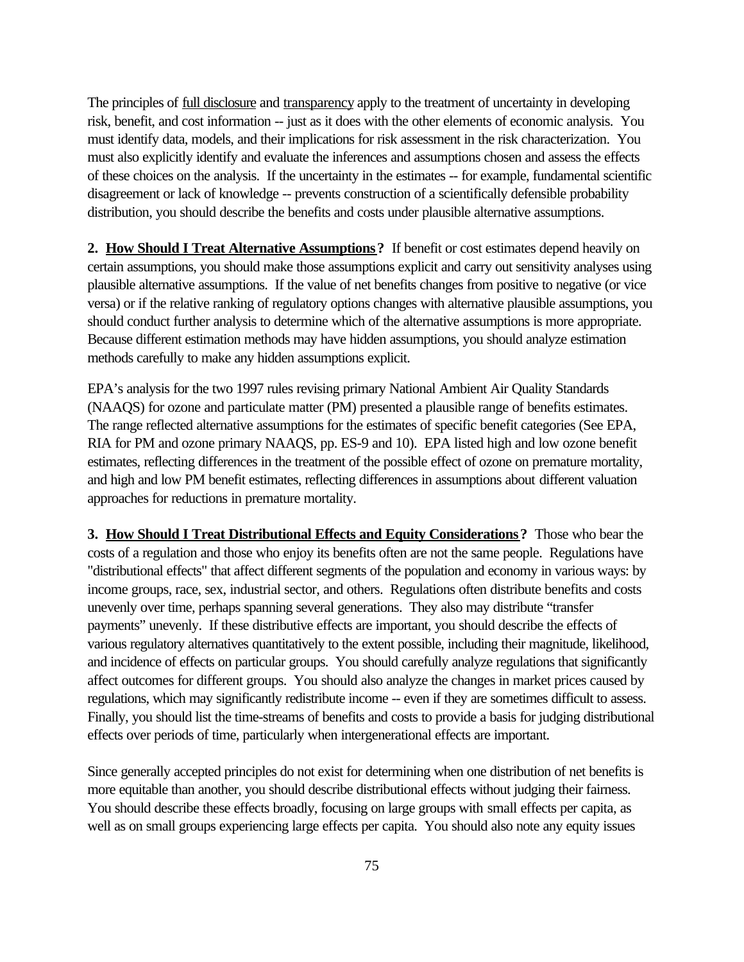The principles of full disclosure and transparency apply to the treatment of uncertainty in developing risk, benefit, and cost information -- just as it does with the other elements of economic analysis. You must identify data, models, and their implications for risk assessment in the risk characterization. You must also explicitly identify and evaluate the inferences and assumptions chosen and assess the effects of these choices on the analysis. If the uncertainty in the estimates -- for example, fundamental scientific disagreement or lack of knowledge -- prevents construction of a scientifically defensible probability distribution, you should describe the benefits and costs under plausible alternative assumptions.

**2. How Should I Treat Alternative Assumptions?** If benefit or cost estimates depend heavily on certain assumptions, you should make those assumptions explicit and carry out sensitivity analyses using plausible alternative assumptions. If the value of net benefits changes from positive to negative (or vice versa) or if the relative ranking of regulatory options changes with alternative plausible assumptions, you should conduct further analysis to determine which of the alternative assumptions is more appropriate. Because different estimation methods may have hidden assumptions, you should analyze estimation methods carefully to make any hidden assumptions explicit.

EPA's analysis for the two 1997 rules revising primary National Ambient Air Quality Standards (NAAQS) for ozone and particulate matter (PM) presented a plausible range of benefits estimates. The range reflected alternative assumptions for the estimates of specific benefit categories (See EPA, RIA for PM and ozone primary NAAQS, pp. ES-9 and 10). EPA listed high and low ozone benefit estimates, reflecting differences in the treatment of the possible effect of ozone on premature mortality, and high and low PM benefit estimates, reflecting differences in assumptions about different valuation approaches for reductions in premature mortality.

**3. How Should I Treat Distributional Effects and Equity Considerations?** Those who bear the costs of a regulation and those who enjoy its benefits often are not the same people. Regulations have "distributional effects" that affect different segments of the population and economy in various ways: by income groups, race, sex, industrial sector, and others. Regulations often distribute benefits and costs unevenly over time, perhaps spanning several generations. They also may distribute "transfer payments" unevenly. If these distributive effects are important, you should describe the effects of various regulatory alternatives quantitatively to the extent possible, including their magnitude, likelihood, and incidence of effects on particular groups. You should carefully analyze regulations that significantly affect outcomes for different groups. You should also analyze the changes in market prices caused by regulations, which may significantly redistribute income -- even if they are sometimes difficult to assess. Finally, you should list the time-streams of benefits and costs to provide a basis for judging distributional effects over periods of time, particularly when intergenerational effects are important.

Since generally accepted principles do not exist for determining when one distribution of net benefits is more equitable than another, you should describe distributional effects without judging their fairness. You should describe these effects broadly, focusing on large groups with small effects per capita, as well as on small groups experiencing large effects per capita. You should also note any equity issues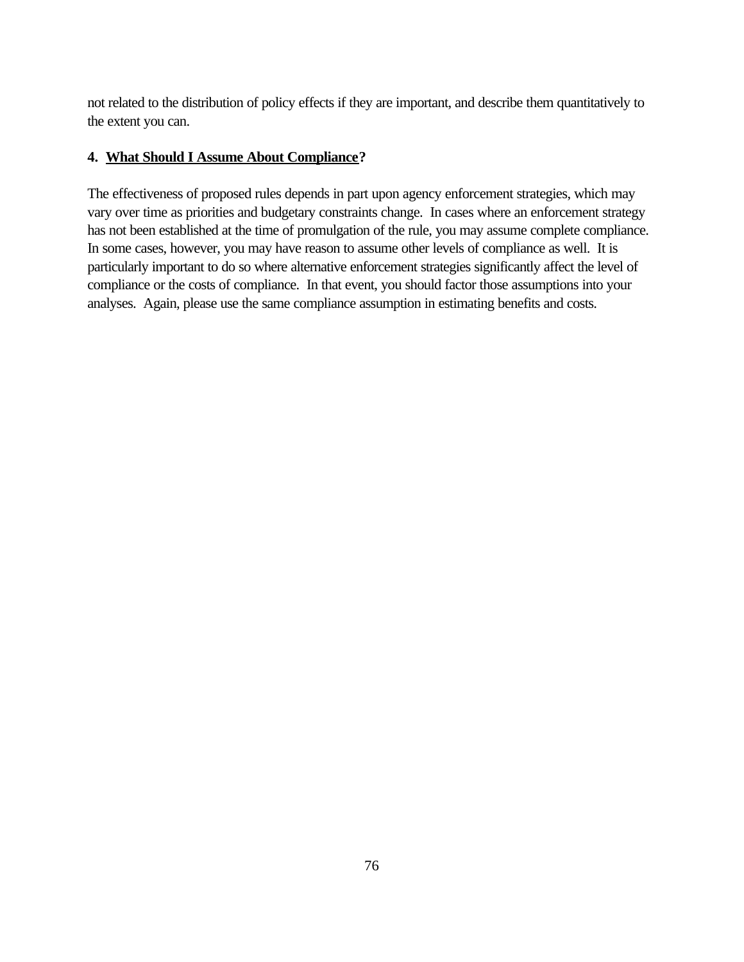not related to the distribution of policy effects if they are important, and describe them quantitatively to the extent you can.

# **4. What Should I Assume About Compliance?**

The effectiveness of proposed rules depends in part upon agency enforcement strategies, which may vary over time as priorities and budgetary constraints change. In cases where an enforcement strategy has not been established at the time of promulgation of the rule, you may assume complete compliance. In some cases, however, you may have reason to assume other levels of compliance as well. It is particularly important to do so where alternative enforcement strategies significantly affect the level of compliance or the costs of compliance. In that event, you should factor those assumptions into your analyses. Again, please use the same compliance assumption in estimating benefits and costs.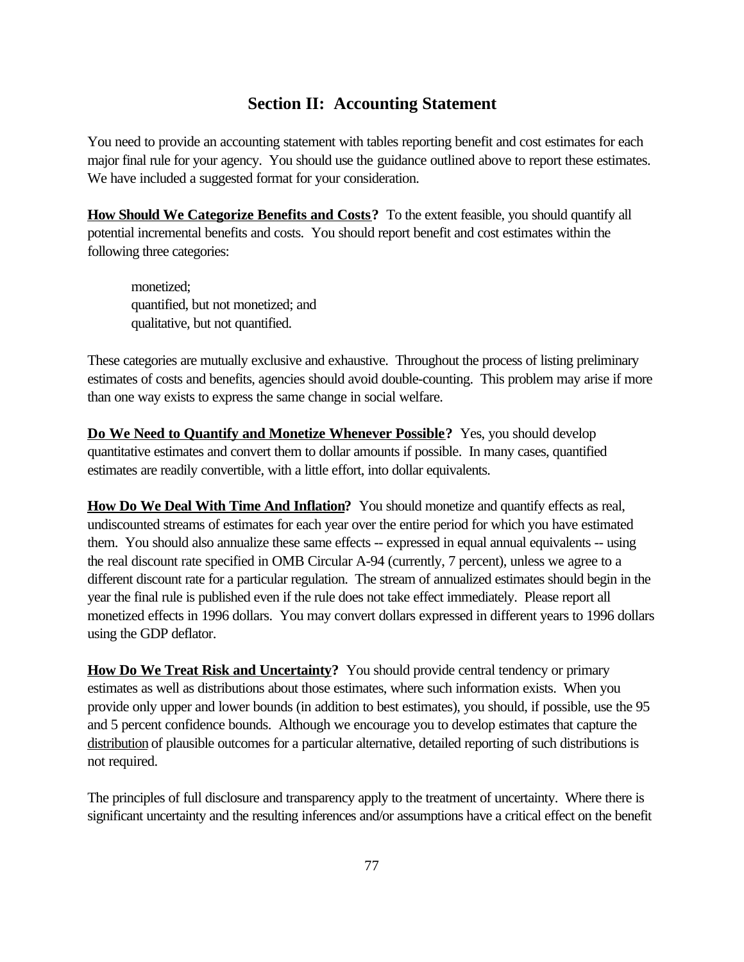## **Section II: Accounting Statement**

You need to provide an accounting statement with tables reporting benefit and cost estimates for each major final rule for your agency. You should use the guidance outlined above to report these estimates. We have included a suggested format for your consideration.

**How Should We Categorize Benefits and Costs?** To the extent feasible, you should quantify all potential incremental benefits and costs. You should report benefit and cost estimates within the following three categories:

monetized; quantified, but not monetized; and qualitative, but not quantified.

These categories are mutually exclusive and exhaustive. Throughout the process of listing preliminary estimates of costs and benefits, agencies should avoid double-counting. This problem may arise if more than one way exists to express the same change in social welfare.

**Do We Need to Quantify and Monetize Whenever Possible?** Yes, you should develop quantitative estimates and convert them to dollar amounts if possible. In many cases, quantified estimates are readily convertible, with a little effort, into dollar equivalents.

**How Do We Deal With Time And Inflation?** You should monetize and quantify effects as real, undiscounted streams of estimates for each year over the entire period for which you have estimated them. You should also annualize these same effects -- expressed in equal annual equivalents -- using the real discount rate specified in OMB Circular A-94 (currently, 7 percent), unless we agree to a different discount rate for a particular regulation. The stream of annualized estimates should begin in the year the final rule is published even if the rule does not take effect immediately. Please report all monetized effects in 1996 dollars. You may convert dollars expressed in different years to 1996 dollars using the GDP deflator.

**How Do We Treat Risk and Uncertainty?** You should provide central tendency or primary estimates as well as distributions about those estimates, where such information exists. When you provide only upper and lower bounds (in addition to best estimates), you should, if possible, use the 95 and 5 percent confidence bounds. Although we encourage you to develop estimates that capture the distribution of plausible outcomes for a particular alternative, detailed reporting of such distributions is not required.

The principles of full disclosure and transparency apply to the treatment of uncertainty. Where there is significant uncertainty and the resulting inferences and/or assumptions have a critical effect on the benefit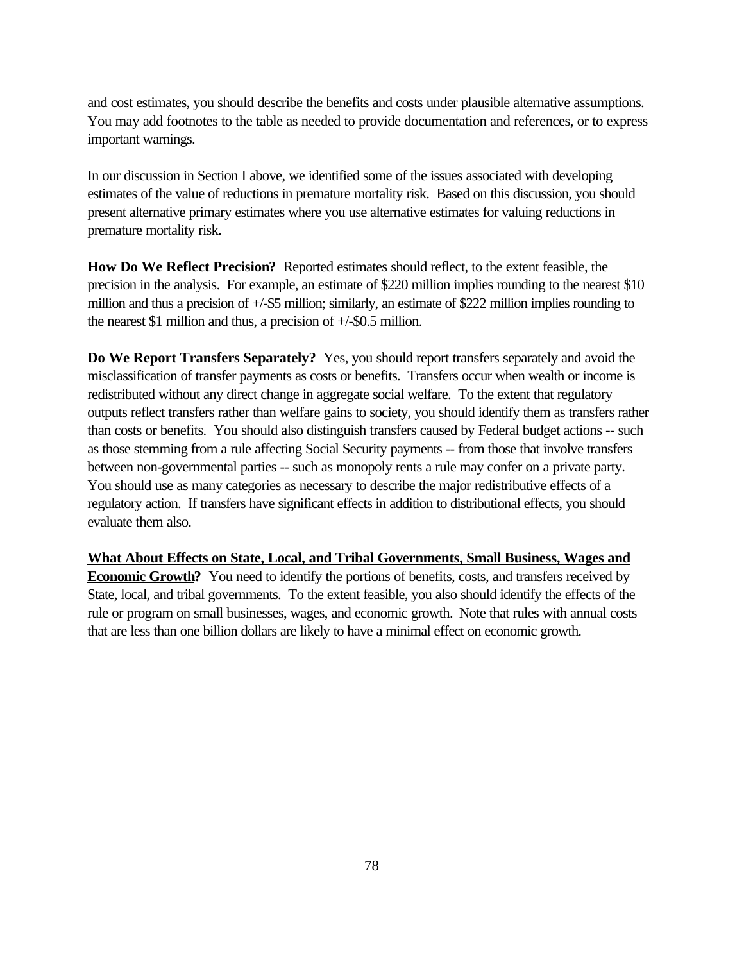and cost estimates, you should describe the benefits and costs under plausible alternative assumptions. You may add footnotes to the table as needed to provide documentation and references, or to express important warnings.

In our discussion in Section I above, we identified some of the issues associated with developing estimates of the value of reductions in premature mortality risk. Based on this discussion, you should present alternative primary estimates where you use alternative estimates for valuing reductions in premature mortality risk.

**How Do We Reflect Precision?** Reported estimates should reflect, to the extent feasible, the precision in the analysis. For example, an estimate of \$220 million implies rounding to the nearest \$10 million and thus a precision of +/-\$5 million; similarly, an estimate of \$222 million implies rounding to the nearest \$1 million and thus, a precision of +/-\$0.5 million.

**Do We Report Transfers Separately?** Yes, you should report transfers separately and avoid the misclassification of transfer payments as costs or benefits. Transfers occur when wealth or income is redistributed without any direct change in aggregate social welfare. To the extent that regulatory outputs reflect transfers rather than welfare gains to society, you should identify them as transfers rather than costs or benefits. You should also distinguish transfers caused by Federal budget actions -- such as those stemming from a rule affecting Social Security payments -- from those that involve transfers between non-governmental parties -- such as monopoly rents a rule may confer on a private party. You should use as many categories as necessary to describe the major redistributive effects of a regulatory action. If transfers have significant effects in addition to distributional effects, you should evaluate them also.

**What About Effects on State, Local, and Tribal Governments, Small Business, Wages and Economic Growth?** You need to identify the portions of benefits, costs, and transfers received by State, local, and tribal governments. To the extent feasible, you also should identify the effects of the rule or program on small businesses, wages, and economic growth. Note that rules with annual costs that are less than one billion dollars are likely to have a minimal effect on economic growth.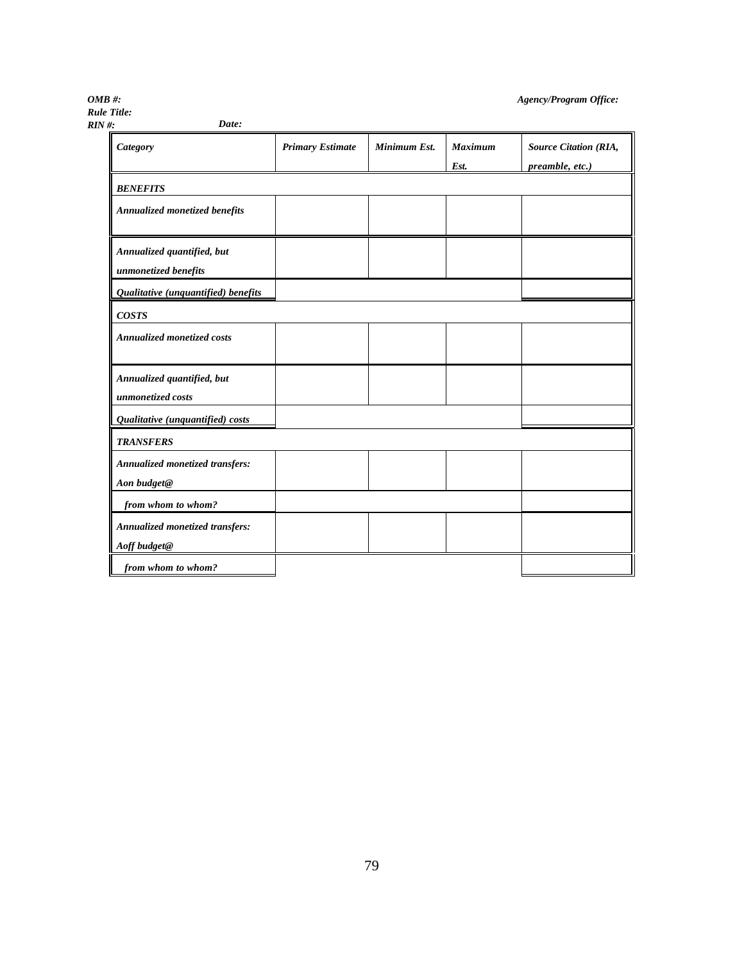| <b>Rule Title:</b> |       |
|--------------------|-------|
| $RIN#$ :           | Date: |

| <b>Category</b>                                    | <b>Primary Estimate</b> | Minimum Est. | <b>Maximum</b><br>Est. | <b>Source Citation (RIA,</b><br>preamble, etc.) |
|----------------------------------------------------|-------------------------|--------------|------------------------|-------------------------------------------------|
| <b>BENEFITS</b>                                    |                         |              |                        |                                                 |
| Annualized monetized benefits                      |                         |              |                        |                                                 |
| Annualized quantified, but<br>unmonetized benefits |                         |              |                        |                                                 |
| Qualitative (unquantified) benefits                |                         |              |                        |                                                 |
| <b>COSTS</b>                                       |                         |              |                        |                                                 |
| Annualized monetized costs                         |                         |              |                        |                                                 |
| Annualized quantified, but<br>unmonetized costs    |                         |              |                        |                                                 |
| Qualitative (unquantified) costs                   |                         |              |                        |                                                 |
| <b>TRANSFERS</b>                                   |                         |              |                        |                                                 |
| Annualized monetized transfers:<br>Aon budget@     |                         |              |                        |                                                 |
| from whom to whom?                                 |                         |              |                        |                                                 |
| Annualized monetized transfers:<br>Aoff budget@    |                         |              |                        |                                                 |
| from whom to whom?                                 |                         |              |                        |                                                 |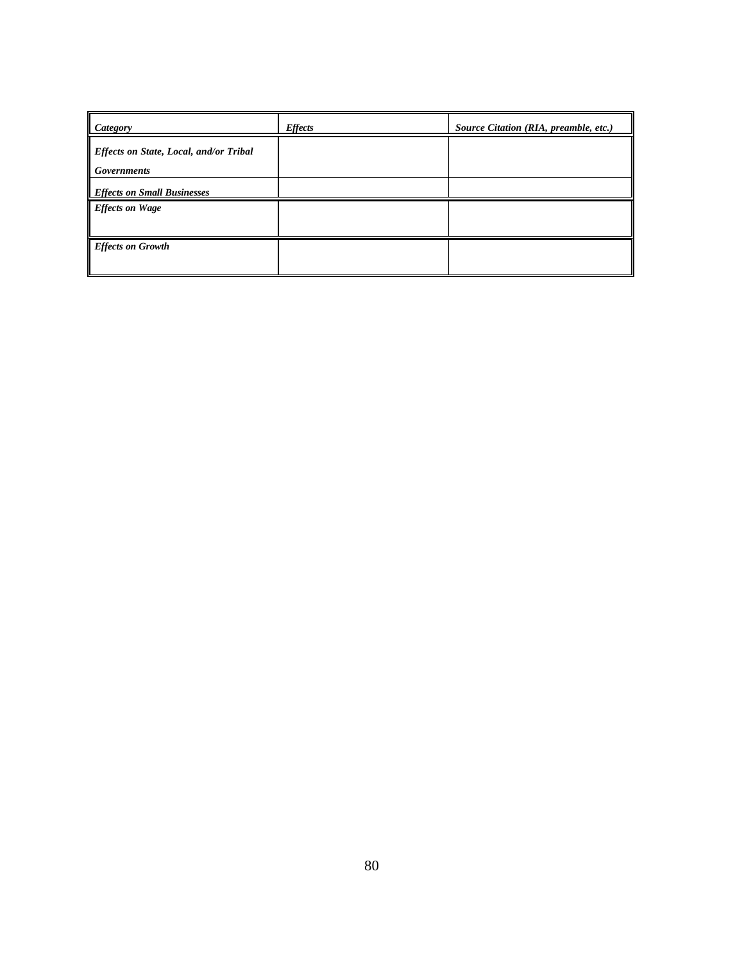| <b>Category</b>                               | <b>Effects</b> | Source Citation (RIA, preamble, etc.) |
|-----------------------------------------------|----------------|---------------------------------------|
| <b>Effects on State, Local, and/or Tribal</b> |                |                                       |
| <b>Governments</b>                            |                |                                       |
| <b>Effects on Small Businesses</b>            |                |                                       |
| <b>Effects on Wage</b>                        |                |                                       |
|                                               |                |                                       |
| <b>Effects on Growth</b>                      |                |                                       |
|                                               |                |                                       |